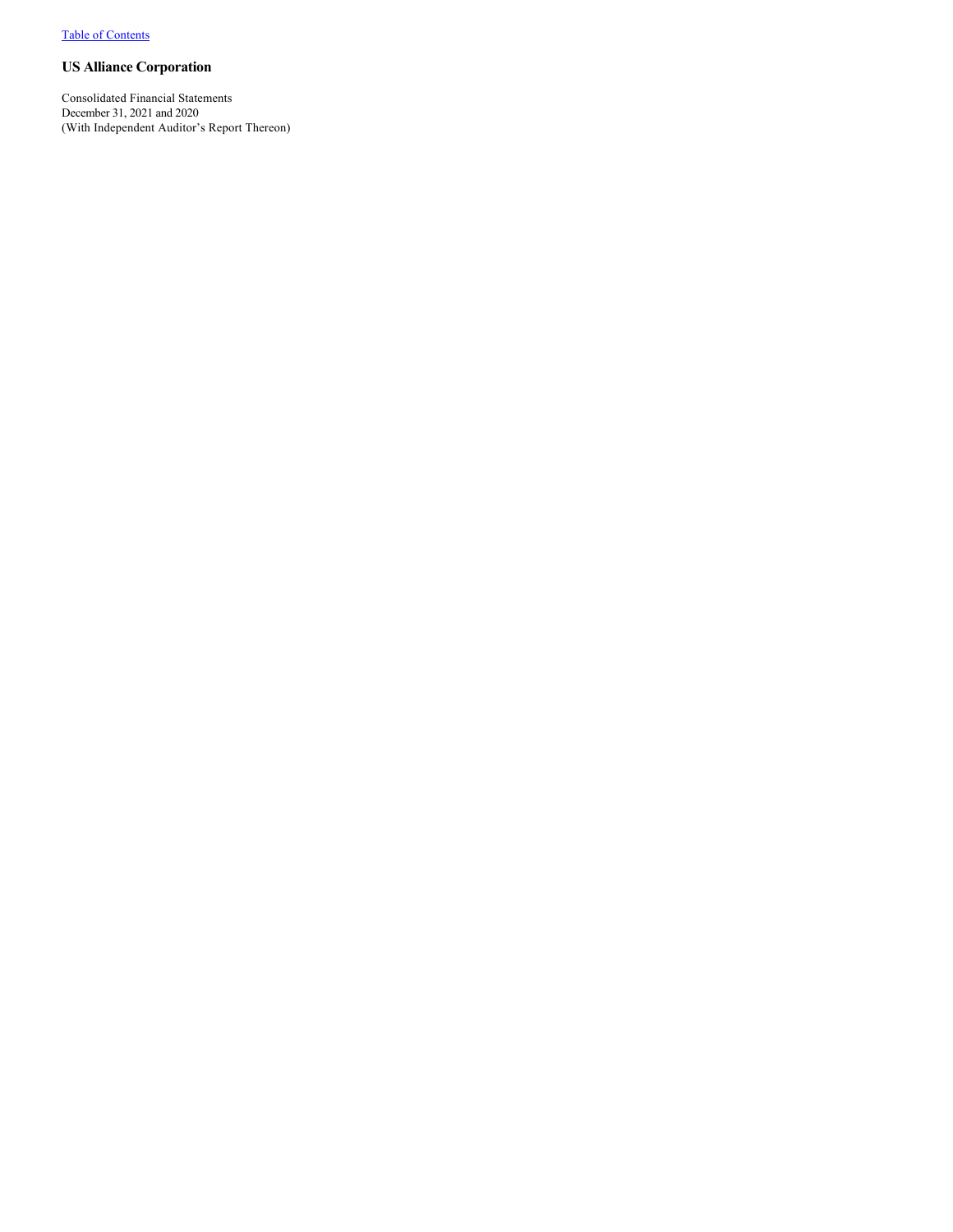Consolidated Financial Statements December 31, 2021 and 2020 (With Independent Auditor's Report Thereon)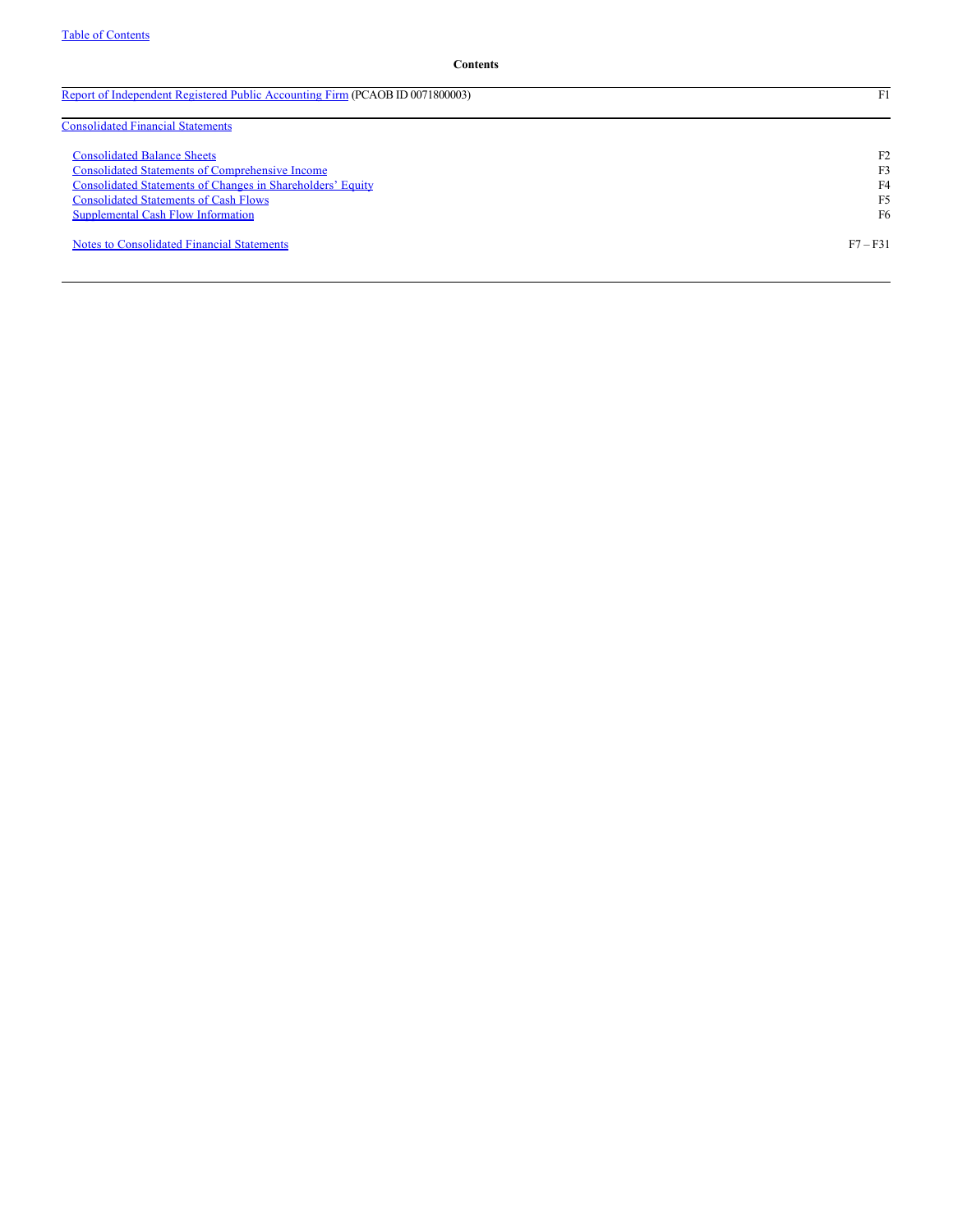[Report of Independent Registered Public Accounting Firm](#page-2-0) (PCAOB ID 0071800003) F1

| <b>Consolidated Financial Statements</b>                   |                |
|------------------------------------------------------------|----------------|
| <b>Consolidated Balance Sheets</b>                         | F <sub>2</sub> |
| <b>Consolidated Statements of Comprehensive Income</b>     | F3             |
| Consolidated Statements of Changes in Shareholders' Equity | F4             |
| <b>Consolidated Statements of Cash Flows</b>               | F5             |
| Supplemental Cash Flow Information                         | F6             |
| <b>Notes to Consolidated Financial Statements</b>          | $F7 - F31$     |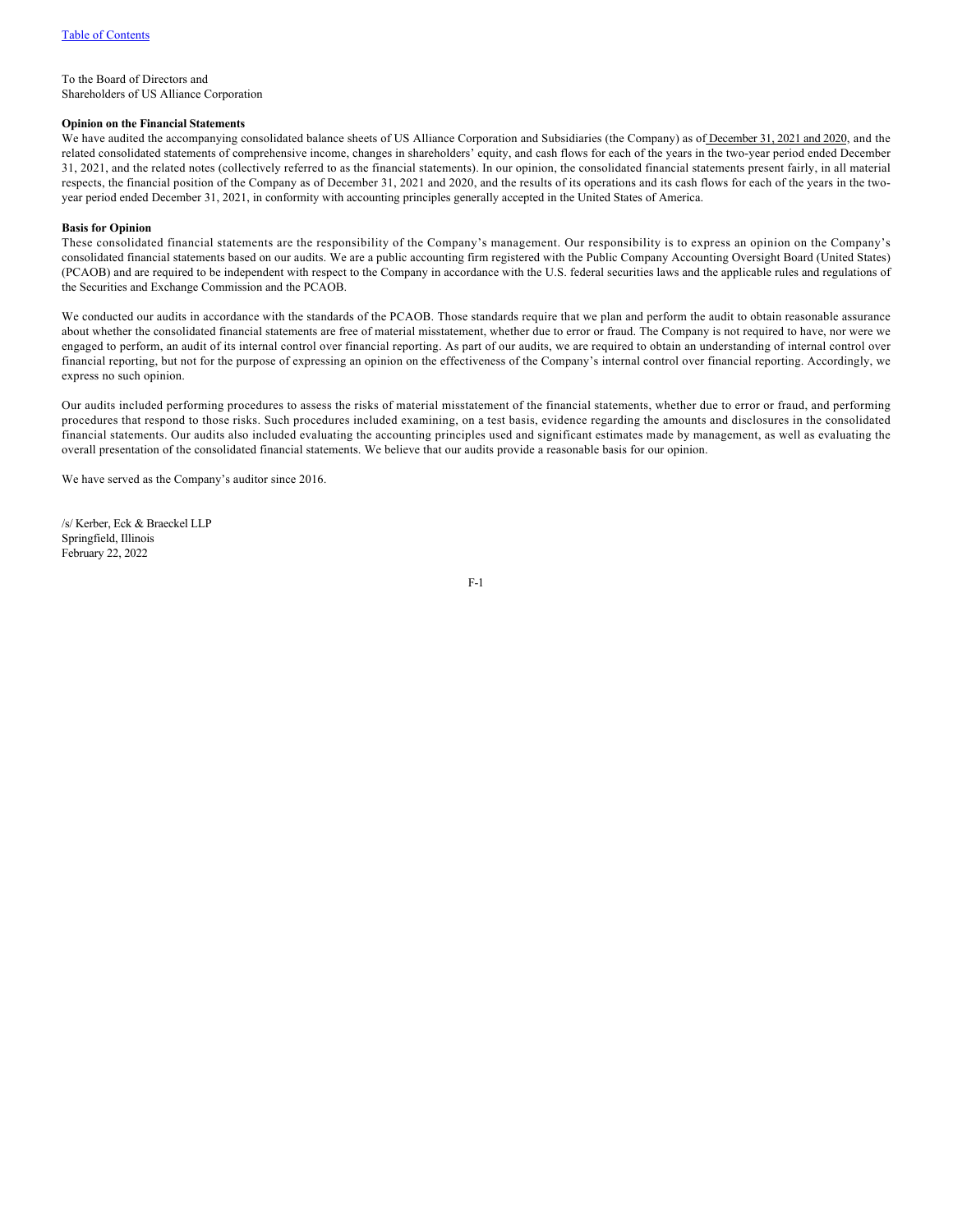<span id="page-2-0"></span>To the Board of Directors and Shareholders of US Alliance Corporation

### **Opinion on the Financial Statements**

We have audited the accompanying consolidated balance sheets of US Alliance Corporation and Subsidiaries (the Company) as of December 31, 2021 and 2020, and the related consolidated statements of comprehensive income, changes in shareholders' equity, and cash flows for each of the years in the two-year period ended December 31, 2021, and the related notes (collectively referred to as the financial statements). In our opinion, the consolidated financial statements present fairly, in all material respects, the financial position of the Company as of December 31, 2021 and 2020, and the results of its operations and its cash flows for each of the years in the twoyear period ended December 31, 2021, in conformity with accounting principles generally accepted in the United States of America.

### **Basis for Opinion**

These consolidated financial statements are the responsibility of the Company's management. Our responsibility is to express an opinion on the Company's consolidated financial statements based on our audits. We are a public accounting firm registered with the Public Company Accounting Oversight Board (United States) (PCAOB) and are required to be independent with respect to the Company in accordance with the U.S. federal securities laws and the applicable rules and regulations of the Securities and Exchange Commission and the PCAOB.

We conducted our audits in accordance with the standards of the PCAOB. Those standards require that we plan and perform the audit to obtain reasonable assurance about whether the consolidated financial statements are free of material misstatement, whether due to error or fraud. The Company is not required to have, nor were we engaged to perform, an audit of its internal control over financial reporting. As part of our audits, we are required to obtain an understanding of internal control over financial reporting, but not for the purpose of expressing an opinion on the effectiveness of the Company's internal control over financial reporting. Accordingly, we express no such opinion.

Our audits included performing procedures to assess the risks of material misstatement of the financial statements, whether due to error or fraud, and performing procedures that respond to those risks. Such procedures included examining, on a test basis, evidence regarding the amounts and disclosures in the consolidated financial statements. Our audits also included evaluating the accounting principles used and significant estimates made by management, as well as evaluating the overall presentation of the consolidated financial statements. We believe that our audits provide a reasonable basis for our opinion.

We have served as the Company's auditor since 2016.

/s/ Kerber, Eck & Braeckel LLP Springfield, Illinois February 22, 2022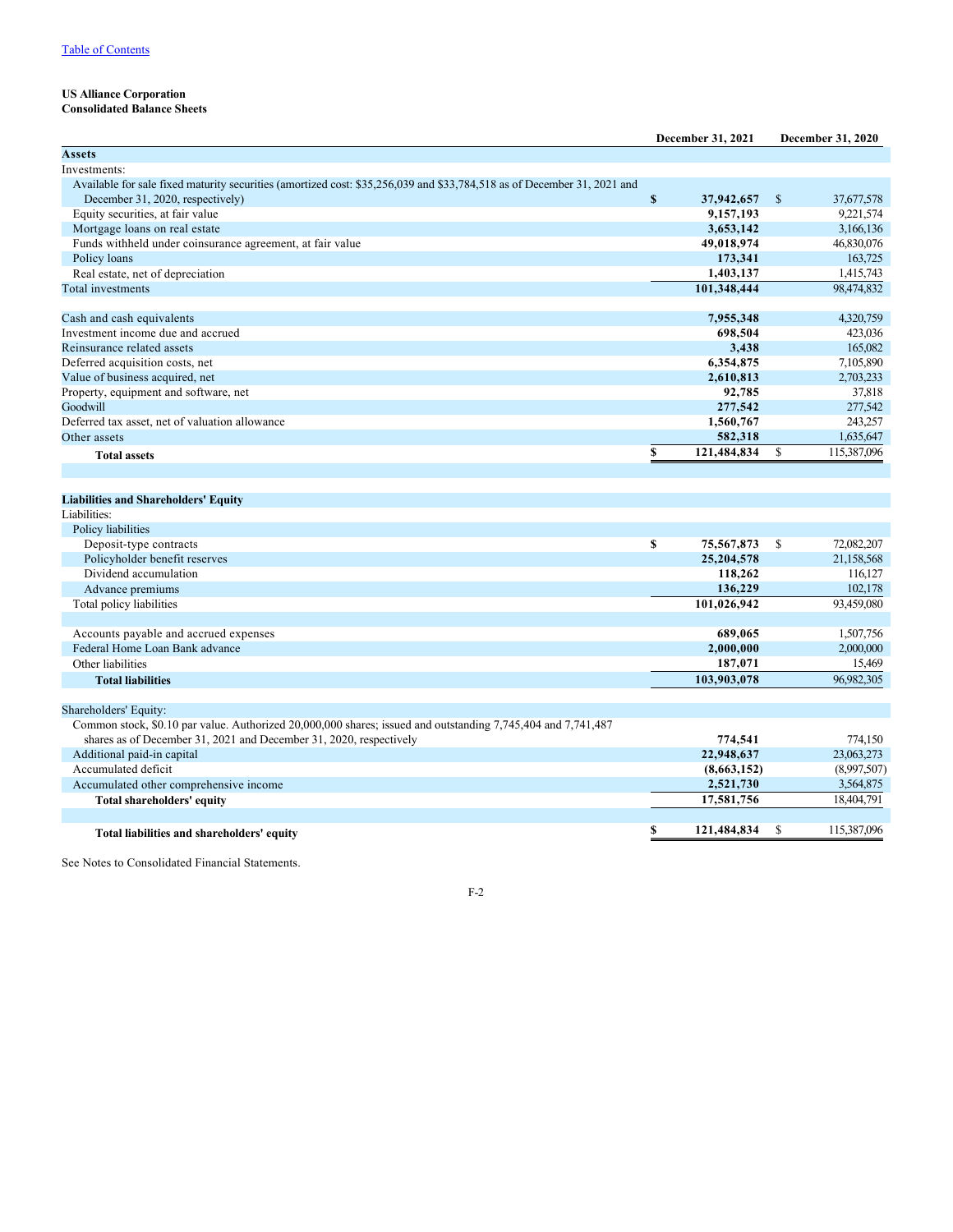# <span id="page-3-1"></span><span id="page-3-0"></span>**Consolidated Balance Sheets**

|                                                                                                                         |             | December 31, 2021 |               | December 31, 2020 |
|-------------------------------------------------------------------------------------------------------------------------|-------------|-------------------|---------------|-------------------|
| <b>Assets</b>                                                                                                           |             |                   |               |                   |
| Investments:                                                                                                            |             |                   |               |                   |
| Available for sale fixed maturity securities (amortized cost: \$35,256,039 and \$33,784,518 as of December 31, 2021 and |             |                   |               |                   |
| December 31, 2020, respectively)                                                                                        | $\mathbf S$ | 37,942,657        | $\mathcal{S}$ | 37,677,578        |
| Equity securities, at fair value                                                                                        |             | 9,157,193         |               | 9,221,574         |
| Mortgage loans on real estate                                                                                           |             | 3,653,142         |               | 3,166,136         |
| Funds withheld under coinsurance agreement, at fair value                                                               |             | 49,018,974        |               | 46,830,076        |
| Policy loans                                                                                                            |             | 173,341           |               | 163,725           |
| Real estate, net of depreciation                                                                                        |             | 1,403,137         |               | 1,415,743         |
| Total investments                                                                                                       |             | 101,348,444       |               | 98,474,832        |
|                                                                                                                         |             |                   |               |                   |
| Cash and cash equivalents                                                                                               |             | 7,955,348         |               | 4,320,759         |
| Investment income due and accrued                                                                                       |             | 698,504           |               | 423,036           |
| Reinsurance related assets                                                                                              |             | 3,438             |               | 165,082           |
| Deferred acquisition costs, net                                                                                         |             | 6,354,875         |               | 7,105,890         |
| Value of business acquired, net                                                                                         |             | 2,610,813         |               | 2,703,233         |
| Property, equipment and software, net                                                                                   |             | 92,785            |               | 37,818            |
| Goodwill                                                                                                                |             | 277,542           |               | 277,542           |
| Deferred tax asset, net of valuation allowance                                                                          |             | 1,560,767         |               | 243,257           |
| Other assets                                                                                                            |             | 582,318           |               | 1,635,647         |
| <b>Total assets</b>                                                                                                     | \$          | 121,484,834       | \$            | 115,387,096       |
|                                                                                                                         |             |                   |               |                   |
| <b>Liabilities and Shareholders' Equity</b>                                                                             |             |                   |               |                   |
| Liabilities:                                                                                                            |             |                   |               |                   |
| Policy liabilities                                                                                                      |             |                   |               |                   |
| Deposit-type contracts                                                                                                  | \$          | 75,567,873        | <sup>\$</sup> | 72,082,207        |
| Policyholder benefit reserves                                                                                           |             | 25,204,578        |               | 21,158,568        |
| Dividend accumulation                                                                                                   |             | 118,262           |               | 116,127           |
| Advance premiums                                                                                                        |             | 136,229           |               | 102,178           |
| Total policy liabilities                                                                                                |             | 101,026,942       |               | 93,459,080        |
|                                                                                                                         |             |                   |               |                   |
| Accounts payable and accrued expenses                                                                                   |             | 689,065           |               | 1,507,756         |
| Federal Home Loan Bank advance                                                                                          |             | 2,000,000         |               | 2,000,000         |
| Other liabilities                                                                                                       |             | 187,071           |               | 15,469            |
| <b>Total liabilities</b>                                                                                                |             | 103,903,078       |               | 96,982,305        |
|                                                                                                                         |             |                   |               |                   |
| Shareholders' Equity:                                                                                                   |             |                   |               |                   |
| Common stock, \$0.10 par value. Authorized 20,000,000 shares; issued and outstanding 7,745,404 and 7,741,487            |             |                   |               |                   |
| shares as of December 31, 2021 and December 31, 2020, respectively                                                      |             | 774,541           |               | 774,150           |
| Additional paid-in capital                                                                                              |             | 22,948,637        |               | 23,063,273        |
| Accumulated deficit                                                                                                     |             | (8,663,152)       |               | (8,997,507)       |
| Accumulated other comprehensive income                                                                                  |             | 2,521,730         |               | 3,564,875         |
| Total shareholders' equity                                                                                              |             | 17,581,756        |               | 18,404,791        |
|                                                                                                                         |             |                   |               |                   |
| Total liabilities and shareholders' equity                                                                              | S           | 121,484,834       | <sup>\$</sup> | 115,387,096       |

See Notes to Consolidated Financial Statements.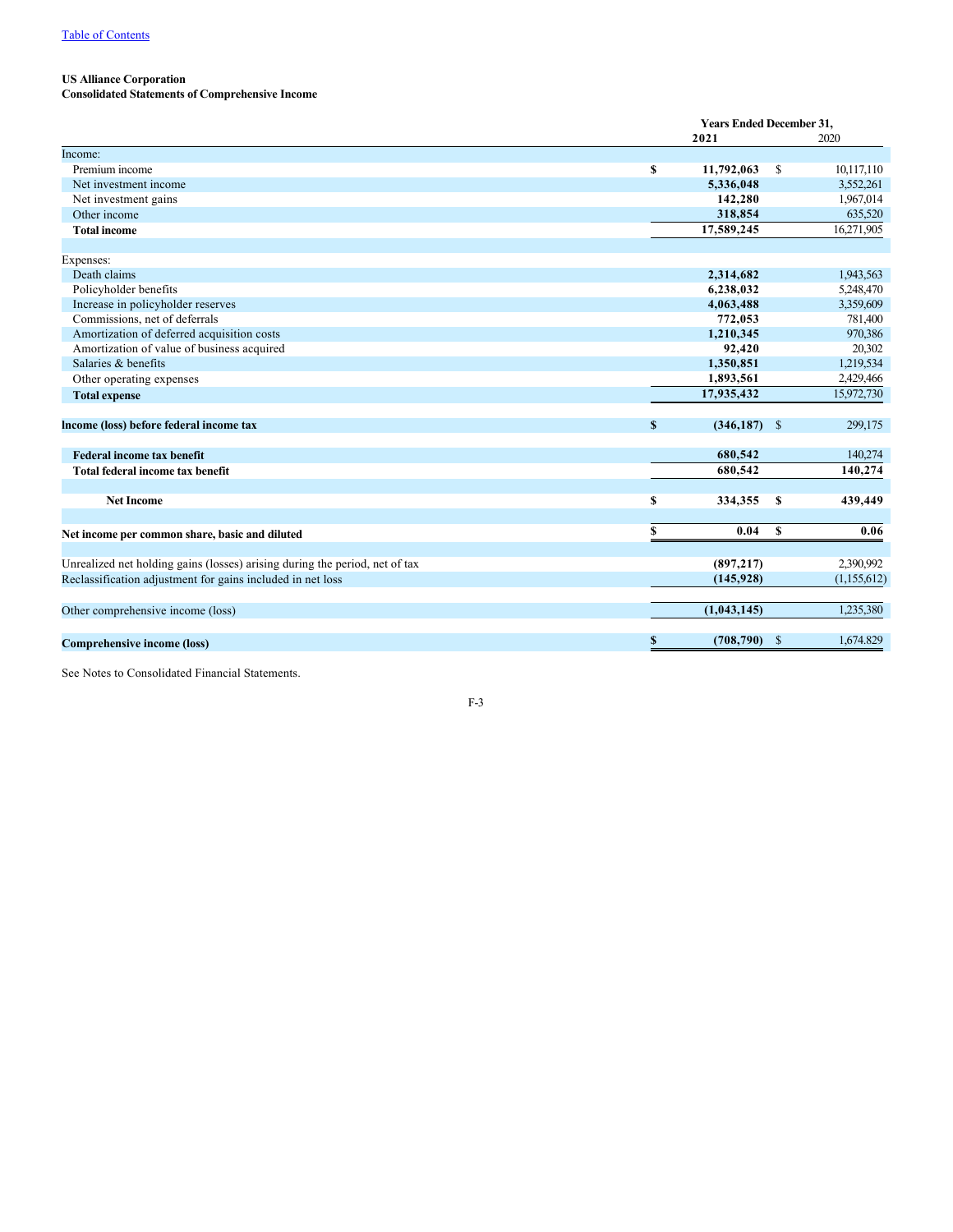### <span id="page-4-0"></span>**Consolidated Statements of Comprehensive Income**

|                                                                             |    | <b>Years Ended December 31,</b> |               |             |  |
|-----------------------------------------------------------------------------|----|---------------------------------|---------------|-------------|--|
|                                                                             |    | 2021                            |               | 2020        |  |
| Income:                                                                     |    |                                 |               |             |  |
| Premium income                                                              | \$ | 11,792,063                      | <sup>\$</sup> | 10,117,110  |  |
| Net investment income                                                       |    | 5,336,048                       |               | 3,552,261   |  |
| Net investment gains                                                        |    | 142,280                         |               | 1,967,014   |  |
| Other income                                                                |    | 318,854                         |               | 635,520     |  |
| <b>Total income</b>                                                         |    | 17,589,245                      |               | 16,271,905  |  |
| Expenses:                                                                   |    |                                 |               |             |  |
| Death claims                                                                |    | 2,314,682                       |               | 1,943,563   |  |
| Policyholder benefits                                                       |    | 6,238,032                       |               | 5,248,470   |  |
| Increase in policyholder reserves                                           |    | 4,063,488                       |               | 3,359,609   |  |
| Commissions, net of deferrals                                               |    | 772,053                         |               | 781,400     |  |
| Amortization of deferred acquisition costs                                  |    | 1,210,345                       |               | 970,386     |  |
| Amortization of value of business acquired                                  |    | 92,420                          |               | 20,302      |  |
| Salaries & benefits                                                         |    | 1,350,851                       |               | 1,219,534   |  |
| Other operating expenses                                                    |    | 1,893,561                       |               | 2,429,466   |  |
| <b>Total expense</b>                                                        |    | 17,935,432                      |               | 15,972,730  |  |
| Income (loss) before federal income tax                                     | S  | $(346, 187)$ \$                 |               | 299,175     |  |
| <b>Federal income tax benefit</b>                                           |    | 680,542                         |               | 140,274     |  |
| Total federal income tax benefit                                            |    | 680,542                         |               | 140,274     |  |
| <b>Net Income</b>                                                           | S  | 334,355                         | -S            | 439,449     |  |
| Net income per common share, basic and diluted                              | \$ | 0.04                            | <b>S</b>      | 0.06        |  |
| Unrealized net holding gains (losses) arising during the period, net of tax |    | (897, 217)                      |               | 2,390,992   |  |
|                                                                             |    |                                 |               |             |  |
| Reclassification adjustment for gains included in net loss                  |    | (145, 928)                      |               | (1,155,612) |  |
| Other comprehensive income (loss)                                           |    | (1,043,145)                     |               | 1,235,380   |  |
| Comprehensive income (loss)                                                 | \$ | $(708, 790)$ \$                 |               | 1.674.829   |  |
|                                                                             |    |                                 |               |             |  |

See Notes to Consolidated Financial Statements.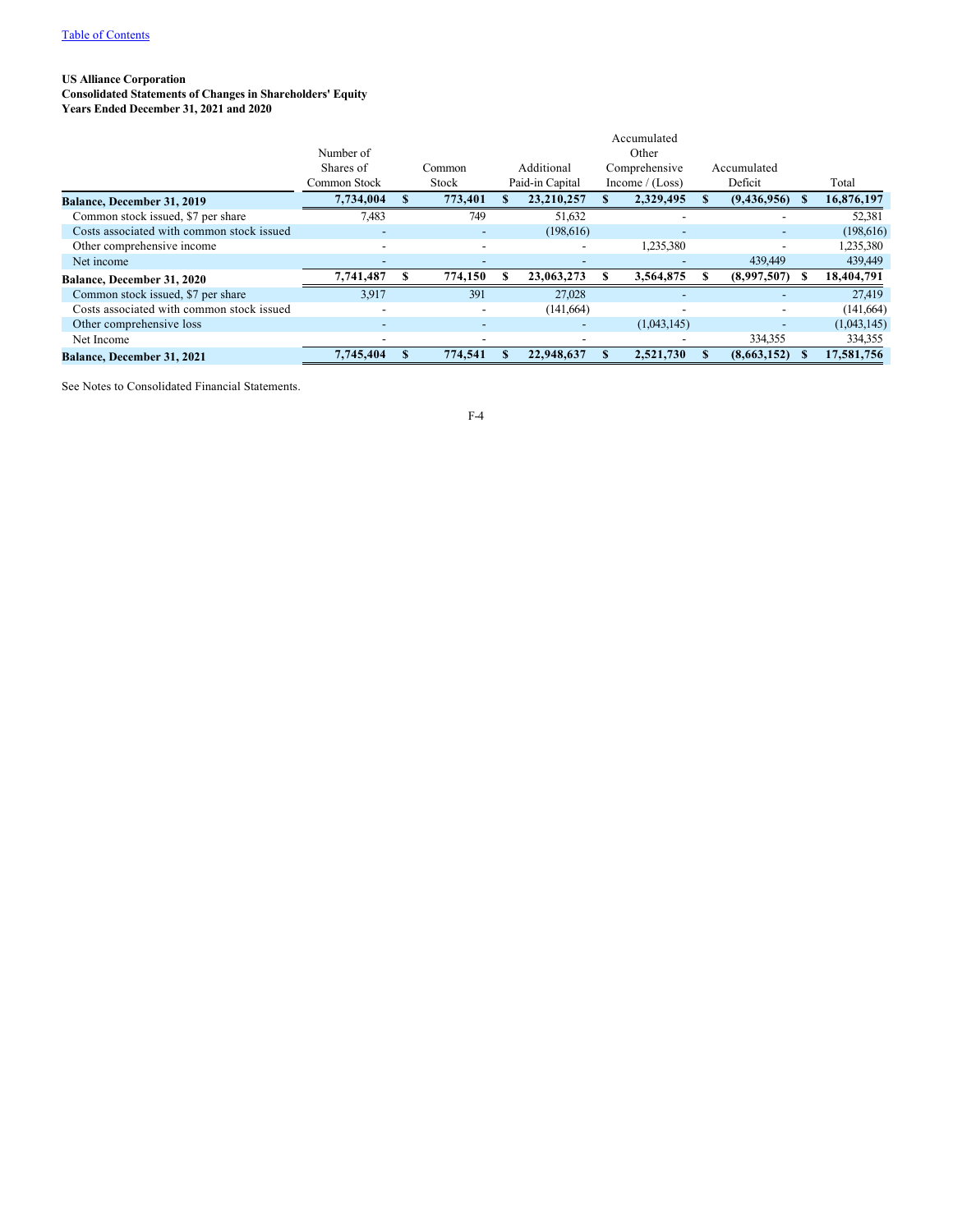<span id="page-5-0"></span>**Consolidated Statements of Changes in Shareholders' Equity**

**Years Ended December 31, 2021 and 2020**

|                                           |              |                          |                 | Accumulated              |                          |     |             |
|-------------------------------------------|--------------|--------------------------|-----------------|--------------------------|--------------------------|-----|-------------|
|                                           | Number of    |                          |                 | Other                    |                          |     |             |
|                                           | Shares of    | Common                   | Additional      | Comprehensive            | Accumulated              |     |             |
|                                           | Common Stock | Stock                    | Paid-in Capital | Income / $(Loss)$        | Deficit                  |     | Total       |
| <b>Balance, December 31, 2019</b>         | 7.734.004    | 773,401                  | 23,210,257      | 2,329,495                | (9,436,956)              | -35 | 16,876,197  |
| Common stock issued, \$7 per share        | 7,483        | 749                      | 51,632          |                          |                          |     | 52,381      |
| Costs associated with common stock issued | -            | $\overline{\phantom{a}}$ | (198,616)       | $\overline{\phantom{0}}$ |                          |     | (198, 616)  |
| Other comprehensive income                |              |                          |                 | 1,235,380                | $\overline{\phantom{a}}$ |     | 1,235,380   |
| Net income                                | ۰            |                          |                 |                          | 439,449                  |     | 439,449     |
| Balance, December 31, 2020                | 7,741,487    | 774,150                  | 23,063,273      | 3,564,875                | (8,997,507)              | Ж.  | 18,404,791  |
| Common stock issued, \$7 per share        | 3.917        | 391                      | 27,028          | $\overline{\phantom{0}}$ |                          |     | 27,419      |
| Costs associated with common stock issued |              | $\overline{\phantom{a}}$ | (141, 664)      |                          |                          |     | (141, 664)  |
| Other comprehensive loss                  | -            |                          |                 | (1,043,145)              |                          |     | (1,043,145) |
| Net Income                                |              |                          |                 |                          | 334,355                  |     | 334,355     |
| <b>Balance, December 31, 2021</b>         | 7,745,404    | 774.541                  | 22.948.637      | 2,521,730                | (8,663,152)              |     | 17,581,756  |

See Notes to Consolidated Financial Statements.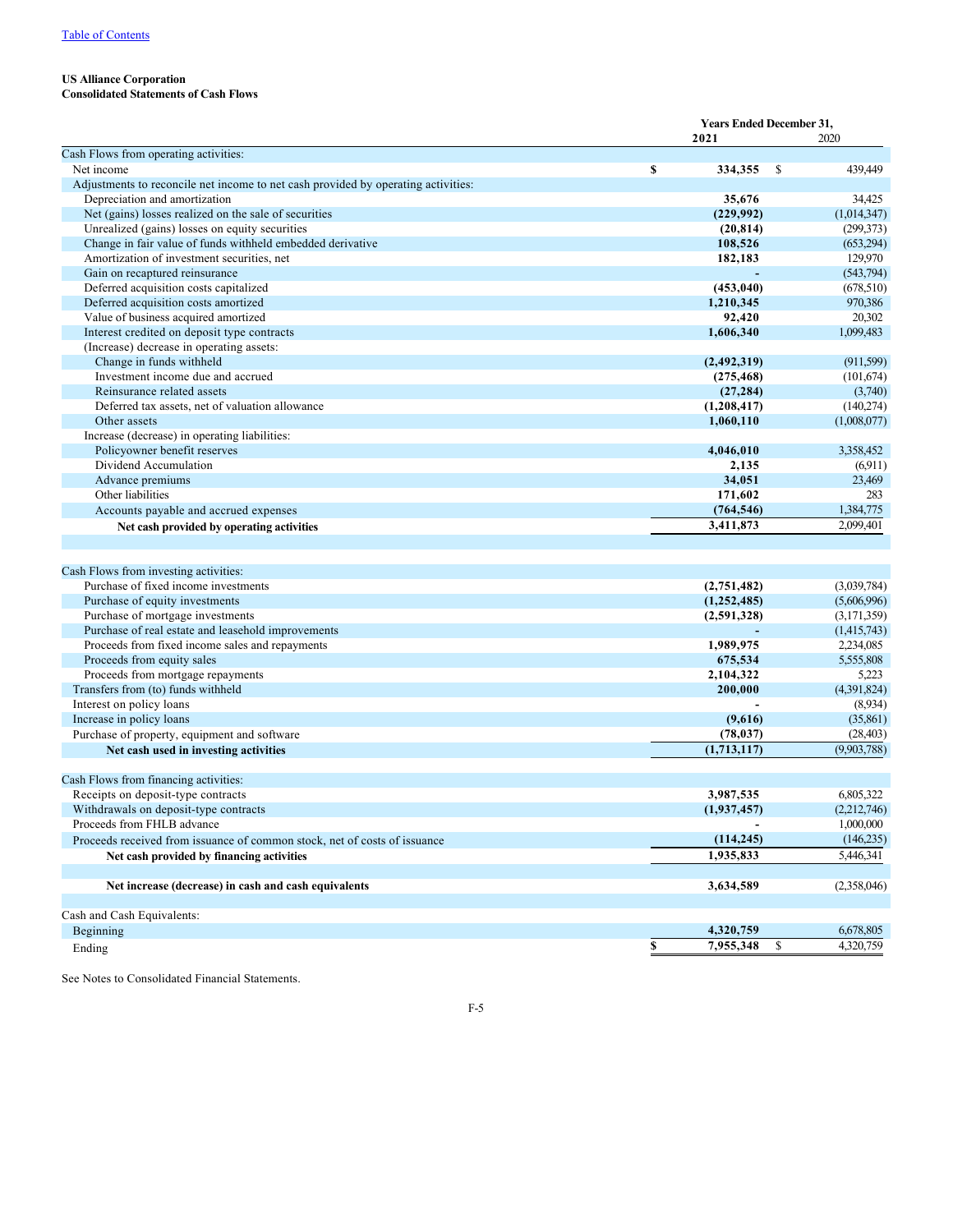<span id="page-6-0"></span>**Consolidated Statements of Cash Flows**

|                                                                                                                                                                                                         | <b>Years Ended December 31,</b> |                                        |    |             |  |
|---------------------------------------------------------------------------------------------------------------------------------------------------------------------------------------------------------|---------------------------------|----------------------------------------|----|-------------|--|
|                                                                                                                                                                                                         |                                 | 2021                                   |    | 2020        |  |
| Cash Flows from operating activities:                                                                                                                                                                   |                                 |                                        |    |             |  |
| Net income                                                                                                                                                                                              | S                               | 334,355                                | -S | 439,449     |  |
| Adjustments to reconcile net income to net cash provided by operating activities:                                                                                                                       |                                 |                                        |    |             |  |
| Depreciation and amortization                                                                                                                                                                           |                                 | 35,676                                 |    | 34,425      |  |
| Net (gains) losses realized on the sale of securities                                                                                                                                                   |                                 | (229, 992)                             |    | (1,014,347) |  |
| Unrealized (gains) losses on equity securities                                                                                                                                                          |                                 | (20, 814)                              |    | (299, 373)  |  |
| Change in fair value of funds withheld embedded derivative                                                                                                                                              |                                 | 108,526                                |    | (653,294)   |  |
| Amortization of investment securities, net                                                                                                                                                              |                                 | 182,183                                |    | 129,970     |  |
| Gain on recaptured reinsurance                                                                                                                                                                          |                                 |                                        |    | (543, 794)  |  |
| Deferred acquisition costs capitalized                                                                                                                                                                  |                                 | (453, 040)                             |    | (678, 510)  |  |
| Deferred acquisition costs amortized                                                                                                                                                                    |                                 | 1,210,345                              |    | 970,386     |  |
| Value of business acquired amortized                                                                                                                                                                    |                                 | 92,420                                 |    | 20,302      |  |
| Interest credited on deposit type contracts                                                                                                                                                             |                                 | 1,606,340                              |    | 1,099,483   |  |
| (Increase) decrease in operating assets:                                                                                                                                                                |                                 |                                        |    |             |  |
| Change in funds withheld                                                                                                                                                                                |                                 | (2, 492, 319)                          |    | (911, 599)  |  |
| Investment income due and accrued                                                                                                                                                                       |                                 | (275, 468)                             |    | (101,674)   |  |
| Reinsurance related assets                                                                                                                                                                              |                                 | (27, 284)                              |    | (3,740)     |  |
| Deferred tax assets, net of valuation allowance                                                                                                                                                         |                                 | (1,208,417)                            |    | (140,274)   |  |
| Other assets                                                                                                                                                                                            |                                 | 1,060,110                              |    | (1,008,077) |  |
| Increase (decrease) in operating liabilities:                                                                                                                                                           |                                 |                                        |    |             |  |
| Policyowner benefit reserves                                                                                                                                                                            |                                 | 4,046,010                              |    | 3,358,452   |  |
| Dividend Accumulation                                                                                                                                                                                   |                                 | 2,135                                  |    | (6,911)     |  |
| Advance premiums                                                                                                                                                                                        |                                 | 34,051                                 |    | 23,469      |  |
| Other liabilities                                                                                                                                                                                       |                                 | 171,602                                |    | 283         |  |
| Accounts payable and accrued expenses                                                                                                                                                                   |                                 | (764, 546)                             |    | 1,384,775   |  |
| Net cash provided by operating activities                                                                                                                                                               |                                 | 3,411,873                              |    | 2,099,401   |  |
|                                                                                                                                                                                                         |                                 |                                        |    |             |  |
| Cash Flows from investing activities:                                                                                                                                                                   |                                 |                                        |    |             |  |
| Purchase of fixed income investments                                                                                                                                                                    |                                 | (2,751,482)                            |    | (3,039,784) |  |
| Purchase of equity investments                                                                                                                                                                          |                                 | (1,252,485)                            |    | (5,606,996) |  |
| Purchase of mortgage investments                                                                                                                                                                        |                                 | (2,591,328)                            |    | (3,171,359) |  |
| Purchase of real estate and leasehold improvements                                                                                                                                                      |                                 |                                        |    | (1,415,743) |  |
| Proceeds from fixed income sales and repayments                                                                                                                                                         |                                 | 1,989,975                              |    | 2,234,085   |  |
| Proceeds from equity sales                                                                                                                                                                              |                                 | 675,534                                |    | 5,555,808   |  |
| Proceeds from mortgage repayments                                                                                                                                                                       |                                 | 2,104,322                              |    | 5,223       |  |
| Transfers from (to) funds withheld                                                                                                                                                                      |                                 | 200,000                                |    | (4,391,824) |  |
| Interest on policy loans                                                                                                                                                                                |                                 |                                        |    | (8,934)     |  |
| Increase in policy loans                                                                                                                                                                                |                                 | (9,616)                                |    | (35, 861)   |  |
| Purchase of property, equipment and software                                                                                                                                                            |                                 | (78, 037)                              |    | (28, 403)   |  |
| Net cash used in investing activities                                                                                                                                                                   |                                 | (1,713,117)                            |    | (9,903,788) |  |
| Cash Flows from financing activities:                                                                                                                                                                   |                                 |                                        |    |             |  |
| Receipts on deposit-type contracts                                                                                                                                                                      |                                 | 3,987,535                              |    | 6,805,322   |  |
|                                                                                                                                                                                                         |                                 |                                        |    | (2,212,746) |  |
|                                                                                                                                                                                                         |                                 |                                        |    | 1,000,000   |  |
|                                                                                                                                                                                                         |                                 |                                        |    | (146, 235)  |  |
|                                                                                                                                                                                                         |                                 |                                        |    | 5,446,341   |  |
|                                                                                                                                                                                                         |                                 |                                        |    |             |  |
| Net increase (decrease) in cash and cash equivalents                                                                                                                                                    |                                 | 3,634,589                              |    | (2,358,046) |  |
| Cash and Cash Equivalents:                                                                                                                                                                              |                                 |                                        |    |             |  |
| Beginning                                                                                                                                                                                               |                                 | 4,320,759                              |    | 6,678,805   |  |
|                                                                                                                                                                                                         | \$                              | 7,955,348                              | \$ | 4,320,759   |  |
| Withdrawals on deposit-type contracts<br>Proceeds from FHLB advance<br>Proceeds received from issuance of common stock, net of costs of issuance<br>Net cash provided by financing activities<br>Ending |                                 | (1,937,457)<br>(114, 245)<br>1,935,833 |    |             |  |

See Notes to Consolidated Financial Statements.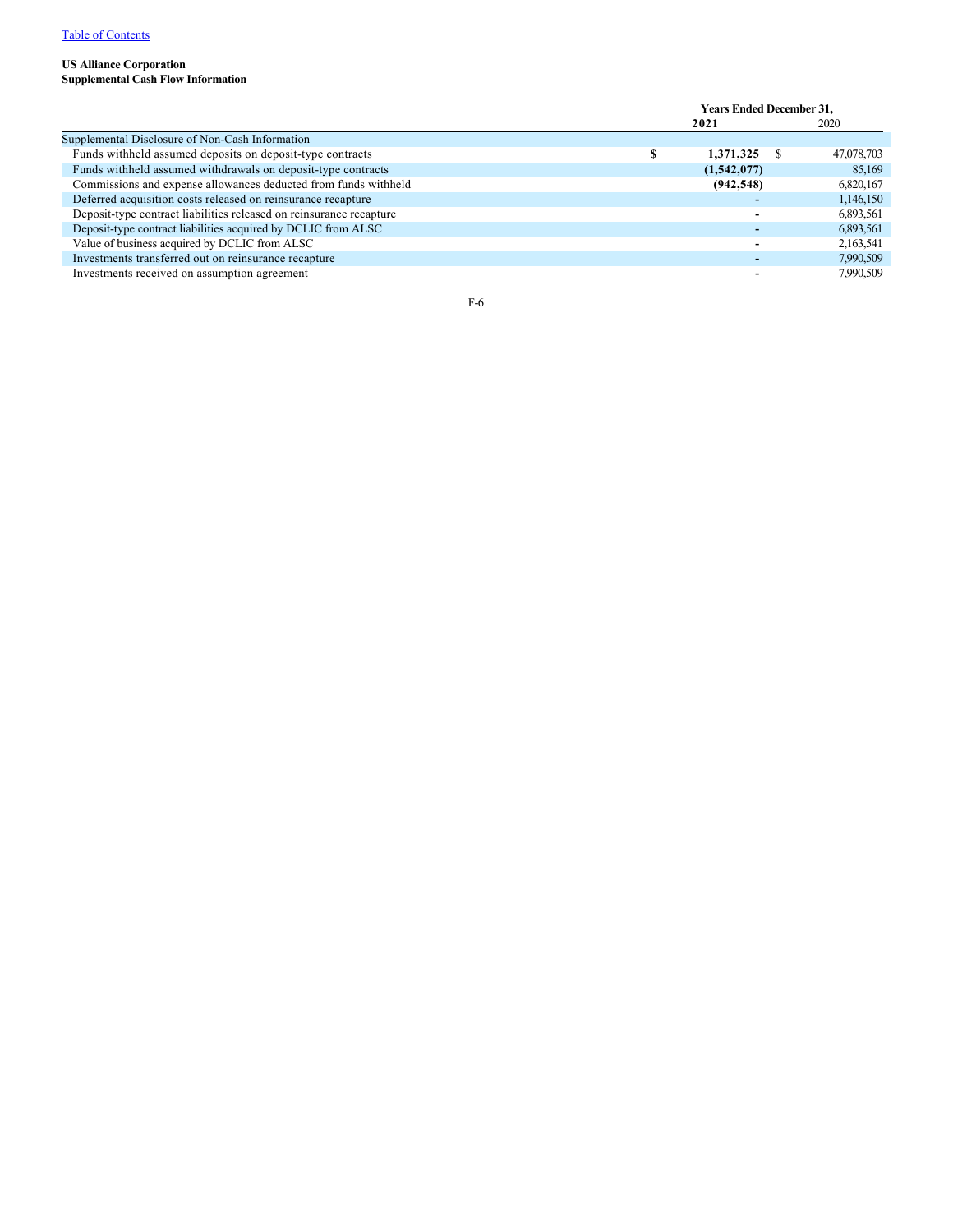## <span id="page-7-0"></span>**US Alliance Corporation Supplemental Cash Flow Information**

|                                                                     | <b>Years Ended December 31,</b> |  |            |  |  |
|---------------------------------------------------------------------|---------------------------------|--|------------|--|--|
|                                                                     | 2021                            |  | 2020       |  |  |
| Supplemental Disclosure of Non-Cash Information                     |                                 |  |            |  |  |
| Funds withheld assumed deposits on deposit-type contracts           | 1,371,325                       |  | 47,078,703 |  |  |
| Funds withheld assumed withdrawals on deposit-type contracts        | (1,542,077)                     |  | 85,169     |  |  |
| Commissions and expense allowances deducted from funds withheld     | (942, 548)                      |  | 6,820,167  |  |  |
| Deferred acquisition costs released on reinsurance recapture        |                                 |  | 1,146,150  |  |  |
| Deposit-type contract liabilities released on reinsurance recapture |                                 |  | 6,893,561  |  |  |
| Deposit-type contract liabilities acquired by DCLIC from ALSC       |                                 |  | 6,893,561  |  |  |
| Value of business acquired by DCLIC from ALSC                       |                                 |  | 2,163,541  |  |  |
| Investments transferred out on reinsurance recapture                |                                 |  | 7,990,509  |  |  |
| Investments received on assumption agreement                        |                                 |  | 7,990,509  |  |  |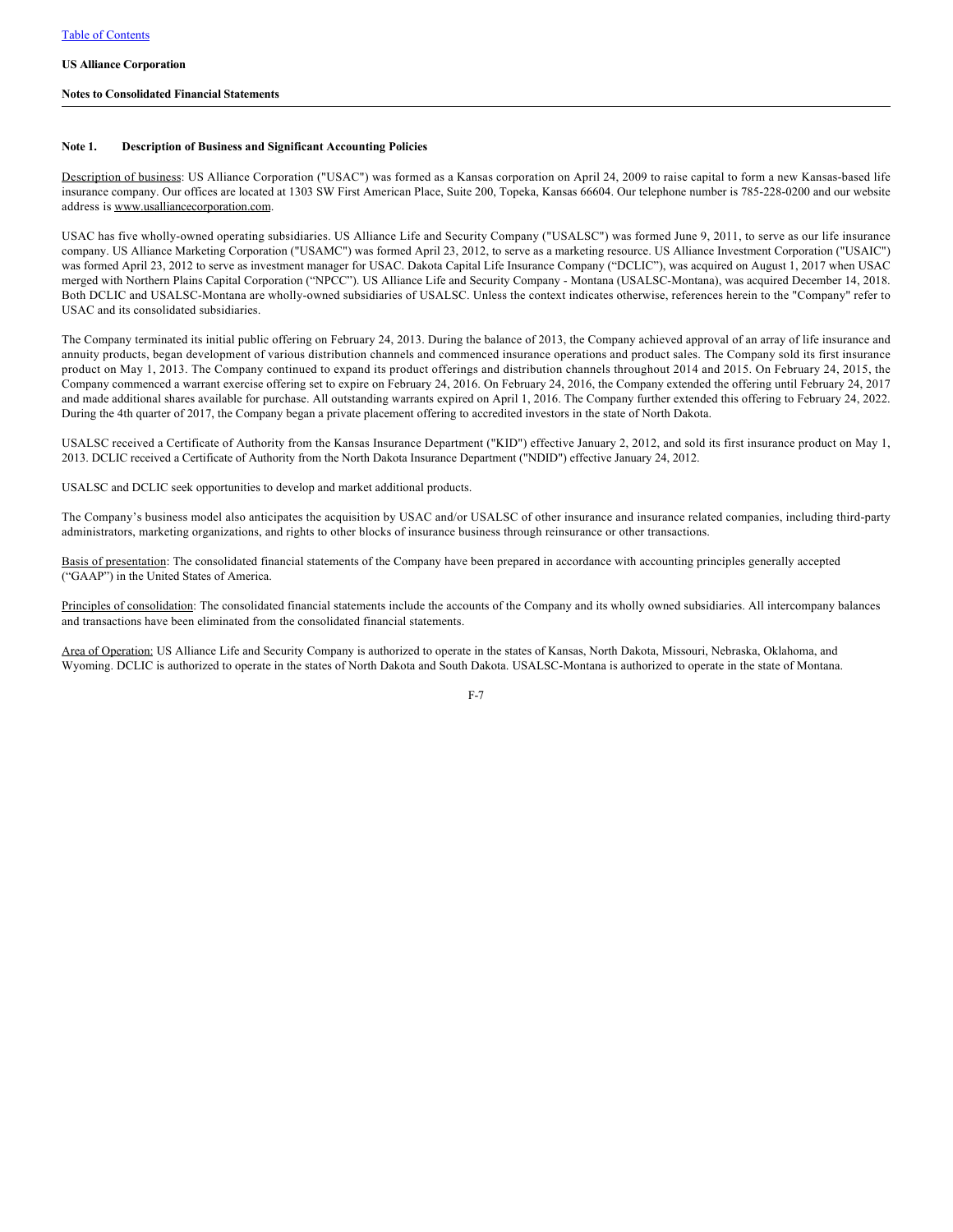### <span id="page-8-0"></span>**Notes to Consolidated Financial Statements**

### **Note 1. Description of Business and Significant Accounting Policies**

Description of business: US Alliance Corporation ("USAC") was formed as a Kansas corporation on April 24, 2009 to raise capital to form a new Kansas-based life insurance company. Our offices are located at 1303 SW First American Place, Suite 200, Topeka, Kansas 66604. Our telephone number is 785-228-0200 and our website address is www.usalliancecorporation.com.

USAC has five wholly-owned operating subsidiaries. US Alliance Life and Security Company ("USALSC") was formed June 9, 2011, to serve as our life insurance company. US Alliance Marketing Corporation ("USAMC") was formed April 23, 2012, to serve as a marketing resource. US Alliance Investment Corporation ("USAIC") was formed April 23, 2012 to serve as investment manager for USAC. Dakota Capital Life Insurance Company ("DCLIC"), was acquired on August 1, 2017 when USAC merged with Northern Plains Capital Corporation ("NPCC"). US Alliance Life and Security Company - Montana (USALSC-Montana), was acquired December 14, 2018. Both DCLIC and USALSC-Montana are wholly-owned subsidiaries of USALSC. Unless the context indicates otherwise, references herein to the "Company" refer to USAC and its consolidated subsidiaries.

The Company terminated its initial public offering on February 24, 2013. During the balance of 2013, the Company achieved approval of an array of life insurance and annuity products, began development of various distribution channels and commenced insurance operations and product sales. The Company sold its first insurance product on May 1, 2013. The Company continued to expand its product offerings and distribution channels throughout 2014 and 2015. On February 24, 2015, the Company commenced a warrant exercise offering set to expire on February 24, 2016. On February 24, 2016, the Company extended the offering until February 24, 2017 and made additional shares available for purchase. All outstanding warrants expired on April 1, 2016. The Company further extended this offering to February 24, 2022. During the 4th quarter of 2017, the Company began a private placement offering to accredited investors in the state of North Dakota.

USALSC received a Certificate of Authority from the Kansas Insurance Department ("KID") effective January 2, 2012, and sold its first insurance product on May 1, 2013. DCLIC received a Certificate of Authority from the North Dakota Insurance Department ("NDID") effective January 24, 2012.

USALSC and DCLIC seek opportunities to develop and market additional products.

The Company's business model also anticipates the acquisition by USAC and/or USALSC of other insurance and insurance related companies, including third-party administrators, marketing organizations, and rights to other blocks of insurance business through reinsurance or other transactions.

Basis of presentation: The consolidated financial statements of the Company have been prepared in accordance with accounting principles generally accepted ("GAAP") in the United States of America.

Principles of consolidation: The consolidated financial statements include the accounts of the Company and its wholly owned subsidiaries. All intercompany balances and transactions have been eliminated from the consolidated financial statements.

Area of Operation: US Alliance Life and Security Company is authorized to operate in the states of Kansas, North Dakota, Missouri, Nebraska, Oklahoma, and Wyoming. DCLIC is authorized to operate in the states of North Dakota and South Dakota. USALSC-Montana is authorized to operate in the state of Montana.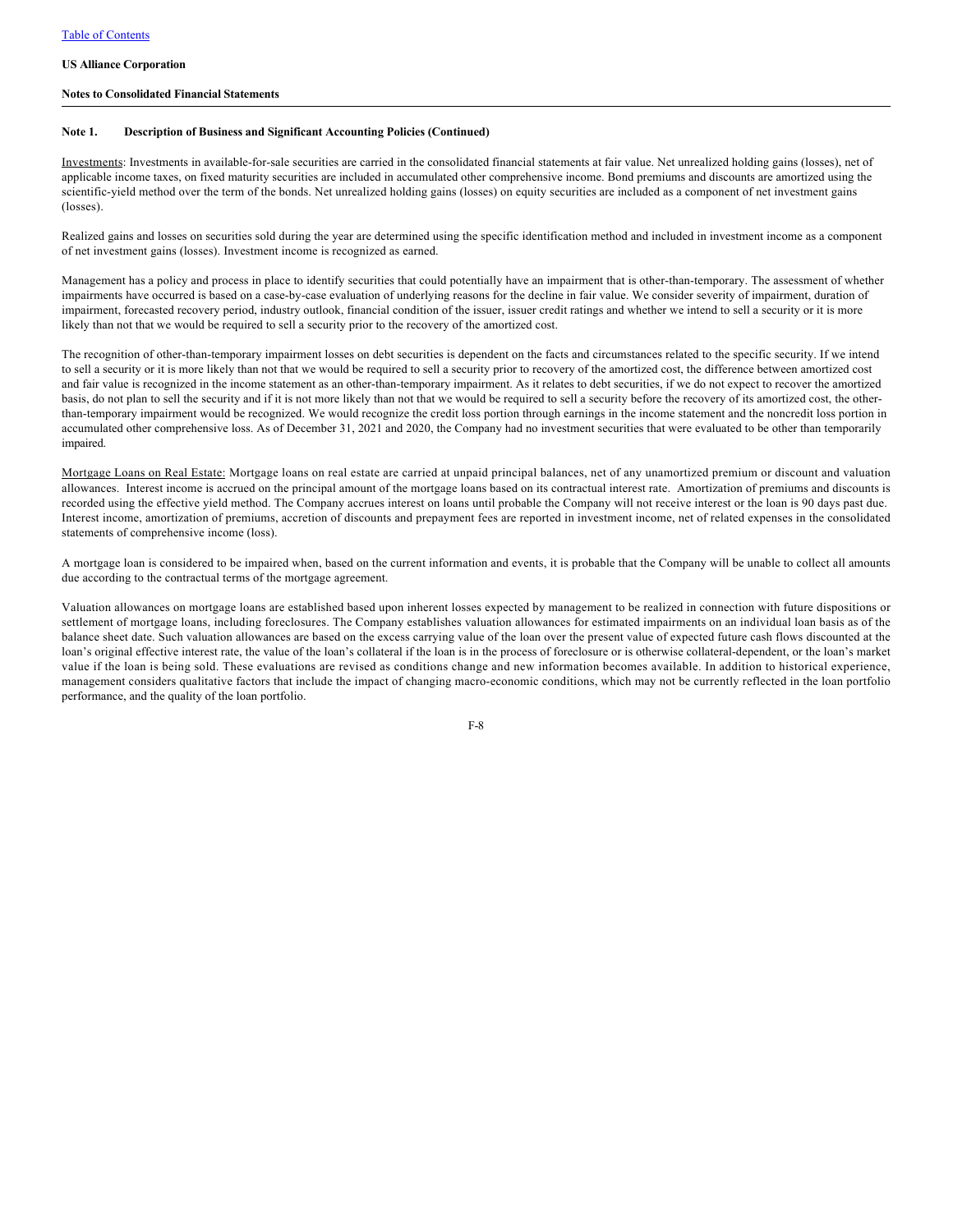### **Notes to Consolidated Financial Statements**

### **Note 1. Description of Business and Significant Accounting Policies (Continued)**

Investments: Investments in available-for-sale securities are carried in the consolidated financial statements at fair value. Net unrealized holding gains (losses), net of applicable income taxes, on fixed maturity securities are included in accumulated other comprehensive income. Bond premiums and discounts are amortized using the scientific-yield method over the term of the bonds. Net unrealized holding gains (losses) on equity securities are included as a component of net investment gains (losses).

Realized gains and losses on securities sold during the year are determined using the specific identification method and included in investment income as a component of net investment gains (losses). Investment income is recognized as earned.

Management has a policy and process in place to identify securities that could potentially have an impairment that is other-than-temporary. The assessment of whether impairments have occurred is based on a case-by-case evaluation of underlying reasons for the decline in fair value. We consider severity of impairment, duration of impairment, forecasted recovery period, industry outlook, financial condition of the issuer, issuer credit ratings and whether we intend to sell a security or it is more likely than not that we would be required to sell a security prior to the recovery of the amortized cost.

The recognition of other-than-temporary impairment losses on debt securities is dependent on the facts and circumstances related to the specific security. If we intend to sell a security or it is more likely than not that we would be required to sell a security prior to recovery of the amortized cost, the difference between amortized cost and fair value is recognized in the income statement as an other-than-temporary impairment. As it relates to debt securities, if we do not expect to recover the amortized basis, do not plan to sell the security and if it is not more likely than not that we would be required to sell a security before the recovery of its amortized cost, the otherthan-temporary impairment would be recognized. We would recognize the credit loss portion through earnings in the income statement and the noncredit loss portion in accumulated other comprehensive loss. As of December 31, 2021 and 2020, the Company had no investment securities that were evaluated to be other than temporarily impaired.

Mortgage Loans on Real Estate: Mortgage loans on real estate are carried at unpaid principal balances, net of any unamortized premium or discount and valuation allowances. Interest income is accrued on the principal amount of the mortgage loans based on its contractual interest rate. Amortization of premiums and discounts is recorded using the effective yield method. The Company accrues interest on loans until probable the Company will not receive interest or the loan is 90 days past due. Interest income, amortization of premiums, accretion of discounts and prepayment fees are reported in investment income, net of related expenses in the consolidated statements of comprehensive income (loss).

A mortgage loan is considered to be impaired when, based on the current information and events, it is probable that the Company will be unable to collect all amounts due according to the contractual terms of the mortgage agreement.

Valuation allowances on mortgage loans are established based upon inherent losses expected by management to be realized in connection with future dispositions or settlement of mortgage loans, including foreclosures. The Company establishes valuation allowances for estimated impairments on an individual loan basis as of the balance sheet date. Such valuation allowances are based on the excess carrying value of the loan over the present value of expected future cash flows discounted at the loan's original effective interest rate, the value of the loan's collateral if the loan is in the process of foreclosure or is otherwise collateral-dependent, or the loan's market value if the loan is being sold. These evaluations are revised as conditions change and new information becomes available. In addition to historical experience, management considers qualitative factors that include the impact of changing macro-economic conditions, which may not be currently reflected in the loan portfolio performance, and the quality of the loan portfolio.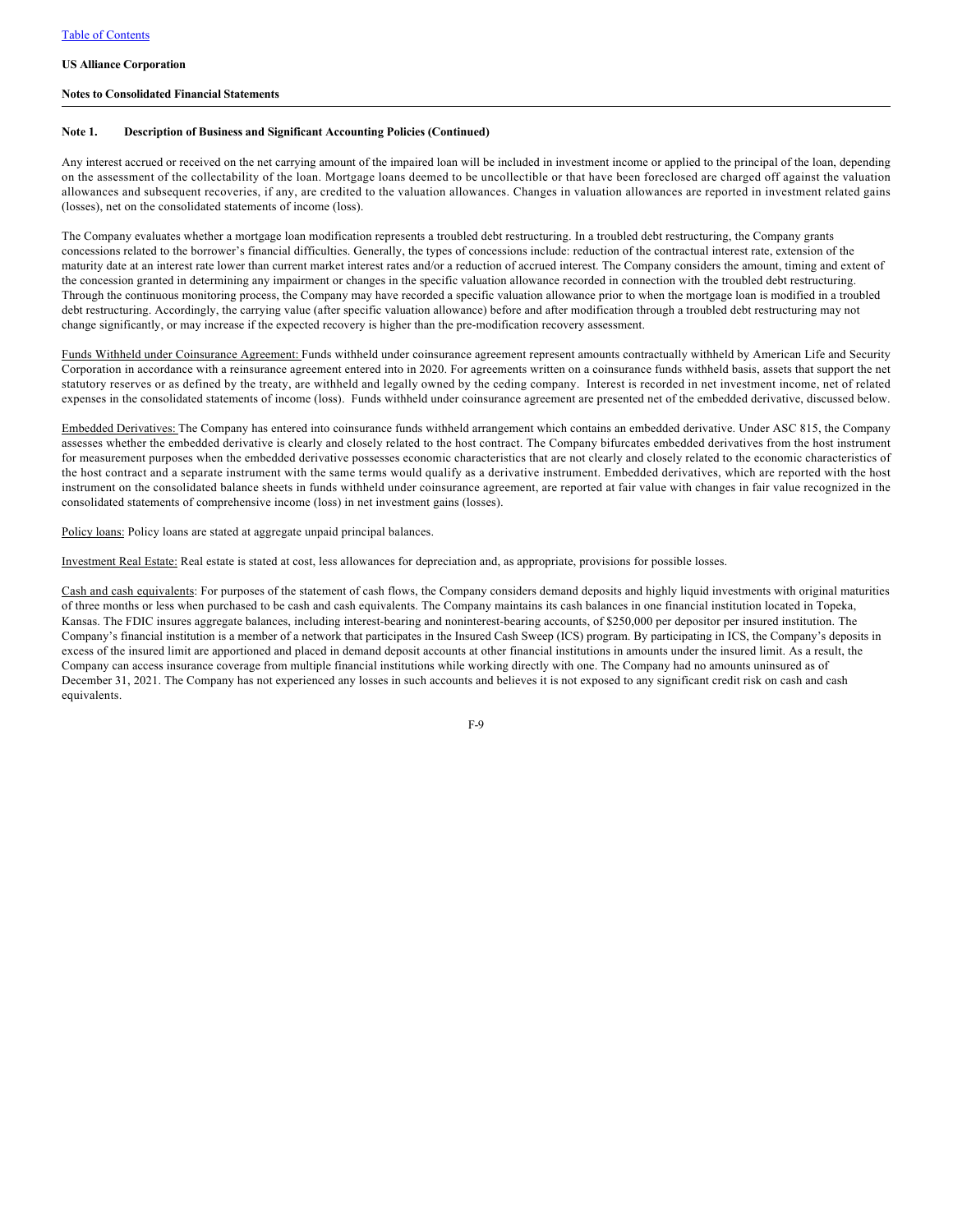### **Notes to Consolidated Financial Statements**

### **Note 1. Description of Business and Significant Accounting Policies (Continued)**

Any interest accrued or received on the net carrying amount of the impaired loan will be included in investment income or applied to the principal of the loan, depending on the assessment of the collectability of the loan. Mortgage loans deemed to be uncollectible or that have been foreclosed are charged off against the valuation allowances and subsequent recoveries, if any, are credited to the valuation allowances. Changes in valuation allowances are reported in investment related gains (losses), net on the consolidated statements of income (loss).

The Company evaluates whether a mortgage loan modification represents a troubled debt restructuring. In a troubled debt restructuring, the Company grants concessions related to the borrower's financial difficulties. Generally, the types of concessions include: reduction of the contractual interest rate, extension of the maturity date at an interest rate lower than current market interest rates and/or a reduction of accrued interest. The Company considers the amount, timing and extent of the concession granted in determining any impairment or changes in the specific valuation allowance recorded in connection with the troubled debt restructuring. Through the continuous monitoring process, the Company may have recorded a specific valuation allowance prior to when the mortgage loan is modified in a troubled debt restructuring. Accordingly, the carrying value (after specific valuation allowance) before and after modification through a troubled debt restructuring may not change significantly, or may increase if the expected recovery is higher than the pre-modification recovery assessment.

Funds Withheld under Coinsurance Agreement: Funds withheld under coinsurance agreement represent amounts contractually withheld by American Life and Security Corporation in accordance with a reinsurance agreement entered into in 2020. For agreements written on a coinsurance funds withheld basis, assets that support the net statutory reserves or as defined by the treaty, are withheld and legally owned by the ceding company. Interest is recorded in net investment income, net of related expenses in the consolidated statements of income (loss). Funds withheld under coinsurance agreement are presented net of the embedded derivative, discussed below.

Embedded Derivatives: The Company has entered into coinsurance funds withheld arrangement which contains an embedded derivative. Under ASC 815, the Company assesses whether the embedded derivative is clearly and closely related to the host contract. The Company bifurcates embedded derivatives from the host instrument for measurement purposes when the embedded derivative possesses economic characteristics that are not clearly and closely related to the economic characteristics of the host contract and a separate instrument with the same terms would qualify as a derivative instrument. Embedded derivatives, which are reported with the host instrument on the consolidated balance sheets in funds withheld under coinsurance agreement, are reported at fair value with changes in fair value recognized in the consolidated statements of comprehensive income (loss) in net investment gains (losses).

Policy loans: Policy loans are stated at aggregate unpaid principal balances.

Investment Real Estate: Real estate is stated at cost, less allowances for depreciation and, as appropriate, provisions for possible losses.

Cash and cash equivalents: For purposes of the statement of cash flows, the Company considers demand deposits and highly liquid investments with original maturities of three months or less when purchased to be cash and cash equivalents. The Company maintains its cash balances in one financial institution located in Topeka, Kansas. The FDIC insures aggregate balances, including interest-bearing and noninterest-bearing accounts, of \$250,000 per depositor per insured institution. The Company's financial institution is a member of a network that participates in the Insured Cash Sweep (ICS) program. By participating in ICS, the Company's deposits in excess of the insured limit are apportioned and placed in demand deposit accounts at other financial institutions in amounts under the insured limit. As a result, the Company can access insurance coverage from multiple financial institutions while working directly with one. The Company had no amounts uninsured as of December 31, 2021. The Company has not experienced any losses in such accounts and believes it is not exposed to any significant credit risk on cash and cash equivalents.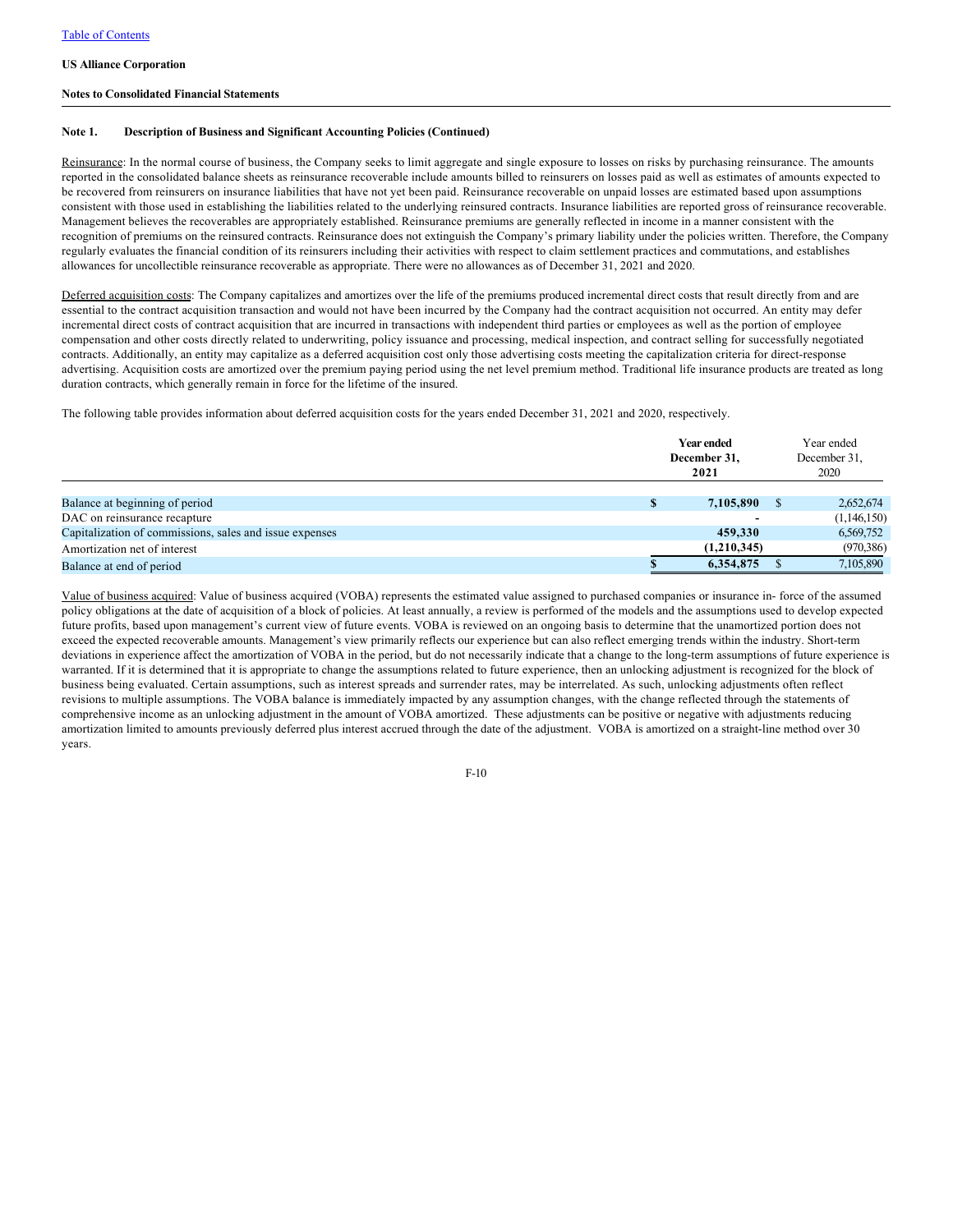### **Notes to Consolidated Financial Statements**

### **Note 1. Description of Business and Significant Accounting Policies (Continued)**

Reinsurance: In the normal course of business, the Company seeks to limit aggregate and single exposure to losses on risks by purchasing reinsurance. The amounts reported in the consolidated balance sheets as reinsurance recoverable include amounts billed to reinsurers on losses paid as well as estimates of amounts expected to be recovered from reinsurers on insurance liabilities that have not yet been paid. Reinsurance recoverable on unpaid losses are estimated based upon assumptions consistent with those used in establishing the liabilities related to the underlying reinsured contracts. Insurance liabilities are reported gross of reinsurance recoverable. Management believes the recoverables are appropriately established. Reinsurance premiums are generally reflected in income in a manner consistent with the recognition of premiums on the reinsured contracts. Reinsurance does not extinguish the Company's primary liability under the policies written. Therefore, the Company regularly evaluates the financial condition of its reinsurers including their activities with respect to claim settlement practices and commutations, and establishes allowances for uncollectible reinsurance recoverable as appropriate. There were no allowances as of December 31, 2021 and 2020.

Deferred acquisition costs: The Company capitalizes and amortizes over the life of the premiums produced incremental direct costs that result directly from and are essential to the contract acquisition transaction and would not have been incurred by the Company had the contract acquisition not occurred. An entity may defer incremental direct costs of contract acquisition that are incurred in transactions with independent third parties or employees as well as the portion of employee compensation and other costs directly related to underwriting, policy issuance and processing, medical inspection, and contract selling for successfully negotiated contracts. Additionally, an entity may capitalize as a deferred acquisition cost only those advertising costs meeting the capitalization criteria for direct-response advertising. Acquisition costs are amortized over the premium paying period using the net level premium method. Traditional life insurance products are treated as long duration contracts, which generally remain in force for the lifetime of the insured.

The following table provides information about deferred acquisition costs for the years ended December 31, 2021 and 2020, respectively.

|                                                         | <b>Year ended</b><br>December 31,<br>2021 |  |             |
|---------------------------------------------------------|-------------------------------------------|--|-------------|
|                                                         |                                           |  |             |
| Balance at beginning of period                          | 7,105,890                                 |  | 2,652,674   |
| DAC on reinsurance recapture                            |                                           |  | (1,146,150) |
| Capitalization of commissions, sales and issue expenses | 459,330                                   |  | 6,569,752   |
| Amortization net of interest                            | (1,210,345)                               |  | (970, 386)  |
| Balance at end of period                                | 6,354,875                                 |  | 7,105,890   |

Value of business acquired: Value of business acquired (VOBA) represents the estimated value assigned to purchased companies or insurance in- force of the assumed policy obligations at the date of acquisition of a block of policies. At least annually, a review is performed of the models and the assumptions used to develop expected future profits, based upon management's current view of future events. VOBA is reviewed on an ongoing basis to determine that the unamortized portion does not exceed the expected recoverable amounts. Management's view primarily reflects our experience but can also reflect emerging trends within the industry. Short-term deviations in experience affect the amortization of VOBA in the period, but do not necessarily indicate that a change to the long-term assumptions of future experience is warranted. If it is determined that it is appropriate to change the assumptions related to future experience, then an unlocking adjustment is recognized for the block of business being evaluated. Certain assumptions, such as interest spreads and surrender rates, may be interrelated. As such, unlocking adjustments often reflect revisions to multiple assumptions. The VOBA balance is immediately impacted by any assumption changes, with the change reflected through the statements of comprehensive income as an unlocking adjustment in the amount of VOBA amortized. These adjustments can be positive or negative with adjustments reducing amortization limited to amounts previously deferred plus interest accrued through the date of the adjustment. VOBA is amortized on a straight-line method over 30 years.

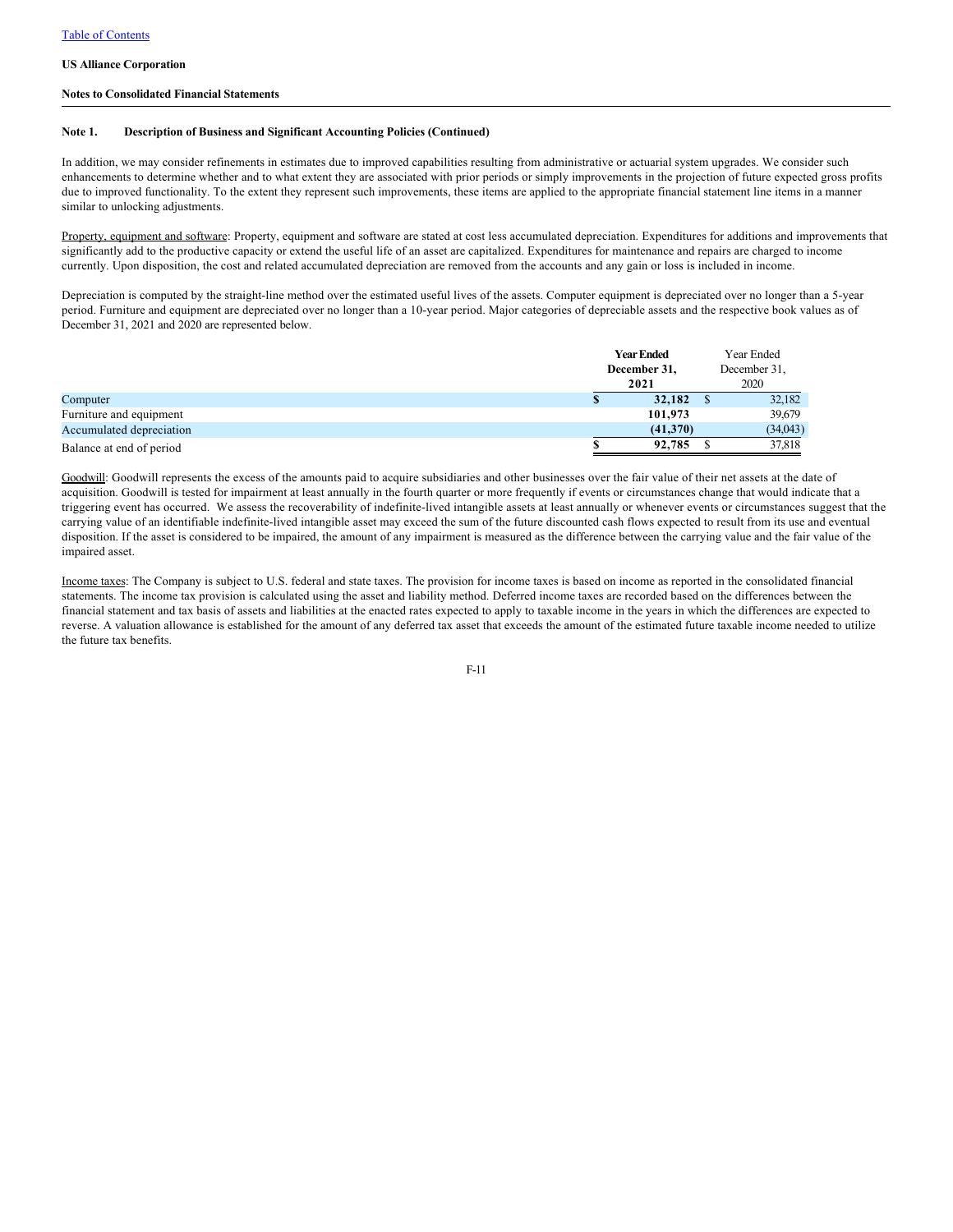### **Notes to Consolidated Financial Statements**

### **Note 1. Description of Business and Significant Accounting Policies (Continued)**

In addition, we may consider refinements in estimates due to improved capabilities resulting from administrative or actuarial system upgrades. We consider such enhancements to determine whether and to what extent they are associated with prior periods or simply improvements in the projection of future expected gross profits due to improved functionality. To the extent they represent such improvements, these items are applied to the appropriate financial statement line items in a manner similar to unlocking adjustments.

Property, equipment and software: Property, equipment and software are stated at cost less accumulated depreciation. Expenditures for additions and improvements that significantly add to the productive capacity or extend the useful life of an asset are capitalized. Expenditures for maintenance and repairs are charged to income currently. Upon disposition, the cost and related accumulated depreciation are removed from the accounts and any gain or loss is included in income.

Depreciation is computed by the straight-line method over the estimated useful lives of the assets. Computer equipment is depreciated over no longer than a 5-year period. Furniture and equipment are depreciated over no longer than a 10-year period. Major categories of depreciable assets and the respective book values as of December 31, 2021 and 2020 are represented below.

|                          | <b>Year Ended</b><br>December 31,<br>2021 | Year Ended<br>December 31,<br>2020 |          |  |
|--------------------------|-------------------------------------------|------------------------------------|----------|--|
| Computer                 | 32,182                                    |                                    | 32,182   |  |
| Furniture and equipment  | 101,973                                   |                                    | 39,679   |  |
| Accumulated depreciation | (41,370)                                  |                                    | (34,043) |  |
| Balance at end of period | 92,785                                    |                                    | 37,818   |  |

Goodwill: Goodwill represents the excess of the amounts paid to acquire subsidiaries and other businesses over the fair value of their net assets at the date of acquisition. Goodwill is tested for impairment at least annually in the fourth quarter or more frequently if events or circumstances change that would indicate that a triggering event has occurred. We assess the recoverability of indefinite-lived intangible assets at least annually or whenever events or circumstances suggest that the carrying value of an identifiable indefinite-lived intangible asset may exceed the sum of the future discounted cash flows expected to result from its use and eventual disposition. If the asset is considered to be impaired, the amount of any impairment is measured as the difference between the carrying value and the fair value of the impaired asset.

Income taxes: The Company is subject to U.S. federal and state taxes. The provision for income taxes is based on income as reported in the consolidated financial statements. The income tax provision is calculated using the asset and liability method. Deferred income taxes are recorded based on the differences between the financial statement and tax basis of assets and liabilities at the enacted rates expected to apply to taxable income in the years in which the differences are expected to reverse. A valuation allowance is established for the amount of any deferred tax asset that exceeds the amount of the estimated future taxable income needed to utilize the future tax benefits.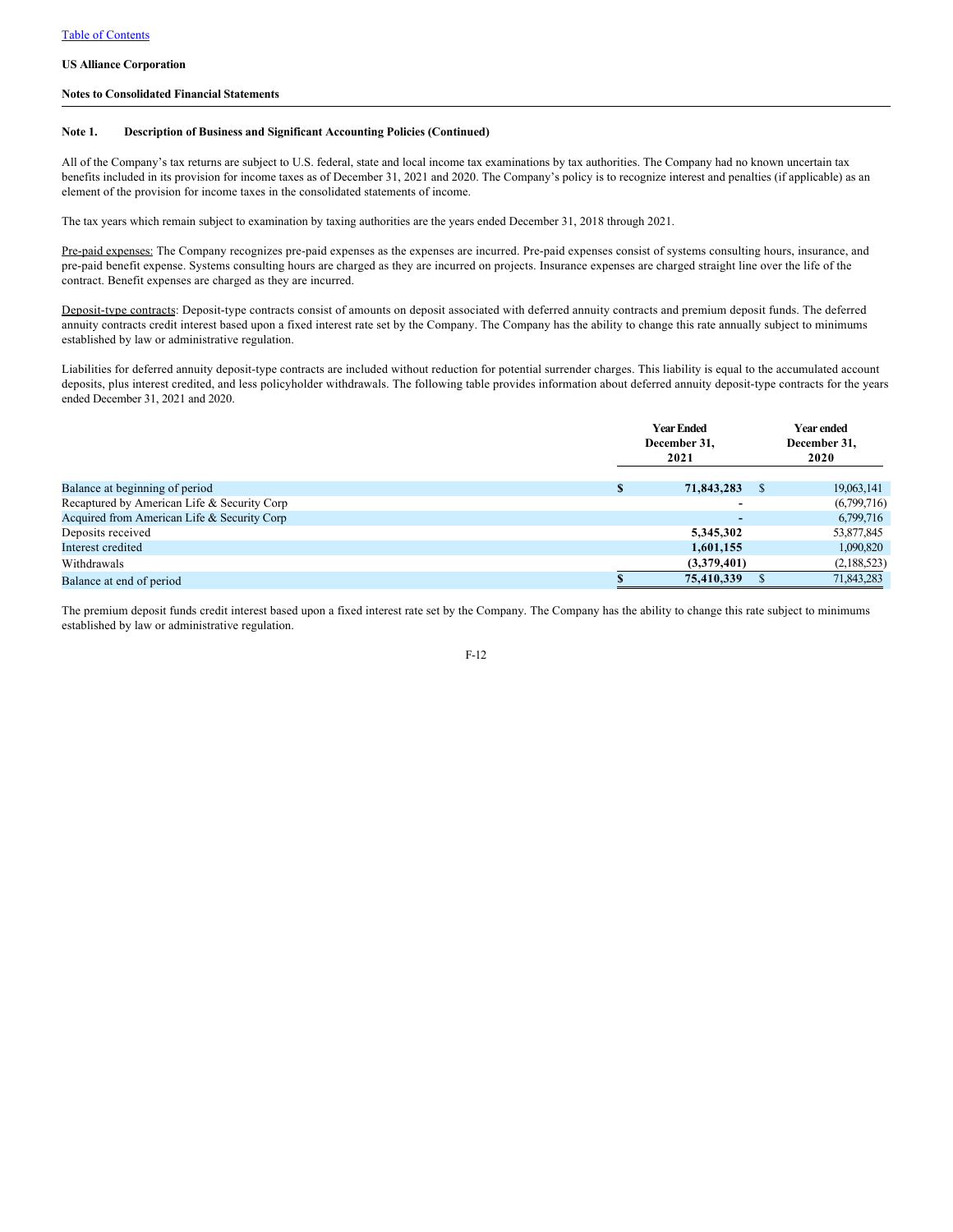### **Notes to Consolidated Financial Statements**

### **Note 1. Description of Business and Significant Accounting Policies (Continued)**

All of the Company's tax returns are subject to U.S. federal, state and local income tax examinations by tax authorities. The Company had no known uncertain tax benefits included in its provision for income taxes as of December 31, 2021 and 2020. The Company's policy is to recognize interest and penalties (if applicable) as an element of the provision for income taxes in the consolidated statements of income.

The tax years which remain subject to examination by taxing authorities are the years ended December 31, 2018 through 2021.

Pre-paid expenses: The Company recognizes pre-paid expenses as the expenses are incurred. Pre-paid expenses consist of systems consulting hours, insurance, and pre-paid benefit expense. Systems consulting hours are charged as they are incurred on projects. Insurance expenses are charged straight line over the life of the contract. Benefit expenses are charged as they are incurred.

Deposit-type contracts: Deposit-type contracts consist of amounts on deposit associated with deferred annuity contracts and premium deposit funds. The deferred annuity contracts credit interest based upon a fixed interest rate set by the Company. The Company has the ability to change this rate annually subject to minimums established by law or administrative regulation.

Liabilities for deferred annuity deposit-type contracts are included without reduction for potential surrender charges. This liability is equal to the accumulated account deposits, plus interest credited, and less policyholder withdrawals. The following table provides information about deferred annuity deposit-type contracts for the years ended December 31, 2021 and 2020.

|                                             |   | <b>Year Ended</b><br>December 31,<br>2021 | Year ended<br>December 31,<br>2020 |  |  |
|---------------------------------------------|---|-------------------------------------------|------------------------------------|--|--|
| Balance at beginning of period              | S | 71,843,283                                | 19,063,141                         |  |  |
| Recaptured by American Life & Security Corp |   |                                           | (6,799,716)                        |  |  |
| Acquired from American Life & Security Corp |   |                                           | 6,799,716                          |  |  |
| Deposits received                           |   | 5,345,302                                 | 53,877,845                         |  |  |
| Interest credited                           |   | 1,601,155                                 | 1,090,820                          |  |  |
| Withdrawals                                 |   | (3,379,401)                               | (2,188,523)                        |  |  |
| Balance at end of period                    |   | 75,410,339                                | 71,843,283                         |  |  |

The premium deposit funds credit interest based upon a fixed interest rate set by the Company. The Company has the ability to change this rate subject to minimums established by law or administrative regulation.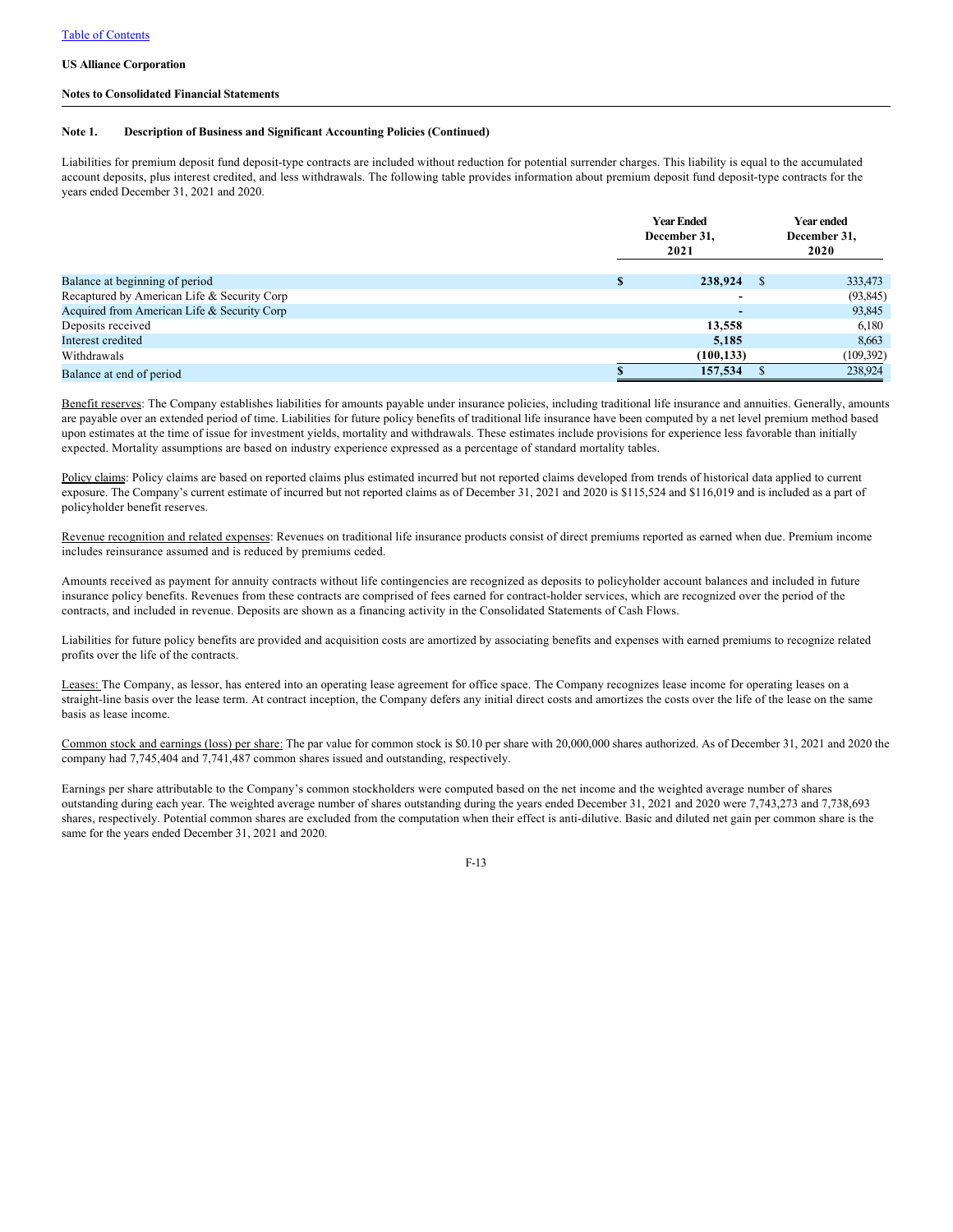### **Notes to Consolidated Financial Statements**

### **Note 1. Description of Business and Significant Accounting Policies (Continued)**

Liabilities for premium deposit fund deposit-type contracts are included without reduction for potential surrender charges. This liability is equal to the accumulated account deposits, plus interest credited, and less withdrawals. The following table provides information about premium deposit fund deposit-type contracts for the years ended December 31, 2021 and 2020.

|                                             | <b>Year Ended</b><br>December 31,<br>2021 | Year ended<br>December 31,<br>2020 |  |  |
|---------------------------------------------|-------------------------------------------|------------------------------------|--|--|
| Balance at beginning of period              | 238,924                                   | 333,473                            |  |  |
| Recaptured by American Life & Security Corp | -                                         | (93, 845)                          |  |  |
| Acquired from American Life & Security Corp | $\overline{\phantom{0}}$                  | 93,845                             |  |  |
| Deposits received                           | 13,558                                    | 6,180                              |  |  |
| Interest credited                           | 5,185                                     | 8,663                              |  |  |
| Withdrawals                                 | (100, 133)                                | (109,392)                          |  |  |
| Balance at end of period                    | 157,534                                   | 238,924                            |  |  |

Benefit reserves: The Company establishes liabilities for amounts payable under insurance policies, including traditional life insurance and annuities. Generally, amounts are payable over an extended period of time. Liabilities for future policy benefits of traditional life insurance have been computed by a net level premium method based upon estimates at the time of issue for investment yields, mortality and withdrawals. These estimates include provisions for experience less favorable than initially expected. Mortality assumptions are based on industry experience expressed as a percentage of standard mortality tables.

Policy claims: Policy claims are based on reported claims plus estimated incurred but not reported claims developed from trends of historical data applied to current exposure. The Company's current estimate of incurred but not reported claims as of December 31, 2021 and 2020 is \$115,524 and \$116,019 and is included as a part of policyholder benefit reserves.

Revenue recognition and related expenses: Revenues on traditional life insurance products consist of direct premiums reported as earned when due. Premium income includes reinsurance assumed and is reduced by premiums ceded.

Amounts received as payment for annuity contracts without life contingencies are recognized as deposits to policyholder account balances and included in future insurance policy benefits. Revenues from these contracts are comprised of fees earned for contract-holder services, which are recognized over the period of the contracts, and included in revenue. Deposits are shown as a financing activity in the Consolidated Statements of Cash Flows.

Liabilities for future policy benefits are provided and acquisition costs are amortized by associating benefits and expenses with earned premiums to recognize related profits over the life of the contracts.

Leases: The Company, as lessor, has entered into an operating lease agreement for office space. The Company recognizes lease income for operating leases on a straight-line basis over the lease term. At contract inception, the Company defers any initial direct costs and amortizes the costs over the life of the lease on the same basis as lease income.

Common stock and earnings (loss) per share: The par value for common stock is \$0.10 per share with 20,000,000 shares authorized. As of December 31, 2021 and 2020 the company had 7,745,404 and 7,741,487 common shares issued and outstanding, respectively.

Earnings per share attributable to the Company's common stockholders were computed based on the net income and the weighted average number of shares outstanding during each year. The weighted average number of shares outstanding during the years ended December 31, 2021 and 2020 were 7,743,273 and 7,738,693 shares, respectively. Potential common shares are excluded from the computation when their effect is anti-dilutive. Basic and diluted net gain per common share is the same for the years ended December 31, 2021 and 2020.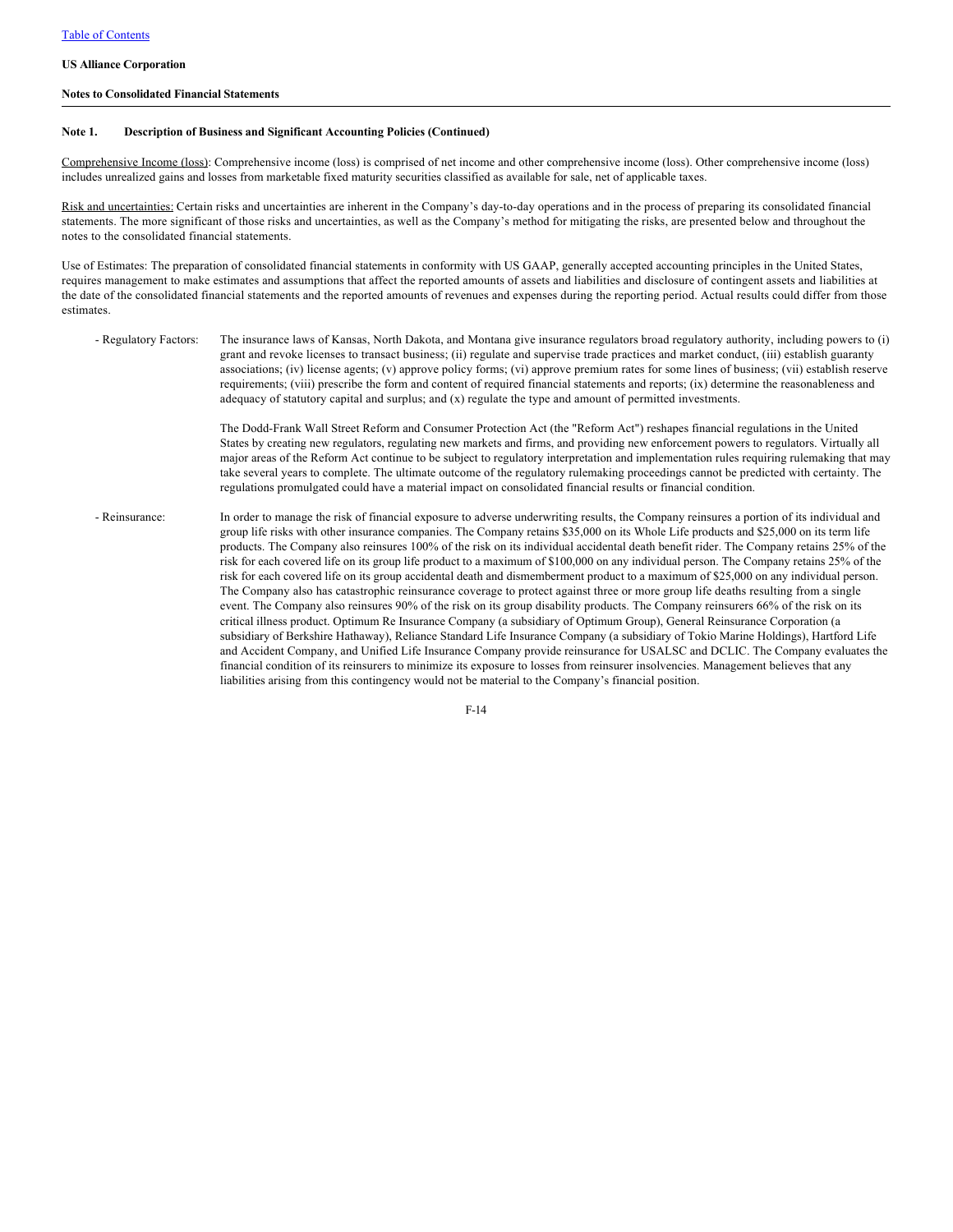### **Notes to Consolidated Financial Statements**

## Note 1. Description of Business and Significant Accounting Policies (Continued)

Comprehensive Income (loss): Comprehensive income (loss) is comprised of net income and other comprehensive income (loss). Other comprehensive income (loss) includes unrealized gains and losses from marketable fixed maturity securities classified as available for sale, net of applicable taxes.

Risk and uncertainties: Certain risks and uncertainties are inherent in the Company's day-to-day operations and in the process of preparing its consolidated financial statements. The more significant of those risks and uncertainties, as well as the Company's method for mitigating the risks, are presented below and throughout the notes to the consolidated financial statements.

Use of Estimates: The preparation of consolidated financial statements in conformity with US GAAP, generally accepted accounting principles in the United States, requires management to make estimates and assumptions that affect the reported amounts of assets and liabilities and disclosure of contingent assets and liabilities at the date of the consolidated financial statements and the reported amounts of revenues and expenses during the reporting period. Actual results could differ from those estimates.

- Regulatory Factors: The insurance laws of Kansas, North Dakota, and Montana give insurance regulators broad regulatory authority, including powers to (i) grant and revoke licenses to transact business; (ii) regulate and supervise trade practices and market conduct, (iii) establish guaranty associations; (iv) license agents; (v) approve policy forms; (vi) approve premium rates for some lines of business; (vii) establish reserve requirements; (viii) prescribe the form and content of required financial statements and reports; (ix) determine the reasonableness and adequacy of statutory capital and surplus; and (x) regulate the type and amount of permitted investments.

> The Dodd-Frank Wall Street Reform and Consumer Protection Act (the "Reform Act") reshapes financial regulations in the United States by creating new regulators, regulating new markets and firms, and providing new enforcement powers to regulators. Virtually all major areas of the Reform Act continue to be subject to regulatory interpretation and implementation rules requiring rulemaking that may take several years to complete. The ultimate outcome of the regulatory rulemaking proceedings cannot be predicted with certainty. The regulations promulgated could have a material impact on consolidated financial results or financial condition.

- Reinsurance: In order to manage the risk of financial exposure to adverse underwriting results, the Company reinsures a portion of its individual and group life risks with other insurance companies. The Company retains \$35,000 on its Whole Life products and \$25,000 on its term life products. The Company also reinsures 100% of the risk on its individual accidental death benefit rider. The Company retains 25% of the risk for each covered life on its group life product to a maximum of \$100,000 on any individual person. The Company retains 25% of the risk for each covered life on its group accidental death and dismemberment product to a maximum of \$25,000 on any individual person. The Company also has catastrophic reinsurance coverage to protect against three or more group life deaths resulting from a single event. The Company also reinsures 90% of the risk on its group disability products. The Company reinsurers 66% of the risk on its critical illness product. Optimum Re Insurance Company (a subsidiary of Optimum Group), General Reinsurance Corporation (a subsidiary of Berkshire Hathaway), Reliance Standard Life Insurance Company (a subsidiary of Tokio Marine Holdings), Hartford Life and Accident Company, and Unified Life Insurance Company provide reinsurance for USALSC and DCLIC. The Company evaluates the financial condition of its reinsurers to minimize its exposure to losses from reinsurer insolvencies. Management believes that any liabilities arising from this contingency would not be material to the Company's financial position.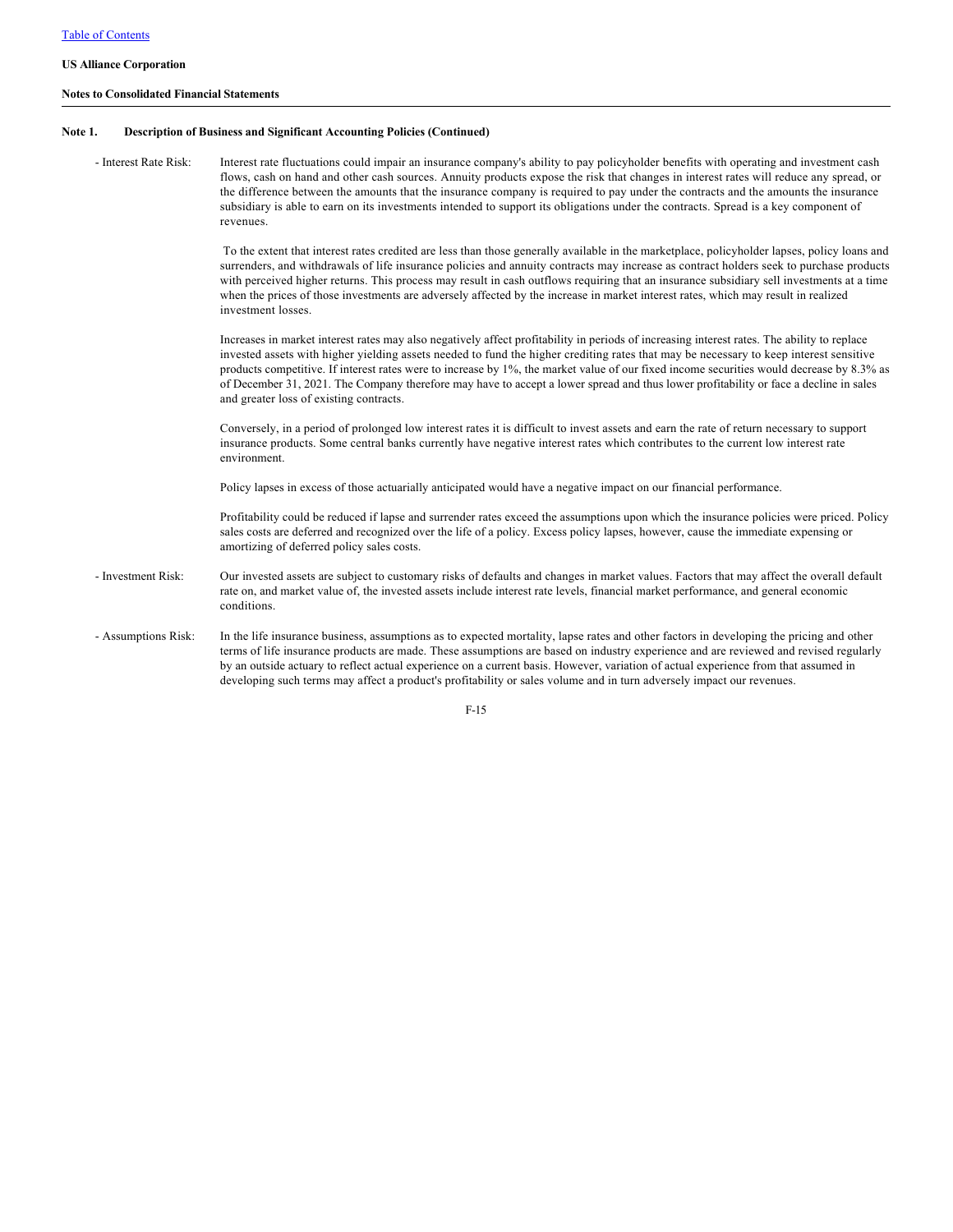### **Notes to Consolidated Financial Statements**

### **Note 1. Description of Business and Significant Accounting Policies (Continued)**

- Interest Rate Risk: Interest rate fluctuations could impair an insurance company's ability to pay policyholder benefits with operating and investment cash flows, cash on hand and other cash sources. Annuity products expose the risk that changes in interest rates will reduce any spread, or the difference between the amounts that the insurance company is required to pay under the contracts and the amounts the insurance subsidiary is able to earn on its investments intended to support its obligations under the contracts. Spread is a key component of revenues.

> To the extent that interest rates credited are less than those generally available in the marketplace, policyholder lapses, policy loans and surrenders, and withdrawals of life insurance policies and annuity contracts may increase as contract holders seek to purchase products with perceived higher returns. This process may result in cash outflows requiring that an insurance subsidiary sell investments at a time when the prices of those investments are adversely affected by the increase in market interest rates, which may result in realized investment losses.

> Increases in market interest rates may also negatively affect profitability in periods of increasing interest rates. The ability to replace invested assets with higher yielding assets needed to fund the higher crediting rates that may be necessary to keep interest sensitive products competitive. If interest rates were to increase by 1%, the market value of our fixed income securities would decrease by 8.3% as of December 31, 2021. The Company therefore may have to accept a lower spread and thus lower profitability or face a decline in sales and greater loss of existing contracts.

Conversely, in a period of prolonged low interest rates it is difficult to invest assets and earn the rate of return necessary to support insurance products. Some central banks currently have negative interest rates which contributes to the current low interest rate environment.

Policy lapses in excess of those actuarially anticipated would have a negative impact on our financial performance.

Profitability could be reduced if lapse and surrender rates exceed the assumptions upon which the insurance policies were priced. Policy sales costs are deferred and recognized over the life of a policy. Excess policy lapses, however, cause the immediate expensing or amortizing of deferred policy sales costs.

- Investment Risk: Our invested assets are subject to customary risks of defaults and changes in market values. Factors that may affect the overall default rate on, and market value of, the invested assets include interest rate levels, financial market performance, and general economic conditions.
- Assumptions Risk: In the life insurance business, assumptions as to expected mortality, lapse rates and other factors in developing the pricing and other terms of life insurance products are made. These assumptions are based on industry experience and are reviewed and revised regularly by an outside actuary to reflect actual experience on a current basis. However, variation of actual experience from that assumed in developing such terms may affect a product's profitability or sales volume and in turn adversely impact our revenues.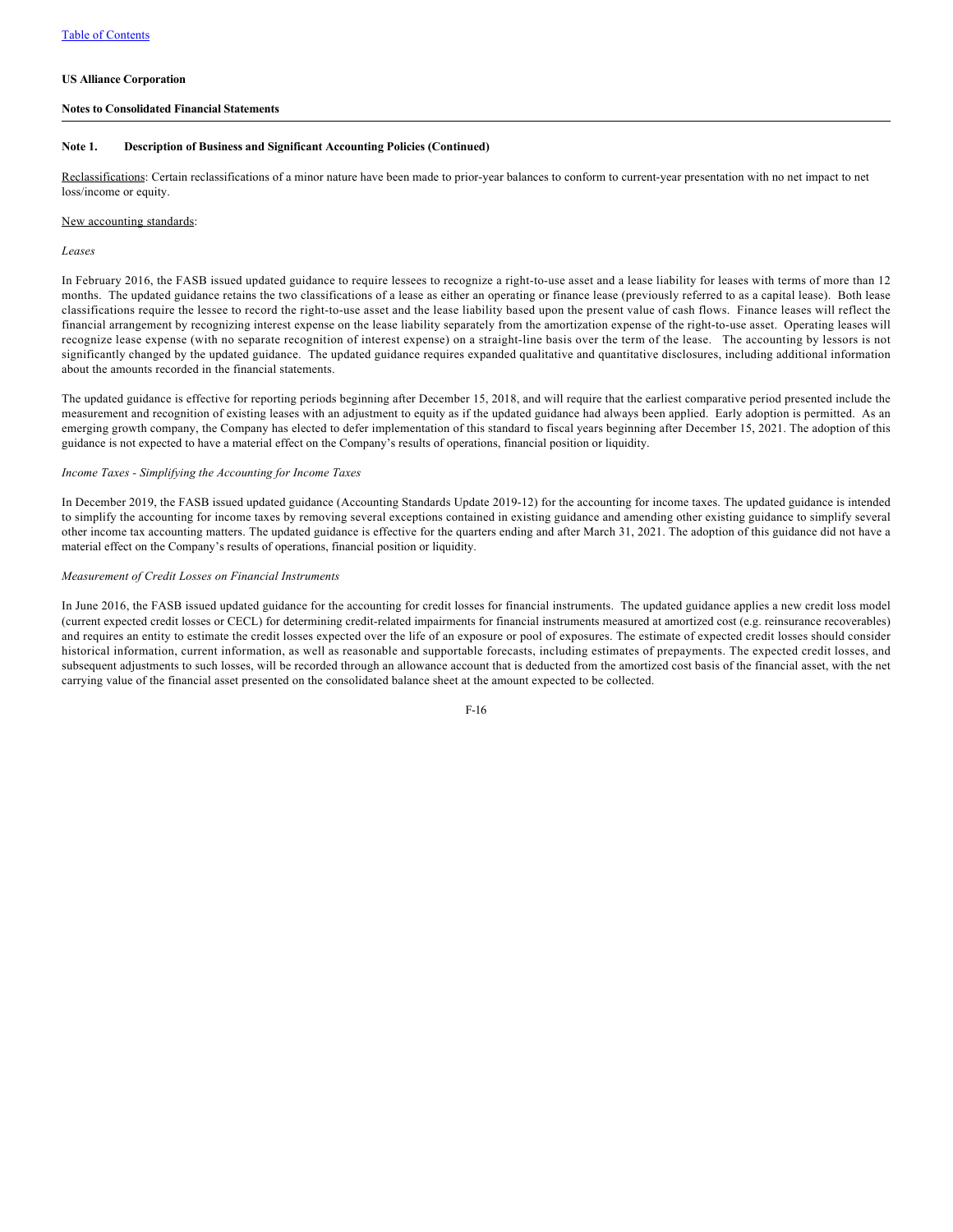## **Notes to Consolidated Financial Statements**

### **Note 1. Description of Business and Significant Accounting Policies (Continued)**

Reclassifications: Certain reclassifications of a minor nature have been made to prior-year balances to conform to current-year presentation with no net impact to net loss/income or equity.

## New accounting standards:

#### *Leases*

In February 2016, the FASB issued updated guidance to require lessees to recognize a right-to-use asset and a lease liability for leases with terms of more than 12 months. The updated guidance retains the two classifications of a lease as either an operating or finance lease (previously referred to as a capital lease). Both lease classifications require the lessee to record the right-to-use asset and the lease liability based upon the present value of cash flows. Finance leases will reflect the financial arrangement by recognizing interest expense on the lease liability separately from the amortization expense of the right-to-use asset. Operating leases will recognize lease expense (with no separate recognition of interest expense) on a straight-line basis over the term of the lease. The accounting by lessors is not significantly changed by the updated guidance. The updated guidance requires expanded qualitative and quantitative disclosures, including additional information about the amounts recorded in the financial statements.

The updated guidance is effective for reporting periods beginning after December 15, 2018, and will require that the earliest comparative period presented include the measurement and recognition of existing leases with an adjustment to equity as if the updated guidance had always been applied. Early adoption is permitted. As an emerging growth company, the Company has elected to defer implementation of this standard to fiscal years beginning after December 15, 2021. The adoption of this guidance is not expected to have a material effect on the Company's results of operations, financial position or liquidity.

#### *Income Taxes - Simplifying the Accounting for Income Taxes*

In December 2019, the FASB issued updated guidance (Accounting Standards Update 2019-12) for the accounting for income taxes. The updated guidance is intended to simplify the accounting for income taxes by removing several exceptions contained in existing guidance and amending other existing guidance to simplify several other income tax accounting matters. The updated guidance is effective for the quarters ending and after March 31, 2021. The adoption of this guidance did not have a material effect on the Company's results of operations, financial position or liquidity.

#### *Measurement of Credit Losses on Financial Instruments*

In June 2016, the FASB issued updated guidance for the accounting for credit losses for financial instruments. The updated guidance applies a new credit loss model (current expected credit losses or CECL) for determining credit-related impairments for financial instruments measured at amortized cost (e.g. reinsurance recoverables) and requires an entity to estimate the credit losses expected over the life of an exposure or pool of exposures. The estimate of expected credit losses should consider historical information, current information, as well as reasonable and supportable forecasts, including estimates of prepayments. The expected credit losses, and subsequent adjustments to such losses, will be recorded through an allowance account that is deducted from the amortized cost basis of the financial asset, with the net carrying value of the financial asset presented on the consolidated balance sheet at the amount expected to be collected.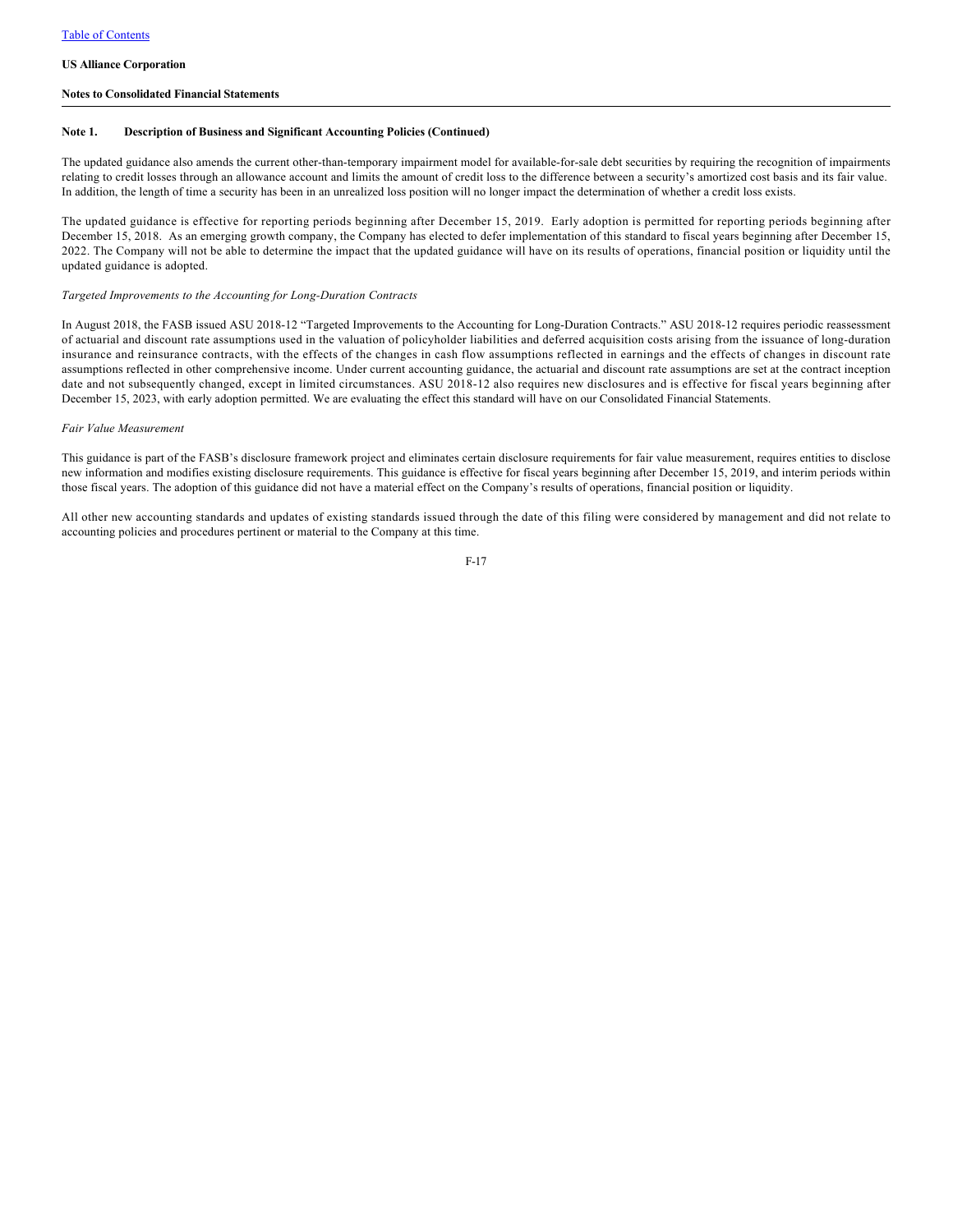### **Notes to Consolidated Financial Statements**

### **Note 1. Description of Business and Significant Accounting Policies (Continued)**

The updated guidance also amends the current other-than-temporary impairment model for available-for-sale debt securities by requiring the recognition of impairments relating to credit losses through an allowance account and limits the amount of credit loss to the difference between a security's amortized cost basis and its fair value. In addition, the length of time a security has been in an unrealized loss position will no longer impact the determination of whether a credit loss exists.

The updated guidance is effective for reporting periods beginning after December 15, 2019. Early adoption is permitted for reporting periods beginning after December 15, 2018. As an emerging growth company, the Company has elected to defer implementation of this standard to fiscal years beginning after December 15, 2022. The Company will not be able to determine the impact that the updated guidance will have on its results of operations, financial position or liquidity until the updated guidance is adopted.

#### *Targeted Improvements to the Accounting for Long-Duration Contracts*

In August 2018, the FASB issued ASU 2018-12 "Targeted Improvements to the Accounting for Long-Duration Contracts." ASU 2018-12 requires periodic reassessment of actuarial and discount rate assumptions used in the valuation of policyholder liabilities and deferred acquisition costs arising from the issuance of long-duration insurance and reinsurance contracts, with the effects of the changes in cash flow assumptions reflected in earnings and the effects of changes in discount rate assumptions reflected in other comprehensive income. Under current accounting guidance, the actuarial and discount rate assumptions are set at the contract inception date and not subsequently changed, except in limited circumstances. ASU 2018-12 also requires new disclosures and is effective for fiscal years beginning after December 15, 2023, with early adoption permitted. We are evaluating the effect this standard will have on our Consolidated Financial Statements.

#### *Fair Value Measurement*

This guidance is part of the FASB's disclosure framework project and eliminates certain disclosure requirements for fair value measurement, requires entities to disclose new information and modifies existing disclosure requirements. This guidance is effective for fiscal years beginning after December 15, 2019, and interim periods within those fiscal years. The adoption of this guidance did not have a material effect on the Company's results of operations, financial position or liquidity.

All other new accounting standards and updates of existing standards issued through the date of this filing were considered by management and did not relate to accounting policies and procedures pertinent or material to the Company at this time.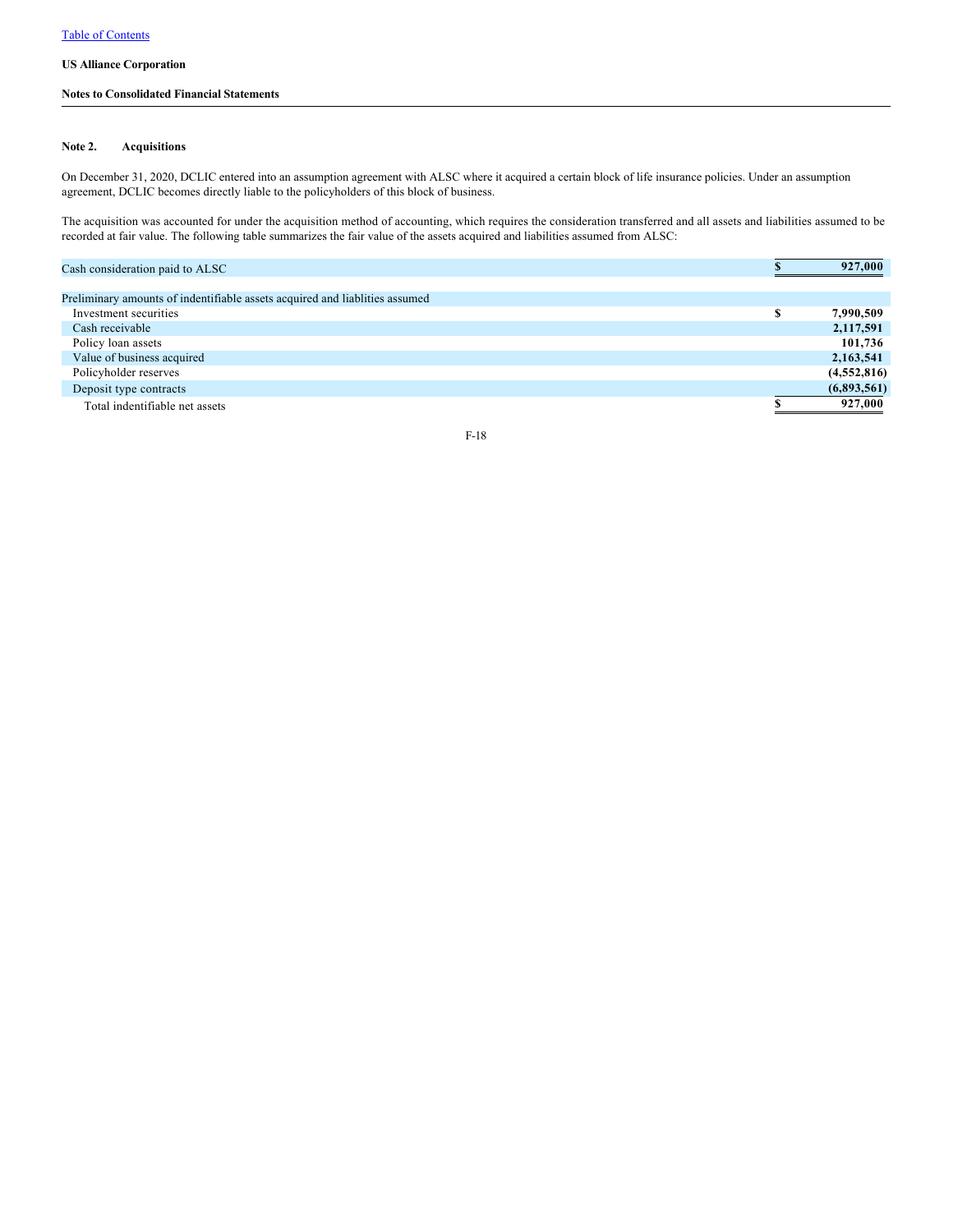## **Notes to Consolidated Financial Statements**

### **Note 2. Acquisitions**

On December 31, 2020, DCLIC entered into an assumption agreement with ALSC where it acquired a certain block of life insurance policies. Under an assumption agreement, DCLIC becomes directly liable to the policyholders of this block of business.

The acquisition was accounted for under the acquisition method of accounting, which requires the consideration transferred and all assets and liabilities assumed to be recorded at fair value. The following table summarizes the fair value of the assets acquired and liabilities assumed from ALSC:

| Cash consideration paid to ALSC                                             |   | 927,000     |
|-----------------------------------------------------------------------------|---|-------------|
|                                                                             |   |             |
| Preliminary amounts of indentifiable assets acquired and liablities assumed |   |             |
| Investment securities                                                       | л | 7,990,509   |
| Cash receivable                                                             |   | 2,117,591   |
| Policy loan assets                                                          |   | 101,736     |
| Value of business acquired                                                  |   | 2,163,541   |
| Policyholder reserves                                                       |   | (4,552,816) |
| Deposit type contracts                                                      |   | (6,893,561) |
| Total indentifiable net assets                                              |   | 927,000     |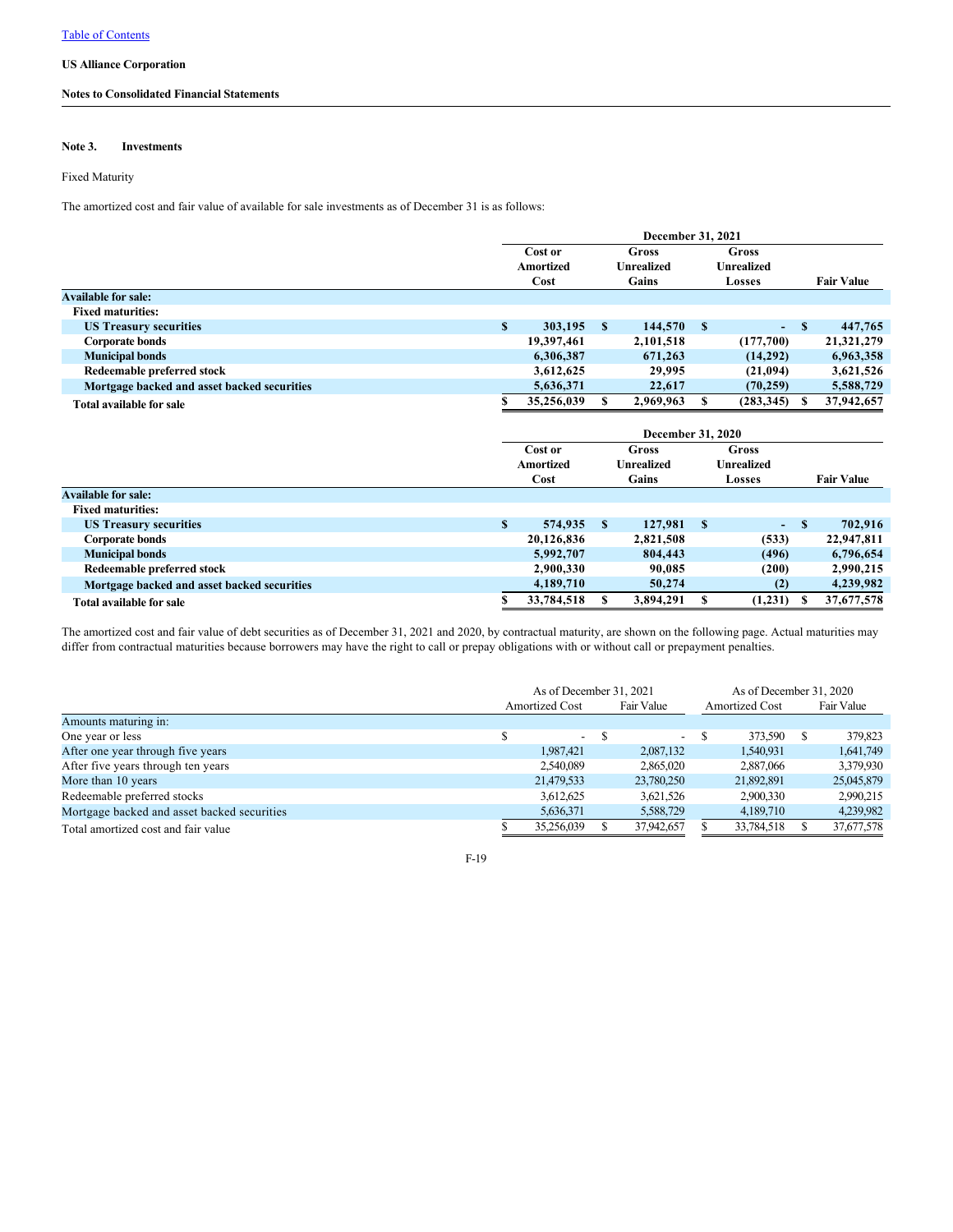## **Notes to Consolidated Financial Statements**

### **Note 3. Investments**

### Fixed Maturity

The amortized cost and fair value of available for sale investments as of December 31 is as follows:

|                                             |              | December 31, 2021                     |              |                          |                   |                   |              |                   |
|---------------------------------------------|--------------|---------------------------------------|--------------|--------------------------|-------------------|-------------------|--------------|-------------------|
|                                             |              | Cost or                               |              | <b>Gross</b>             |                   | Gross             |              |                   |
|                                             |              | <b>Amortized</b><br><b>Unrealized</b> |              |                          | <b>Unrealized</b> |                   |              |                   |
|                                             |              | Cost                                  |              | Gains                    |                   | Losses            |              | <b>Fair Value</b> |
| <b>Available for sale:</b>                  |              |                                       |              |                          |                   |                   |              |                   |
| <b>Fixed maturities:</b>                    |              |                                       |              |                          |                   |                   |              |                   |
| <b>US Treasury securities</b>               | S            | 303,195                               | S            | 144,570                  | $\mathbf{s}$      | ٠                 | S            | 447,765           |
| <b>Corporate bonds</b>                      |              | 19,397,461                            |              | 2,101,518                |                   | (177,700)         |              | 21,321,279        |
| <b>Municipal bonds</b>                      |              | 6,306,387                             |              | 671,263                  |                   | (14,292)          |              | 6,963,358         |
| Redeemable preferred stock                  |              | 3,612,625                             |              | 29,995                   |                   | (21,094)          |              | 3,621,526         |
| Mortgage backed and asset backed securities |              | 5,636,371                             |              | 22,617                   |                   | (70, 259)         |              | 5,588,729         |
| Total available for sale                    | S.           | 35,256,039                            | \$           | 2,969,963                | S                 | (283, 345)        | S            | 37,942,657        |
|                                             |              |                                       |              | <b>December 31, 2020</b> |                   |                   |              |                   |
|                                             |              | Cost or                               |              | Gross                    |                   | Gross             |              |                   |
|                                             |              | <b>Amortized</b>                      |              | <b>Unrealized</b>        |                   | <b>Unrealized</b> |              |                   |
|                                             |              | Cost<br>Gains                         |              |                          |                   |                   |              |                   |
|                                             |              |                                       |              |                          |                   | Losses            |              | <b>Fair Value</b> |
| <b>Available for sale:</b>                  |              |                                       |              |                          |                   |                   |              |                   |
| <b>Fixed maturities:</b>                    |              |                                       |              |                          |                   |                   |              |                   |
| <b>US Treasury securities</b>               | $\mathbf{s}$ | 574,935                               | <sup>S</sup> | 127,981                  | $\mathbf{s}$      | ٠                 | $\mathbf{s}$ | 702,916           |
| <b>Corporate bonds</b>                      |              | 20,126,836                            |              | 2,821,508                |                   | (533)             |              | 22,947,811        |
| <b>Municipal bonds</b>                      |              | 5,992,707                             |              | 804,443                  |                   | (496)             |              | 6,796,654         |
| Redeemable preferred stock                  |              | 2,900,330                             |              | 90,085                   |                   | (200)             |              | 2,990,215         |
| Mortgage backed and asset backed securities |              | 4,189,710                             |              | 50,274                   |                   | (2)               |              | 4,239,982         |

The amortized cost and fair value of debt securities as of December 31, 2021 and 2020, by contractual maturity, are shown on the following page. Actual maturities may differ from contractual maturities because borrowers may have the right to call or prepay obligations with or without call or prepayment penalties.

|                                             | As of December 31, 2021 |  |            |               | As of December 31, 2020 |  |            |  |
|---------------------------------------------|-------------------------|--|------------|---------------|-------------------------|--|------------|--|
|                                             | <b>Amortized Cost</b>   |  | Fair Value |               | <b>Amortized Cost</b>   |  | Fair Value |  |
| Amounts maturing in:                        |                         |  |            |               |                         |  |            |  |
| One year or less                            | ÷.                      |  | $\sim$     | <sup>\$</sup> | 373,590                 |  | 379,823    |  |
| After one year through five years           | 1.987.421               |  | 2,087,132  |               | 1,540,931               |  | 1,641,749  |  |
| After five years through ten years          | 2,540,089               |  | 2,865,020  |               | 2,887,066               |  | 3,379,930  |  |
| More than 10 years                          | 21,479,533              |  | 23,780,250 |               | 21,892,891              |  | 25,045,879 |  |
| Redeemable preferred stocks                 | 3,612,625               |  | 3,621,526  |               | 2,900,330               |  | 2,990,215  |  |
| Mortgage backed and asset backed securities | 5,636,371               |  | 5,588,729  |               | 4,189,710               |  | 4,239,982  |  |
| Total amortized cost and fair value         | 35,256,039              |  | 37,942,657 |               | 33,784,518              |  | 37,677,578 |  |

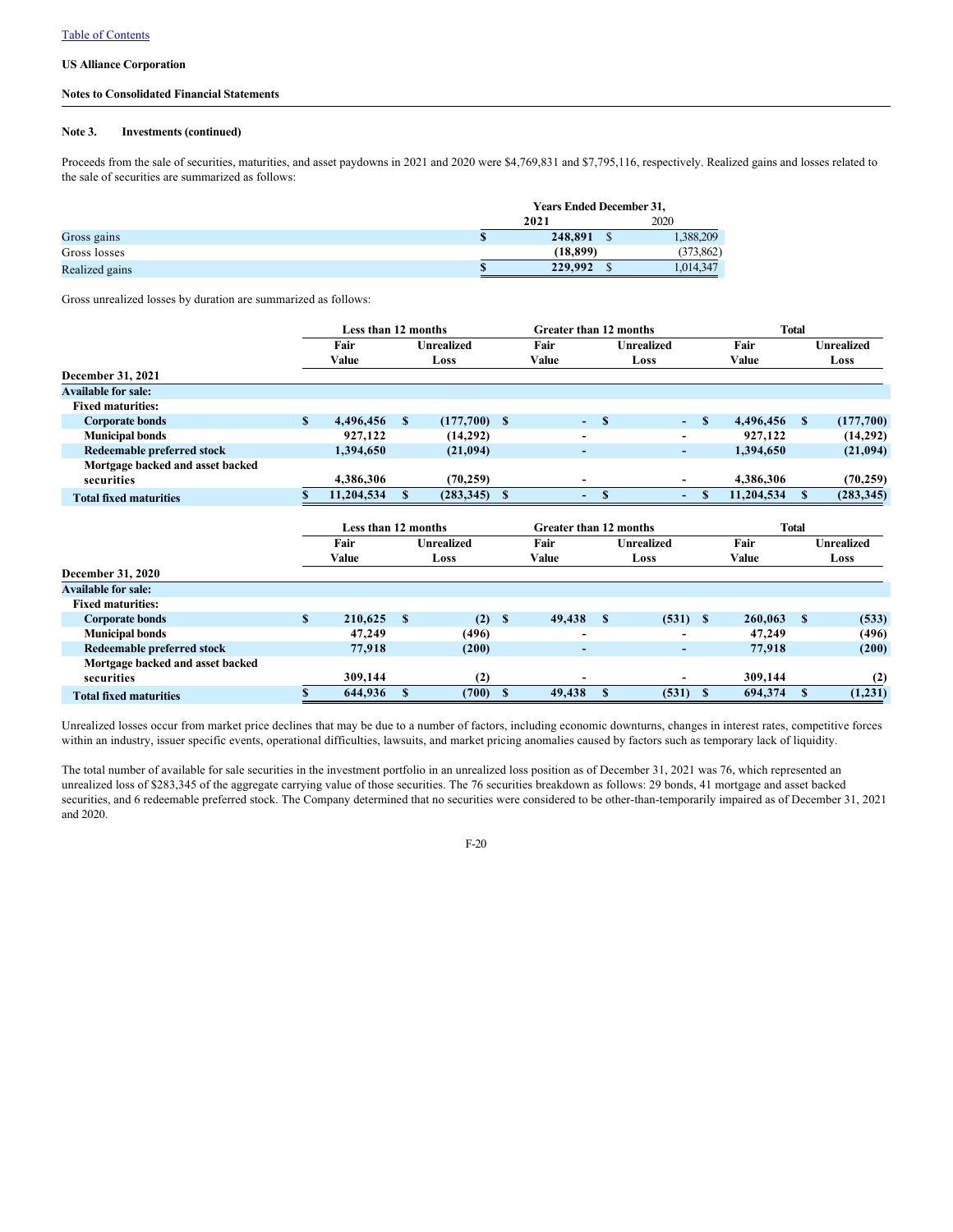## **Notes to Consolidated Financial Statements**

## **Note 3. Investments (continued)**

Proceeds from the sale of securities, maturities, and asset paydowns in 2021 and 2020 were \$4,769,831 and \$7,795,116, respectively. Realized gains and losses related to the sale of securities are summarized as follows:

|                |           | <b>Years Ended December 31,</b> |            |  |  |  |  |  |
|----------------|-----------|---------------------------------|------------|--|--|--|--|--|
|                | 2021      |                                 | 2020       |  |  |  |  |  |
| Gross gains    | 248,891   |                                 | 1,388,209  |  |  |  |  |  |
| Gross losses   | (18, 899) |                                 | (373, 862) |  |  |  |  |  |
| Realized gains | 229,992   |                                 | 1,014,347  |  |  |  |  |  |

Gross unrealized losses by duration are summarized as follows:

|                                                |              | Less than 12 months |             |                   | <b>Greater than 12 months</b> |                               |              | <b>Total</b>             |        |            |              |                   |
|------------------------------------------------|--------------|---------------------|-------------|-------------------|-------------------------------|-------------------------------|--------------|--------------------------|--------|------------|--------------|-------------------|
|                                                |              | Fair                |             | <b>Unrealized</b> |                               | Fair                          |              | <b>Unrealized</b>        |        | Fair       |              | <b>Unrealized</b> |
|                                                |              | Value               |             | Loss              |                               | Value                         |              | Loss                     |        | Value      |              | Loss              |
| December 31, 2021                              |              |                     |             |                   |                               |                               |              |                          |        |            |              |                   |
| <b>Available for sale:</b>                     |              |                     |             |                   |                               |                               |              |                          |        |            |              |                   |
| <b>Fixed maturities:</b>                       |              |                     |             |                   |                               |                               |              |                          |        |            |              |                   |
| <b>Corporate bonds</b>                         | S            | 4,496,456           | S           | $(177,700)$ \$    |                               |                               | $- S$        |                          | $-$ \$ | 4,496,456  | S            | (177,700)         |
| <b>Municipal bonds</b>                         |              | 927,122             |             | (14,292)          |                               | $\overline{\phantom{a}}$      |              |                          |        | 927,122    |              | (14,292)          |
| <b>Redeemable preferred stock</b>              |              | 1,394,650           |             | (21,094)          |                               | ٠                             |              | ۰                        |        | 1,394,650  |              | (21,094)          |
| Mortgage backed and asset backed<br>securities |              | 4,386,306           |             | (70, 259)         |                               | $\overline{\phantom{0}}$      |              | ٠                        |        | 4,386,306  |              | (70, 259)         |
| <b>Total fixed maturities</b>                  | S            | 11,204,534          | S           | (283, 345)        | $\mathbf{s}$                  | $\sim$                        | $\mathbf{s}$ | $\overline{\phantom{0}}$ | S      | 11,204,534 | S.           | (283, 345)        |
|                                                |              | Less than 12 months |             |                   |                               | <b>Greater than 12 months</b> |              |                          |        |            | <b>Total</b> |                   |
|                                                |              | Fair                |             | <b>Unrealized</b> |                               | Fair                          |              | <b>Unrealized</b>        |        | Fair       |              | <b>Unrealized</b> |
|                                                |              | Value               |             | Loss              |                               | Value                         |              | Loss                     |        | Value      |              | Loss              |
| December 31, 2020                              |              |                     |             |                   |                               |                               |              |                          |        |            |              |                   |
| <b>Available for sale:</b>                     |              |                     |             |                   |                               |                               |              |                          |        |            |              |                   |
| <b>Fixed maturities:</b>                       |              |                     |             |                   |                               |                               |              |                          |        |            |              |                   |
| <b>Corporate bonds</b>                         | $\mathbf{s}$ | 210,625             | $\mathbf S$ | (2)               | $\boldsymbol{s}$              | 49,438                        | $\mathbf{s}$ | (531) S                  |        | 260,063    | S            | (533)             |
| <b>Municipal bonds</b>                         |              | 47,249              |             | (496)             |                               |                               |              |                          |        | 47,249     |              | (496)             |
| <b>Redeemable preferred stock</b>              |              | 77,918              |             | (200)             |                               |                               |              | ٠                        |        | 77,918     |              | (200)             |
| Mortgage backed and asset backed<br>securities |              | 309,144             |             | (2)               |                               |                               |              |                          |        | 309,144    |              | (2)               |
| <b>Total fixed maturities</b>                  |              | 644,936             | S           | (700)             | <sup>\$</sup>                 | 49,438                        | <b>S</b>     | (531)                    | S      | 694,374    | S.           | (1, 231)          |

Unrealized losses occur from market price declines that may be due to a number of factors, including economic downturns, changes in interest rates, competitive forces within an industry, issuer specific events, operational difficulties, lawsuits, and market pricing anomalies caused by factors such as temporary lack of liquidity.

The total number of available for sale securities in the investment portfolio in an unrealized loss position as of December 31, 2021 was 76, which represented an unrealized loss of \$283,345 of the aggregate carrying value of those securities. The 76 securities breakdown as follows: 29 bonds, 41 mortgage and asset backed securities, and 6 redeemable preferred stock. The Company determined that no securities were considered to be other-than-temporarily impaired as of December 31, 2021 and 2020.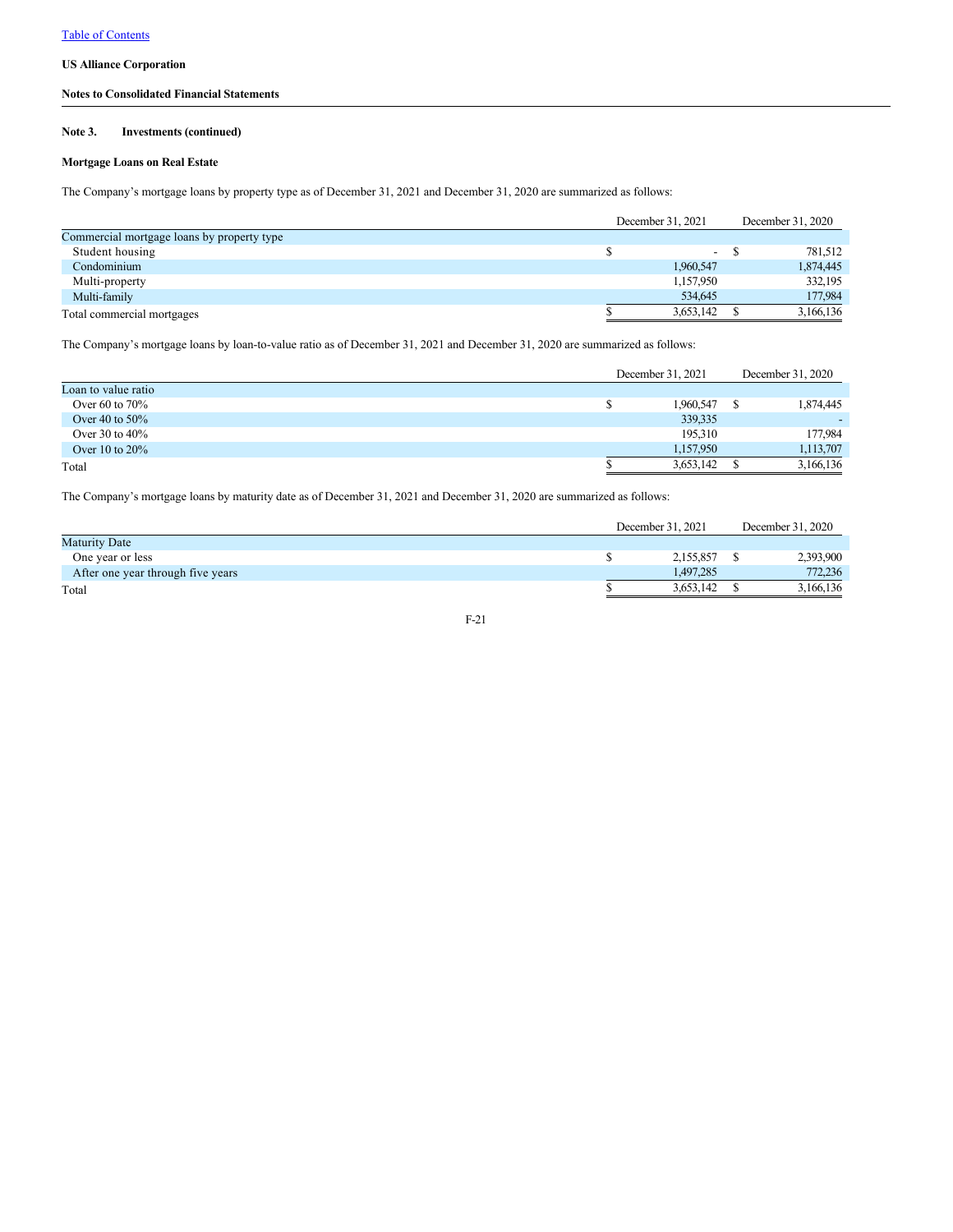## **Notes to Consolidated Financial Statements**

## **Note 3. Investments (continued)**

# **Mortgage Loans on Real Estate**

The Company's mortgage loans by property type as of December 31, 2021 and December 31, 2020 are summarized as follows:

|                                            | December 31, 2021 | December 31, 2020 |           |  |
|--------------------------------------------|-------------------|-------------------|-----------|--|
| Commercial mortgage loans by property type |                   |                   |           |  |
| Student housing                            | $\sim$            |                   | 781.512   |  |
| Condominium                                | 1,960,547         |                   | 1,874,445 |  |
| Multi-property                             | 1,157,950         |                   | 332,195   |  |
| Multi-family                               | 534,645           |                   | 177,984   |  |
| Total commercial mortgages                 | 3,653,142         |                   | 3,166,136 |  |

The Company's mortgage loans by loan-to-value ratio as of December 31, 2021 and December 31, 2020 are summarized as follows:

|                     | December 31, 2021 | December 31, 2020 |
|---------------------|-------------------|-------------------|
| Loan to value ratio |                   |                   |
| Over 60 to $70\%$   | 1,960,547         | 1,874,445         |
| Over 40 to $50\%$   | 339,335           |                   |
| Over 30 to $40\%$   | 195,310           | 177,984           |
| Over 10 to $20\%$   | 1.157.950         | 1,113,707         |
| Total               | 3,653,142         | 3,166,136         |

The Company's mortgage loans by maturity date as of December 31, 2021 and December 31, 2020 are summarized as follows:

|                                   | December 31, 2021 | December 31, 2020 |
|-----------------------------------|-------------------|-------------------|
| <b>Maturity Date</b>              |                   |                   |
| One year or less                  | 2.155.857         | 2,393,900         |
| After one year through five years | 1.497.285         | 772,236           |
| Total                             | 3.653.142         | 3,166,136         |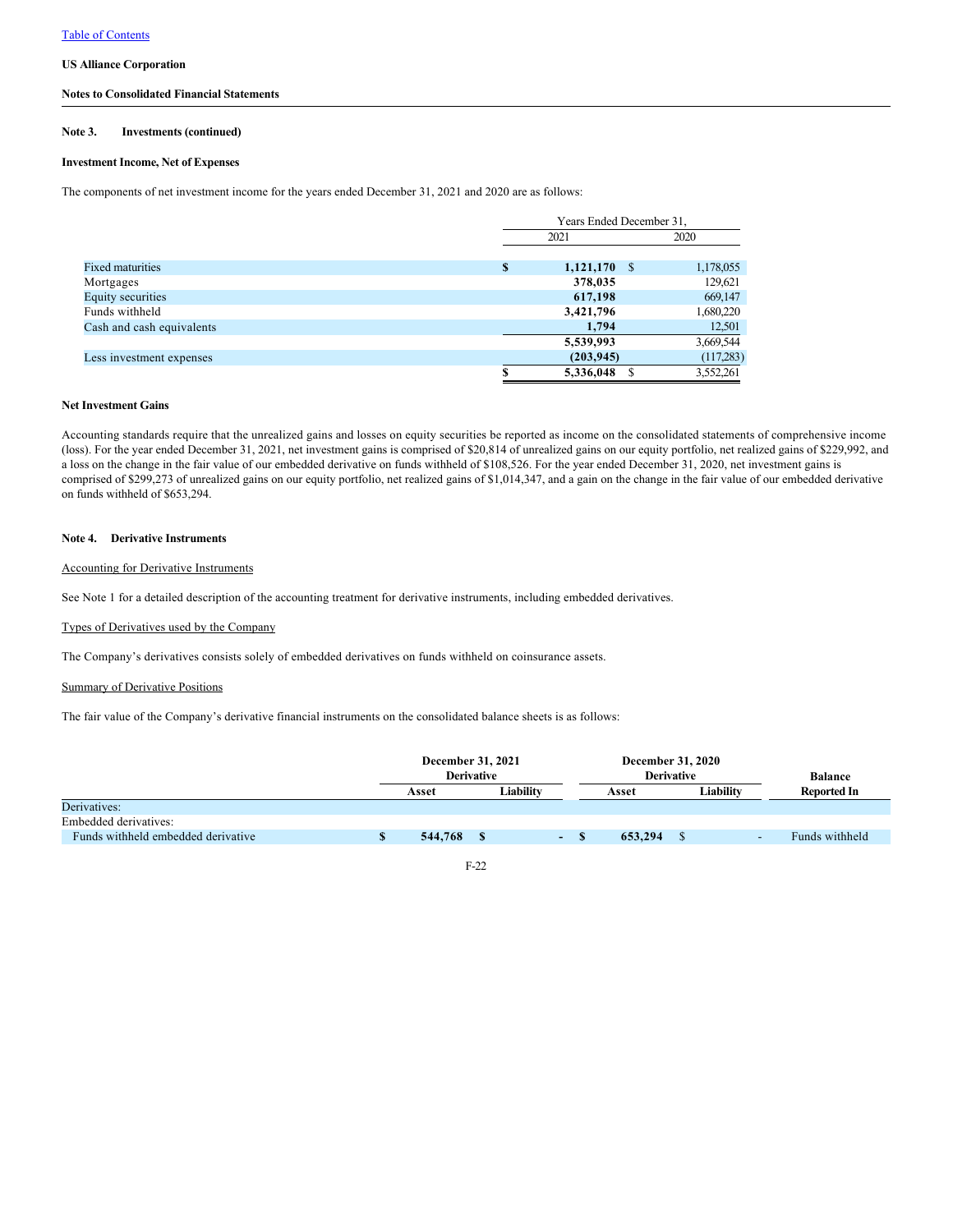### **Notes to Consolidated Financial Statements**

#### **Note 3. Investments (continued)**

## **Investment Income, Net of Expenses**

The components of net investment income for the years ended December 31, 2021 and 2020 are as follows:

|                           | Years Ended December 31, |           |  |  |  |  |  |
|---------------------------|--------------------------|-----------|--|--|--|--|--|
|                           | 2021                     | 2020      |  |  |  |  |  |
|                           |                          |           |  |  |  |  |  |
| <b>Fixed maturities</b>   | \$<br>$1,121,170$ \$     | 1,178,055 |  |  |  |  |  |
| Mortgages                 | 378,035                  | 129,621   |  |  |  |  |  |
| <b>Equity securities</b>  | 617,198                  | 669,147   |  |  |  |  |  |
| Funds withheld            | 3,421,796                | 1,680,220 |  |  |  |  |  |
| Cash and cash equivalents | 1.794                    | 12,501    |  |  |  |  |  |
|                           | 5,539,993                | 3,669,544 |  |  |  |  |  |
| Less investment expenses  | (203, 945)               | (117,283) |  |  |  |  |  |
|                           | 5,336,048                | 3,552,261 |  |  |  |  |  |

### **Net Investment Gains**

Accounting standards require that the unrealized gains and losses on equity securities be reported as income on the consolidated statements of comprehensive income (loss). For the year ended December 31, 2021, net investment gains is comprised of \$20,814 of unrealized gains on our equity portfolio, net realized gains of \$229,992, and a loss on the change in the fair value of our embedded derivative on funds withheld of \$108,526. For the year ended December 31, 2020, net investment gains is comprised of \$299,273 of unrealized gains on our equity portfolio, net realized gains of \$1,014,347, and a gain on the change in the fair value of our embedded derivative on funds withheld of \$653,294.

### **Note 4. Derivative Instruments**

### Accounting for Derivative Instruments

See Note 1 for a detailed description of the accounting treatment for derivative instruments, including embedded derivatives.

### Types of Derivatives used by the Company

The Company's derivatives consists solely of embedded derivatives on funds withheld on coinsurance assets.

### Summary of Derivative Positions

The fair value of the Company's derivative financial instruments on the consolidated balance sheets is as follows:

|                                    | December 31, 2021<br><b>Derivative</b> |  |           | December 31, 2020<br><b>Derivative</b> |                    | <b>Balance</b> |  |                |
|------------------------------------|----------------------------------------|--|-----------|----------------------------------------|--------------------|----------------|--|----------------|
|                                    | Asset                                  |  | Liabilitv |                                        | Liability<br>Asset |                |  | Reported In    |
| Derivatives:                       |                                        |  |           |                                        |                    |                |  |                |
| Embedded derivatives:              |                                        |  |           |                                        |                    |                |  |                |
| Funds withheld embedded derivative | 544,768                                |  |           | $\sim$                                 | 653,294            |                |  | Funds withheld |

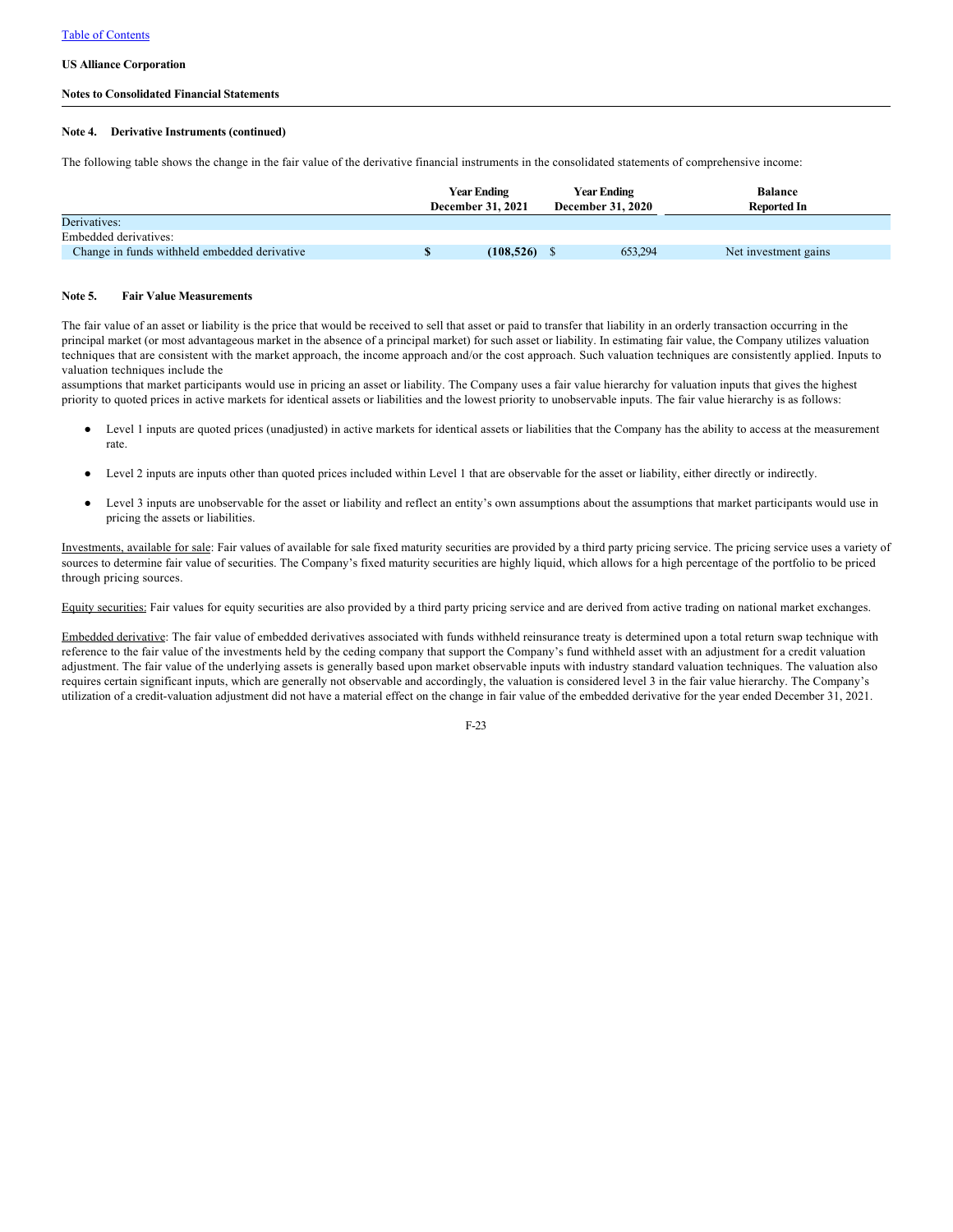### **Notes to Consolidated Financial Statements**

#### **Note 4. Derivative Instruments (continued)**

The following table shows the change in the fair value of the derivative financial instruments in the consolidated statements of comprehensive income:

|                                              | <b>Year Ending</b><br><b>December 31, 2021</b> | <b>Year Ending</b><br><b>December 31, 2020</b> | <b>Balance</b><br><b>Reported In</b> |  |
|----------------------------------------------|------------------------------------------------|------------------------------------------------|--------------------------------------|--|
| Derivatives:                                 |                                                |                                                |                                      |  |
| Embedded derivatives:                        |                                                |                                                |                                      |  |
| Change in funds withheld embedded derivative | (108, 526)                                     | 653,294                                        | Net investment gains                 |  |

#### **Note 5. Fair Value Measurements**

The fair value of an asset or liability is the price that would be received to sell that asset or paid to transfer that liability in an orderly transaction occurring in the principal market (or most advantageous market in the absence of a principal market) for such asset or liability. In estimating fair value, the Company utilizes valuation techniques that are consistent with the market approach, the income approach and/or the cost approach. Such valuation techniques are consistently applied. Inputs to valuation techniques include the

assumptions that market participants would use in pricing an asset or liability. The Company uses a fair value hierarchy for valuation inputs that gives the highest priority to quoted prices in active markets for identical assets or liabilities and the lowest priority to unobservable inputs. The fair value hierarchy is as follows:

- Level 1 inputs are quoted prices (unadjusted) in active markets for identical assets or liabilities that the Company has the ability to access at the measurement rate.
- Level 2 inputs are inputs other than quoted prices included within Level 1 that are observable for the asset or liability, either directly or indirectly.
- Level 3 inputs are unobservable for the asset or liability and reflect an entity's own assumptions about the assumptions that market participants would use in pricing the assets or liabilities.

Investments, available for sale: Fair values of available for sale fixed maturity securities are provided by a third party pricing service. The pricing service uses a variety of sources to determine fair value of securities. The Company's fixed maturity securities are highly liquid, which allows for a high percentage of the portfolio to be priced through pricing sources.

Equity securities: Fair values for equity securities are also provided by a third party pricing service and are derived from active trading on national market exchanges.

Embedded derivative: The fair value of embedded derivatives associated with funds withheld reinsurance treaty is determined upon a total return swap technique with reference to the fair value of the investments held by the ceding company that support the Company's fund withheld asset with an adjustment for a credit valuation adjustment. The fair value of the underlying assets is generally based upon market observable inputs with industry standard valuation techniques. The valuation also requires certain significant inputs, which are generally not observable and accordingly, the valuation is considered level 3 in the fair value hierarchy. The Company's utilization of a credit-valuation adjustment did not have a material effect on the change in fair value of the embedded derivative for the year ended December 31, 2021.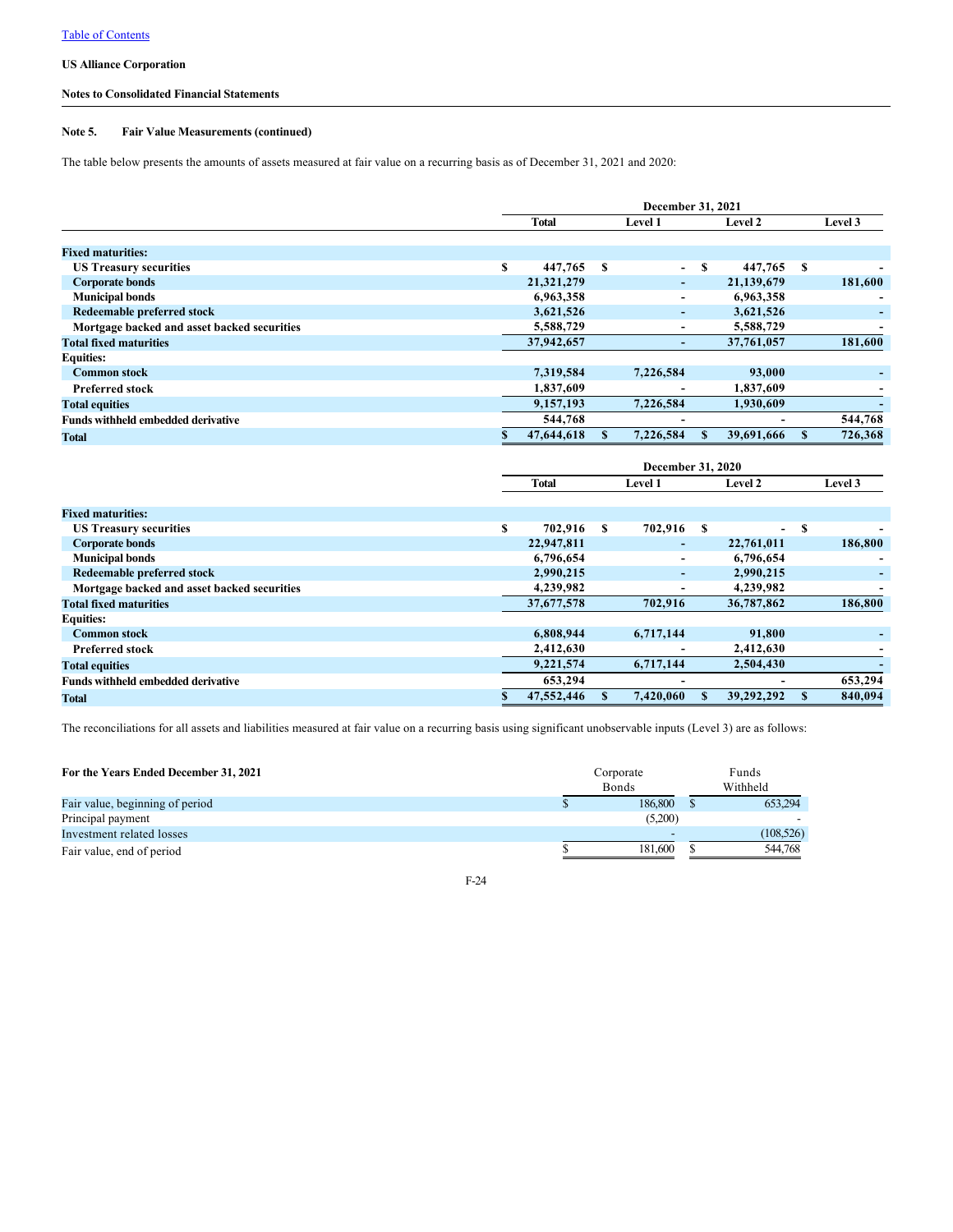## **Notes to Consolidated Financial Statements**

## **Note 5. Fair Value Measurements (continued)**

The table below presents the amounts of assets measured at fair value on a recurring basis as of December 31, 2021 and 2020:

|                                             | December 31, 2021 |            |   |                          |   |            |   |         |  |
|---------------------------------------------|-------------------|------------|---|--------------------------|---|------------|---|---------|--|
|                                             |                   | Total      |   | <b>Level 1</b>           |   | Level 2    |   | Level 3 |  |
|                                             |                   |            |   |                          |   |            |   |         |  |
| <b>Fixed maturities:</b>                    |                   |            |   |                          |   |            |   |         |  |
| <b>US Treasury securities</b>               | S                 | 447,765    | S | $\sim$                   | S | 447,765    | S |         |  |
| <b>Corporate bonds</b>                      |                   | 21,321,279 |   | ٠                        |   | 21,139,679 |   | 181,600 |  |
| <b>Municipal bonds</b>                      |                   | 6,963,358  |   | ٠                        |   | 6,963,358  |   |         |  |
| Redeemable preferred stock                  |                   | 3,621,526  |   | ۰                        |   | 3,621,526  |   |         |  |
| Mortgage backed and asset backed securities |                   | 5,588,729  |   | ٠                        |   | 5,588,729  |   |         |  |
| <b>Total fixed maturities</b>               |                   | 37,942,657 |   | ٠                        |   | 37,761,057 |   | 181,600 |  |
| <b>Equities:</b>                            |                   |            |   |                          |   |            |   |         |  |
| <b>Common stock</b>                         |                   | 7,319,584  |   | 7,226,584                |   | 93,000     |   |         |  |
| <b>Preferred stock</b>                      |                   | 1,837,609  |   | $\overline{\phantom{0}}$ |   | 1,837,609  |   |         |  |
| <b>Total equities</b>                       |                   | 9,157,193  |   | 7,226,584                |   | 1,930,609  |   |         |  |
| <b>Funds withheld embedded derivative</b>   |                   | 544,768    |   | $\overline{\phantom{0}}$ |   | -          |   | 544,768 |  |
| <b>Total</b>                                |                   | 47,644,618 |   | 7,226,584                |   | 39,691,666 |   | 726,368 |  |

|                                             |   |              |   | December 31, 2020        |         |                          |   |         |
|---------------------------------------------|---|--------------|---|--------------------------|---------|--------------------------|---|---------|
|                                             |   | <b>Total</b> |   | <b>Level 1</b>           | Level 2 |                          |   | Level 3 |
|                                             |   |              |   |                          |         |                          |   |         |
| <b>Fixed maturities:</b>                    |   |              |   |                          |         |                          |   |         |
| <b>US Treasury securities</b>               | S | 702,916      | S | 702,916 \$               |         | $\overline{\phantom{0}}$ | S |         |
| <b>Corporate bonds</b>                      |   | 22,947,811   |   | ۰                        |         | 22,761,011               |   | 186,800 |
| <b>Municipal bonds</b>                      |   | 6,796,654    |   | ٠                        |         | 6,796,654                |   |         |
| Redeemable preferred stock                  |   | 2,990,215    |   | ۰.                       |         | 2,990,215                |   |         |
| Mortgage backed and asset backed securities |   | 4,239,982    |   | ٠                        |         | 4,239,982                |   |         |
| <b>Total fixed maturities</b>               |   | 37,677,578   |   | 702,916                  |         | 36,787,862               |   | 186,800 |
| <b>Equities:</b>                            |   |              |   |                          |         |                          |   |         |
| <b>Common stock</b>                         |   | 6,808,944    |   | 6,717,144                |         | 91,800                   |   |         |
| <b>Preferred stock</b>                      |   | 2,412,630    |   | $\overline{\phantom{0}}$ |         | 2,412,630                |   |         |
| <b>Total equities</b>                       |   | 9,221,574    |   | 6,717,144                |         | 2.504.430                |   |         |
| <b>Funds withheld embedded derivative</b>   |   | 653,294      |   | $\overline{\phantom{0}}$ |         | $\overline{a}$           |   | 653,294 |
| <b>Total</b>                                |   | 47,552,446   |   | 7,420,060                |         | 39,292,292               |   | 840.094 |

The reconciliations for all assets and liabilities measured at fair value on a recurring basis using significant unobservable inputs (Level 3) are as follows:

| For the Years Ended December 31, 2021 | Corporate<br><b>Bonds</b> |  |            |  |  |  |
|---------------------------------------|---------------------------|--|------------|--|--|--|
| Fair value, beginning of period       | 186,800                   |  | 653,294    |  |  |  |
| Principal payment                     | (5,200)                   |  |            |  |  |  |
| Investment related losses             | -                         |  | (108, 526) |  |  |  |
| Fair value, end of period             | 181,600                   |  | 544,768    |  |  |  |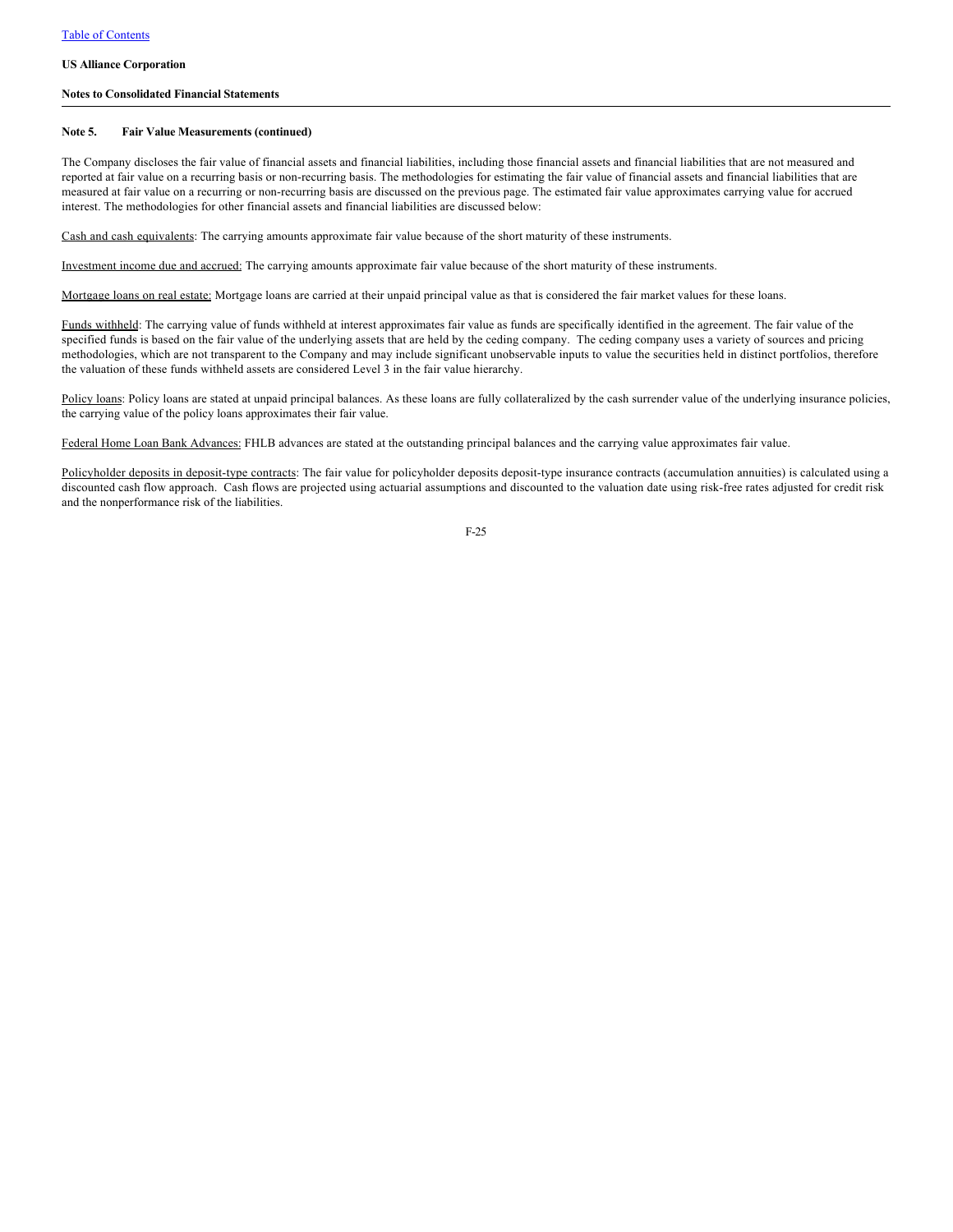### **Notes to Consolidated Financial Statements**

#### **Note 5. Fair Value Measurements (continued)**

The Company discloses the fair value of financial assets and financial liabilities, including those financial assets and financial liabilities that are not measured and reported at fair value on a recurring basis or non-recurring basis. The methodologies for estimating the fair value of financial assets and financial liabilities that are measured at fair value on a recurring or non-recurring basis are discussed on the previous page. The estimated fair value approximates carrying value for accrued interest. The methodologies for other financial assets and financial liabilities are discussed below:

Cash and cash equivalents: The carrying amounts approximate fair value because of the short maturity of these instruments.

Investment income due and accrued: The carrying amounts approximate fair value because of the short maturity of these instruments.

Mortgage loans on real estate: Mortgage loans are carried at their unpaid principal value as that is considered the fair market values for these loans.

Funds withheld: The carrying value of funds withheld at interest approximates fair value as funds are specifically identified in the agreement. The fair value of the specified funds is based on the fair value of the underlying assets that are held by the ceding company. The ceding company uses a variety of sources and pricing methodologies, which are not transparent to the Company and may include significant unobservable inputs to value the securities held in distinct portfolios, therefore the valuation of these funds withheld assets are considered Level 3 in the fair value hierarchy.

Policy loans: Policy loans are stated at unpaid principal balances. As these loans are fully collateralized by the cash surrender value of the underlying insurance policies, the carrying value of the policy loans approximates their fair value.

Federal Home Loan Bank Advances: FHLB advances are stated at the outstanding principal balances and the carrying value approximates fair value.

Policyholder deposits in deposit-type contracts: The fair value for policyholder deposits deposit-type insurance contracts (accumulation annuities) is calculated using a discounted cash flow approach. Cash flows are projected using actuarial assumptions and discounted to the valuation date using risk-free rates adjusted for credit risk and the nonperformance risk of the liabilities.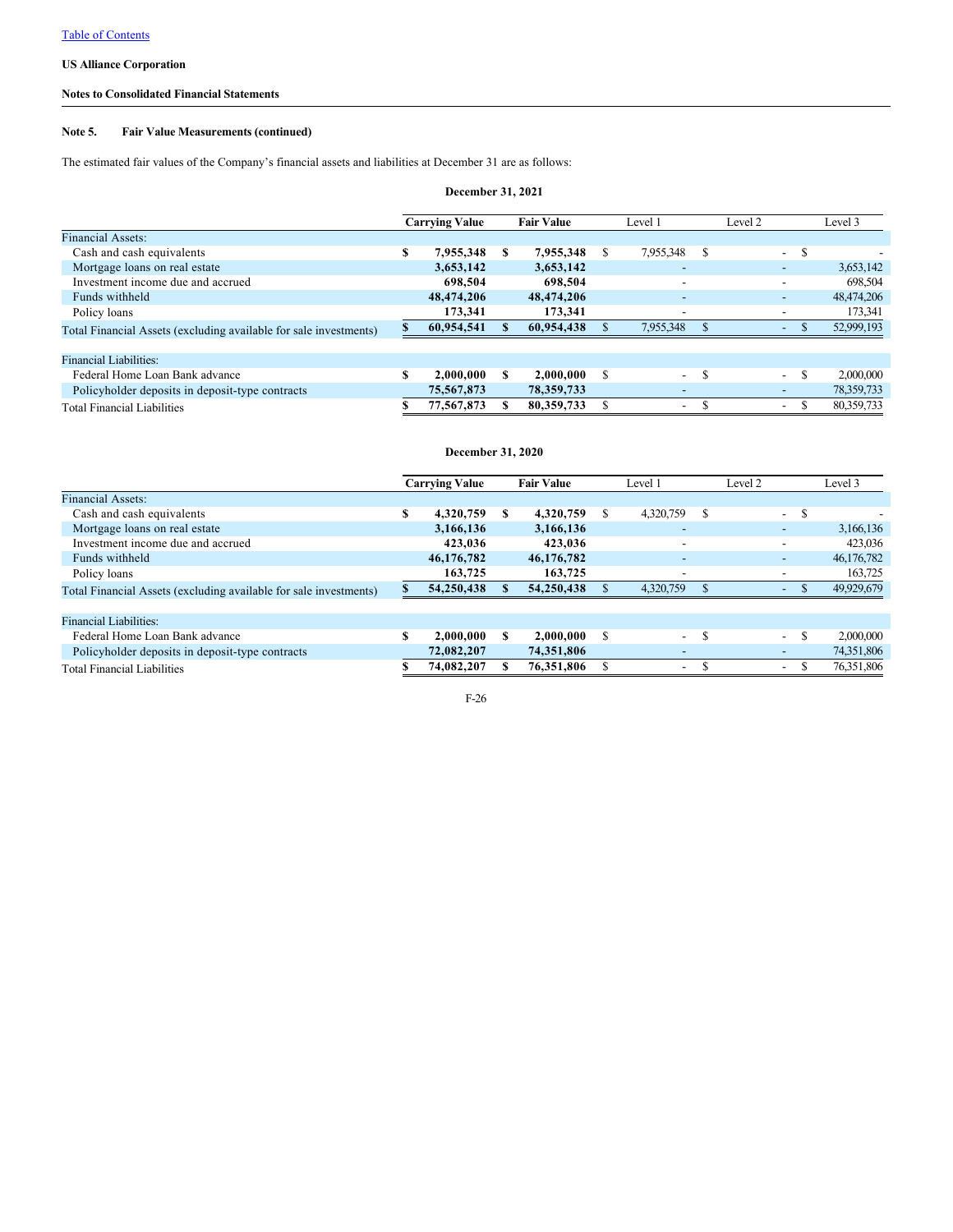## **Notes to Consolidated Financial Statements**

## **Note 5. Fair Value Measurements (continued)**

The estimated fair values of the Company's financial assets and liabilities at December 31 are as follows:

| December 31, 2021                                                 |   |                       |   |                   |    |                          |               |         |                          |               |            |
|-------------------------------------------------------------------|---|-----------------------|---|-------------------|----|--------------------------|---------------|---------|--------------------------|---------------|------------|
|                                                                   |   | <b>Carrying Value</b> |   | <b>Fair Value</b> |    | Level 1                  |               | Level 2 |                          |               | Level 3    |
| <b>Financial Assets:</b>                                          |   |                       |   |                   |    |                          |               |         |                          |               |            |
| Cash and cash equivalents                                         | S | 7,955,348             | S | 7,955,348         | S. | 7.955.348                | S             |         | $\sim$                   | S             |            |
| Mortgage loans on real estate                                     |   | 3,653,142             |   | 3,653,142         |    | $\overline{\phantom{a}}$ |               |         | $\overline{\phantom{0}}$ |               | 3,653,142  |
| Investment income due and accrued                                 |   | 698,504               |   | 698,504           |    | $\overline{\phantom{a}}$ |               |         | $\overline{\phantom{a}}$ |               | 698,504    |
| Funds withheld                                                    |   | 48,474,206            |   | 48,474,206        |    | -                        |               |         |                          |               | 48,474,206 |
| Policy loans                                                      |   | 173,341               |   | 173,341           |    | $\overline{\phantom{a}}$ |               |         | ۰.                       |               | 173,341    |
| Total Financial Assets (excluding available for sale investments) |   | 60,954,541            |   | 60,954,438        |    | 7,955,348                | £.            |         | $\sim$                   |               | 52,999,193 |
| Financial Liabilities:                                            |   |                       |   |                   |    |                          |               |         |                          |               |            |
| Federal Home Loan Bank advance                                    |   | 2,000,000             | S | 2.000.000         | S  | $\sim 100$               | $\mathcal{S}$ |         | $\overline{\phantom{0}}$ | \$.           | 2,000,000  |
| Policyholder deposits in deposit-type contracts                   |   | 75,567,873            |   | 78,359,733        |    | $\overline{\phantom{a}}$ |               |         | $\overline{\phantom{0}}$ |               | 78,359,733 |
| <b>Total Financial Liabilities</b>                                |   | 77,567,873            |   | 80,359,733        |    | $\sim$                   | S             |         | $\sim$                   | <sup>\$</sup> | 80,359,733 |

## **December 31, 2020**

|                                                                   |   | <b>Carrying Value</b> |   | <b>Fair Value</b> |   | Level:                   |    | Level 2 |                          |    | Level 3    |
|-------------------------------------------------------------------|---|-----------------------|---|-------------------|---|--------------------------|----|---------|--------------------------|----|------------|
| <b>Financial Assets:</b>                                          |   |                       |   |                   |   |                          |    |         |                          |    |            |
| Cash and cash equivalents                                         | S | 4,320,759             | S | 4,320,759         | S | 4,320,759                | S  |         | $\sim$                   | -S |            |
| Mortgage loans on real estate                                     |   | 3,166,136             |   | 3,166,136         |   |                          |    |         | ۰                        |    | 3,166,136  |
| Investment income due and accrued                                 |   | 423,036               |   | 423,036           |   | $\overline{\phantom{0}}$ |    |         | $\overline{\phantom{a}}$ |    | 423,036    |
| Funds withheld                                                    |   | 46,176,782            |   | 46,176,782        |   | ٠                        |    |         | $\overline{\phantom{a}}$ |    | 46,176,782 |
| Policy loans                                                      |   | 163,725               |   | 163,725           |   | $\overline{\phantom{a}}$ |    |         | $\overline{\phantom{a}}$ |    | 163,725    |
| Total Financial Assets (excluding available for sale investments) |   | 54,250,438            |   | 54,250,438        |   | 4.320.759                |    |         | $\sim$                   | Ъ. | 49,929,679 |
| Financial Liabilities:                                            |   |                       |   |                   |   |                          |    |         |                          |    |            |
| Federal Home Loan Bank advance                                    | S | 2.000.000             | S | 2,000,000         | S | $\overline{\phantom{0}}$ | \$ |         | $\sim$                   | S  | 2,000,000  |
| Policyholder deposits in deposit-type contracts                   |   | 72.082.207            |   | 74,351,806        |   | $\overline{\phantom{a}}$ |    |         | $\overline{\phantom{0}}$ |    | 74,351,806 |
| <b>Total Financial Liabilities</b>                                |   | 74,082,207            |   | 76,351,806        |   | $\overline{\phantom{0}}$ | S  |         | $\sim$                   | ъ  | 76,351,806 |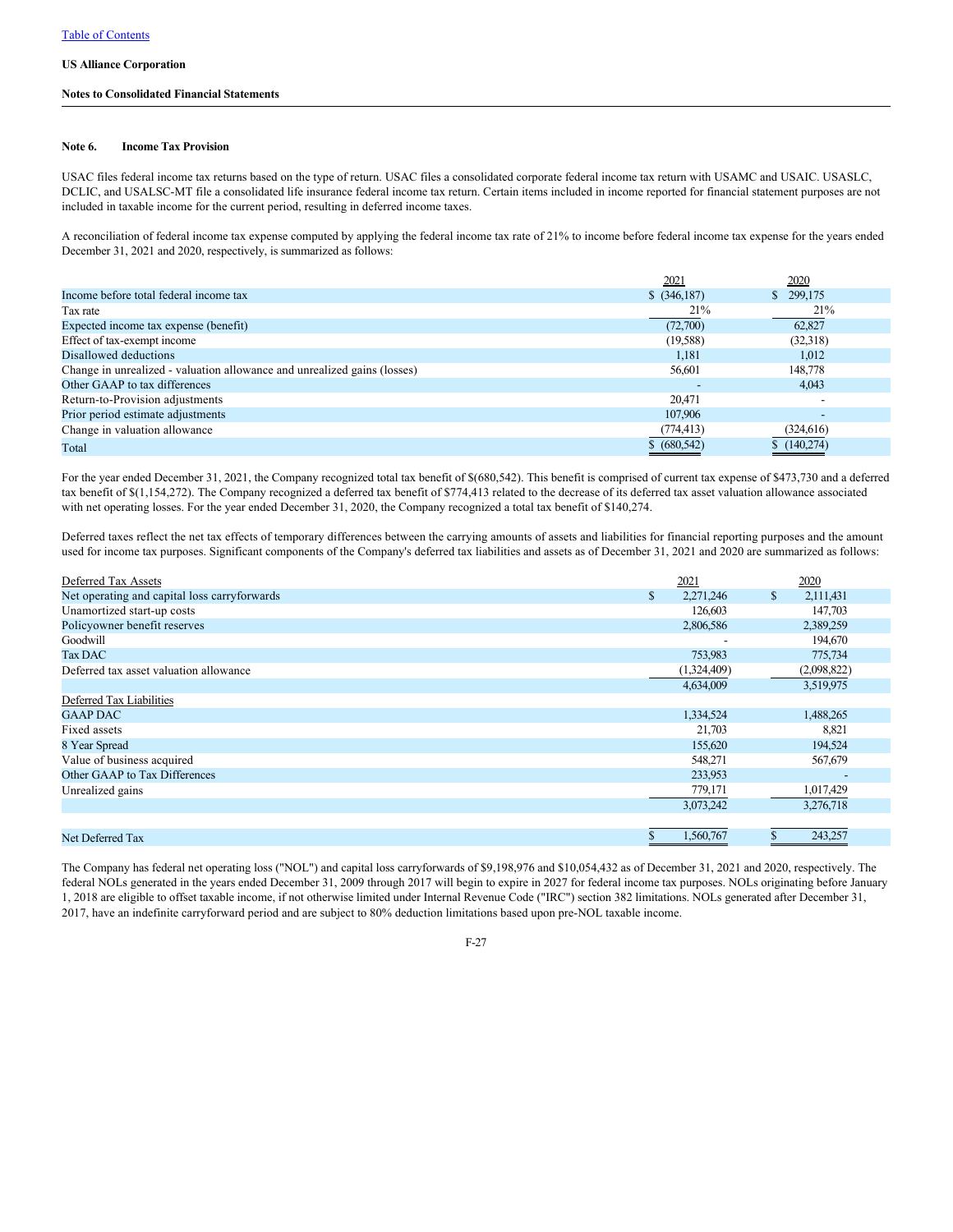### **Notes to Consolidated Financial Statements**

### **Note 6. Income Tax Provision**

USAC files federal income tax returns based on the type of return. USAC files a consolidated corporate federal income tax return with USAMC and USAIC. USASLC, DCLIC, and USALSC-MT file a consolidated life insurance federal income tax return. Certain items included in income reported for financial statement purposes are not included in taxable income for the current period, resulting in deferred income taxes.

A reconciliation of federal income tax expense computed by applying the federal income tax rate of 21% to income before federal income tax expense for the years ended December 31, 2021 and 2020, respectively, is summarized as follows:

|                                                                          | 2021          | <u>2020</u> |
|--------------------------------------------------------------------------|---------------|-------------|
| Income before total federal income tax                                   | $$$ (346,187) | \$299,175   |
| Tax rate                                                                 | 21%           | 21%         |
| Expected income tax expense (benefit)                                    | (72,700)      | 62,827      |
| Effect of tax-exempt income                                              | (19,588)      | (32,318)    |
| Disallowed deductions                                                    | 1.181         | 1,012       |
| Change in unrealized - valuation allowance and unrealized gains (losses) | 56,601        | 148,778     |
| Other GAAP to tax differences                                            |               | 4.043       |
| Return-to-Provision adjustments                                          | 20,471        |             |
| Prior period estimate adjustments                                        | 107,906       |             |
| Change in valuation allowance                                            | (774,413)     | (324,616)   |
| Total                                                                    | \$ (680, 542) | (140,274)   |

For the year ended December 31, 2021, the Company recognized total tax benefit of \$(680,542). This benefit is comprised of current tax expense of \$473,730 and a deferred tax benefit of \$(1,154,272). The Company recognized a deferred tax benefit of \$774,413 related to the decrease of its deferred tax asset valuation allowance associated with net operating losses. For the year ended December 31, 2020, the Company recognized a total tax benefit of \$140,274.

Deferred taxes reflect the net tax effects of temporary differences between the carrying amounts of assets and liabilities for financial reporting purposes and the amount used for income tax purposes. Significant components of the Company's deferred tax liabilities and assets as of December 31, 2021 and 2020 are summarized as follows:

| Deferred Tax Assets                          | 2021            | 2020            |
|----------------------------------------------|-----------------|-----------------|
| Net operating and capital loss carryforwards | \$<br>2,271,246 | \$<br>2,111,431 |
| Unamortized start-up costs                   | 126,603         | 147,703         |
| Policyowner benefit reserves                 | 2,806,586       | 2,389,259       |
| Goodwill                                     |                 | 194,670         |
| <b>Tax DAC</b>                               | 753,983         | 775,734         |
| Deferred tax asset valuation allowance       | (1,324,409)     | (2,098,822)     |
|                                              | 4,634,009       | 3,519,975       |
| Deferred Tax Liabilities                     |                 |                 |
| <b>GAAP DAC</b>                              | 1,334,524       | 1,488,265       |
| Fixed assets                                 | 21,703          | 8,821           |
| 8 Year Spread                                | 155,620         | 194,524         |
| Value of business acquired                   | 548,271         | 567,679         |
| Other GAAP to Tax Differences                | 233,953         |                 |
| Unrealized gains                             | 779,171         | 1,017,429       |
|                                              | 3,073,242       | 3,276,718       |
|                                              |                 |                 |
| Net Deferred Tax                             | 1,560,767       | 243,257         |

The Company has federal net operating loss ("NOL") and capital loss carryforwards of \$9,198,976 and \$10,054,432 as of December 31, 2021 and 2020, respectively. The federal NOLs generated in the years ended December 31, 2009 through 2017 will begin to expire in 2027 for federal income tax purposes. NOLs originating before January 1, 2018 are eligible to offset taxable income, if not otherwise limited under Internal Revenue Code ("IRC") section 382 limitations. NOLs generated after December 31, 2017, have an indefinite carryforward period and are subject to 80% deduction limitations based upon pre-NOL taxable income.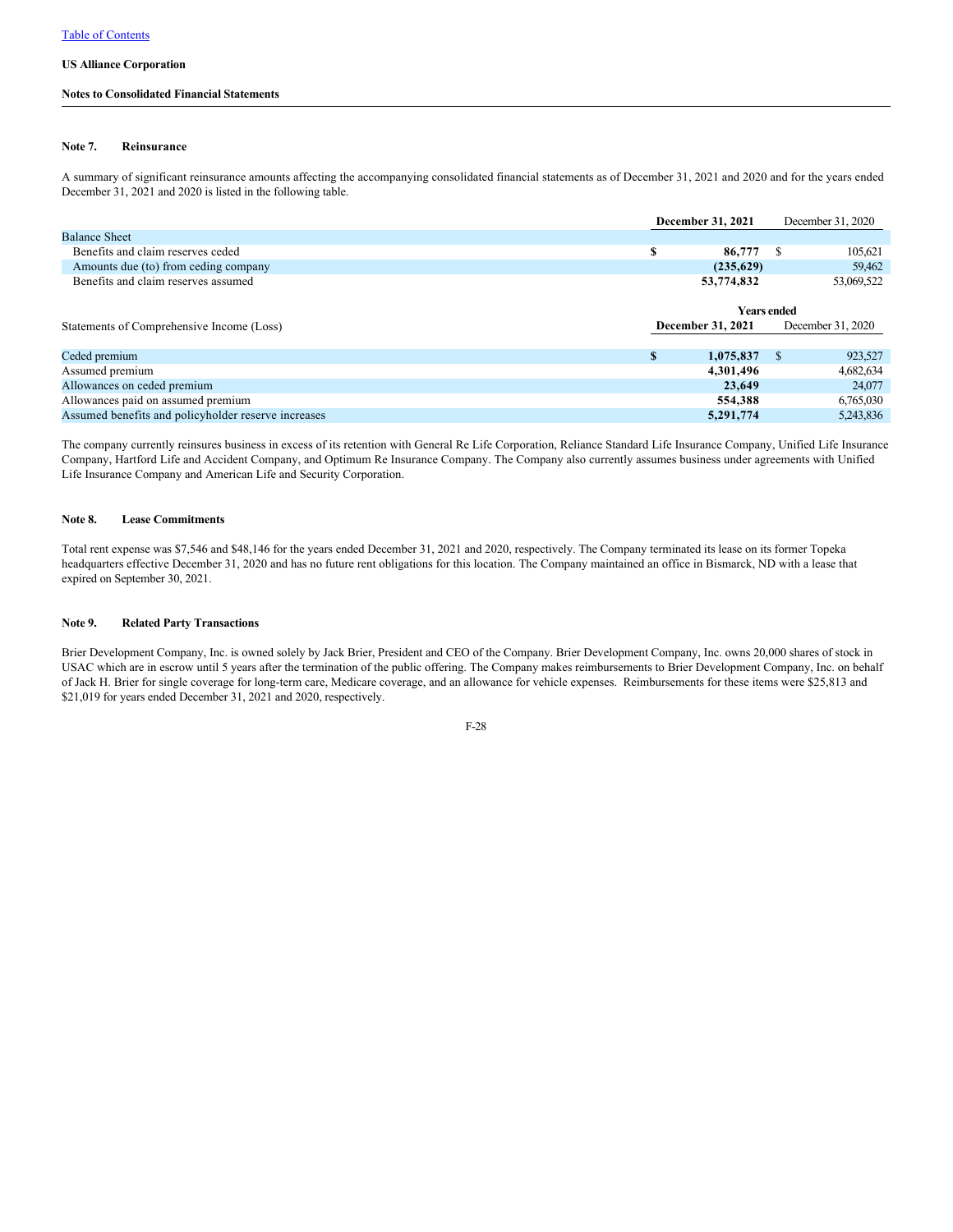### **Notes to Consolidated Financial Statements**

### **Note 7. Reinsurance**

A summary of significant reinsurance amounts affecting the accompanying consolidated financial statements as of December 31, 2021 and 2020 and for the years ended December 31, 2021 and 2020 is listed in the following table.

|                                                     |   | December 31, 2021  |      | December 31, 2020 |
|-----------------------------------------------------|---|--------------------|------|-------------------|
| <b>Balance Sheet</b>                                |   |                    |      |                   |
| Benefits and claim reserves ceded                   | S | 86,777             | -S   | 105,621           |
| Amounts due (to) from ceding company                |   | (235,629)          |      | 59,462            |
| Benefits and claim reserves assumed                 |   | 53,774,832         |      | 53,069,522        |
|                                                     |   |                    |      |                   |
|                                                     |   | <b>Years ended</b> |      |                   |
| Statements of Comprehensive Income (Loss)           |   | December 31, 2021  |      | December 31, 2020 |
|                                                     |   |                    |      |                   |
| Ceded premium                                       | S | 1,075,837          | - \$ | 923,527           |
| Assumed premium                                     |   | 4,301,496          |      | 4,682,634         |
| Allowances on ceded premium                         |   | 23,649             |      | 24,077            |
| Allowances paid on assumed premium                  |   | 554,388            |      | 6,765,030         |
| Assumed benefits and policyholder reserve increases |   | 5,291,774          |      | 5,243,836         |
|                                                     |   |                    |      |                   |

The company currently reinsures business in excess of its retention with General Re Life Corporation, Reliance Standard Life Insurance Company, Unified Life Insurance Company, Hartford Life and Accident Company, and Optimum Re Insurance Company. The Company also currently assumes business under agreements with Unified Life Insurance Company and American Life and Security Corporation.

### **Note 8. Lease Commitments**

Total rent expense was \$7,546 and \$48,146 for the years ended December 31, 2021 and 2020, respectively. The Company terminated its lease on its former Topeka headquarters effective December 31, 2020 and has no future rent obligations for this location. The Company maintained an office in Bismarck, ND with a lease that expired on September 30, 2021.

## **Note 9. Related Party Transactions**

Brier Development Company, Inc. is owned solely by Jack Brier, President and CEO of the Company. Brier Development Company, Inc. owns 20,000 shares of stock in USAC which are in escrow until 5 years after the termination of the public offering. The Company makes reimbursements to Brier Development Company, Inc. on behalf of Jack H. Brier for single coverage for long-term care, Medicare coverage, and an allowance for vehicle expenses. Reimbursements for these items were \$25,813 and \$21,019 for years ended December 31, 2021 and 2020, respectively.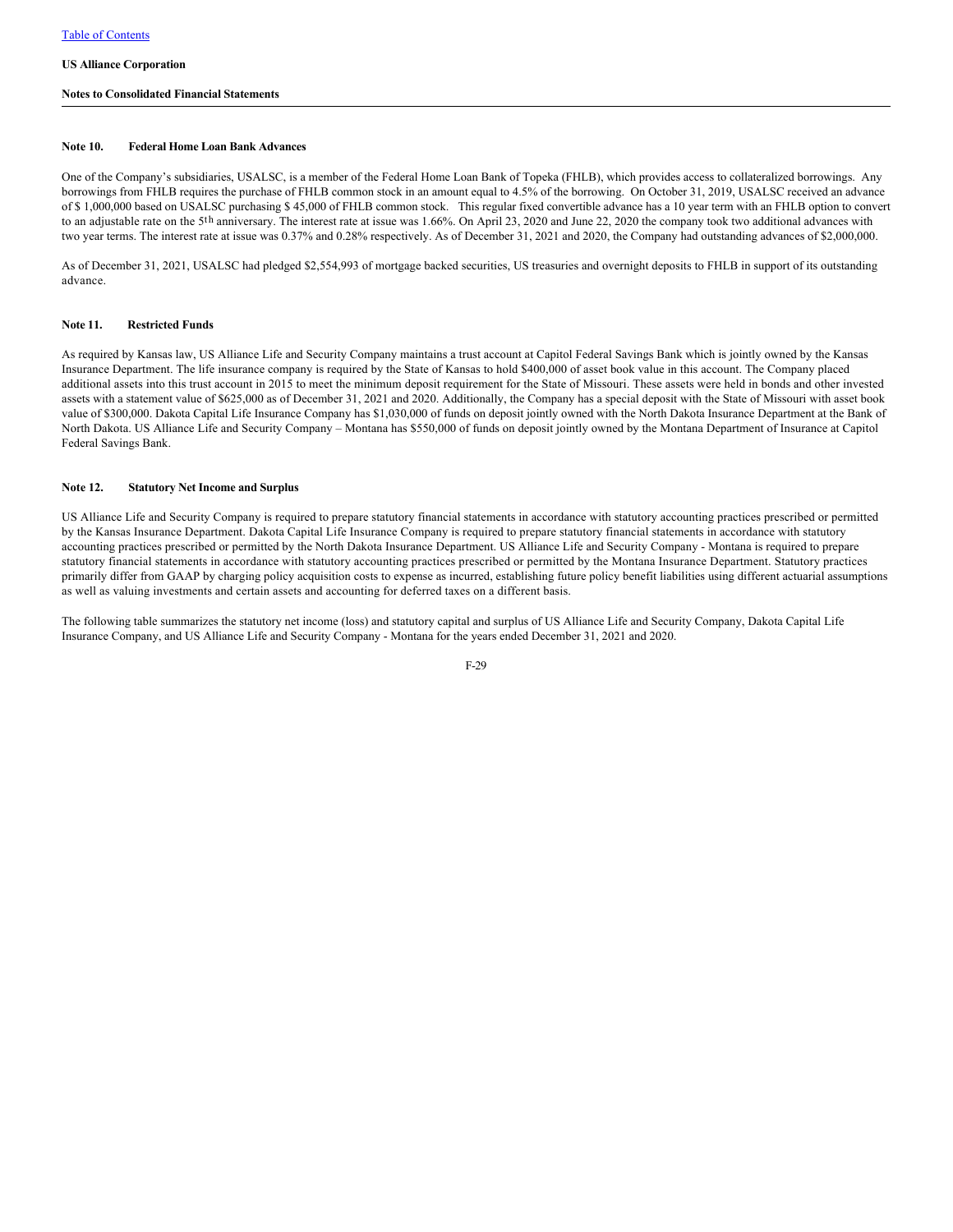## **Notes to Consolidated Financial Statements**

## **Note 10. Federal Home Loan Bank Advances**

One of the Company's subsidiaries, USALSC, is a member of the Federal Home Loan Bank of Topeka (FHLB), which provides access to collateralized borrowings. Any borrowings from FHLB requires the purchase of FHLB common stock in an amount equal to 4.5% of the borrowing. On October 31, 2019, USALSC received an advance of \$ 1,000,000 based on USALSC purchasing \$ 45,000 of FHLB common stock. This regular fixed convertible advance has a 10 year term with an FHLB option to convert to an adjustable rate on the 5th anniversary. The interest rate at issue was 1.66%. On April 23, 2020 and June 22, 2020 the company took two additional advances with two year terms. The interest rate at issue was 0.37% and 0.28% respectively. As of December 31, 2021 and 2020, the Company had outstanding advances of \$2,000,000.

As of December 31, 2021, USALSC had pledged \$2,554,993 of mortgage backed securities, US treasuries and overnight deposits to FHLB in support of its outstanding advance.

## **Note 11. Restricted Funds**

As required by Kansas law, US Alliance Life and Security Company maintains a trust account at Capitol Federal Savings Bank which is jointly owned by the Kansas Insurance Department. The life insurance company is required by the State of Kansas to hold \$400,000 of asset book value in this account. The Company placed additional assets into this trust account in 2015 to meet the minimum deposit requirement for the State of Missouri. These assets were held in bonds and other invested assets with a statement value of \$625,000 as of December 31, 2021 and 2020. Additionally, the Company has a special deposit with the State of Missouri with asset book value of \$300,000. Dakota Capital Life Insurance Company has \$1,030,000 of funds on deposit jointly owned with the North Dakota Insurance Department at the Bank of North Dakota. US Alliance Life and Security Company – Montana has \$550,000 of funds on deposit jointly owned by the Montana Department of Insurance at Capitol Federal Savings Bank.

## **Note 12. Statutory Net Income and Surplus**

US Alliance Life and Security Company is required to prepare statutory financial statements in accordance with statutory accounting practices prescribed or permitted by the Kansas Insurance Department. Dakota Capital Life Insurance Company is required to prepare statutory financial statements in accordance with statutory accounting practices prescribed or permitted by the North Dakota Insurance Department. US Alliance Life and Security Company - Montana is required to prepare statutory financial statements in accordance with statutory accounting practices prescribed or permitted by the Montana Insurance Department. Statutory practices primarily differ from GAAP by charging policy acquisition costs to expense as incurred, establishing future policy benefit liabilities using different actuarial assumptions as well as valuing investments and certain assets and accounting for deferred taxes on a different basis.

The following table summarizes the statutory net income (loss) and statutory capital and surplus of US Alliance Life and Security Company, Dakota Capital Life Insurance Company, and US Alliance Life and Security Company - Montana for the years ended December 31, 2021 and 2020.

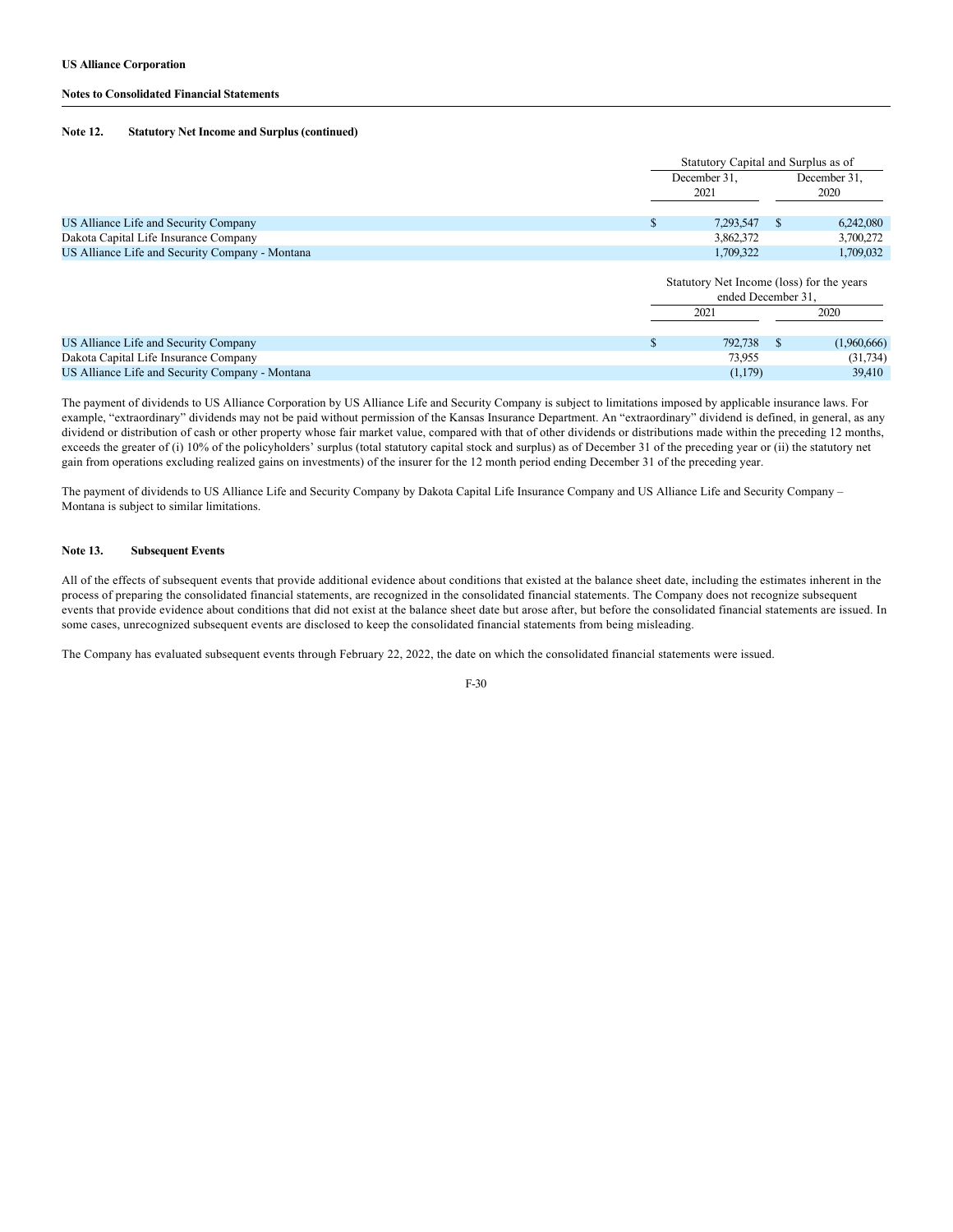### **Notes to Consolidated Financial Statements**

#### **Note 12. Statutory Net Income and Surplus (continued)**

|                                                 | Statutory Capital and Surplus as of                             |  |                      |  |
|-------------------------------------------------|-----------------------------------------------------------------|--|----------------------|--|
|                                                 | December 31,<br>2021                                            |  | December 31,<br>2020 |  |
| US Alliance Life and Security Company           | 7,293,547                                                       |  | 6,242,080            |  |
| Dakota Capital Life Insurance Company           | 3,862,372                                                       |  | 3,700,272            |  |
| US Alliance Life and Security Company - Montana | 1,709,322                                                       |  | 1,709,032            |  |
|                                                 | Statutory Net Income (loss) for the years<br>ended December 31. |  |                      |  |

|                                                 | 2021    |  | 2020         |
|-------------------------------------------------|---------|--|--------------|
|                                                 |         |  |              |
| US Alliance Life and Security Company           | 792,738 |  | (1.960, 666) |
| Dakota Capital Life Insurance Company           | 73.955  |  | (31,734)     |
| US Alliance Life and Security Company - Montana | (1,179) |  | 39.410       |

The payment of dividends to US Alliance Corporation by US Alliance Life and Security Company is subject to limitations imposed by applicable insurance laws. For example, "extraordinary" dividends may not be paid without permission of the Kansas Insurance Department. An "extraordinary" dividend is defined, in general, as any dividend or distribution of cash or other property whose fair market value, compared with that of other dividends or distributions made within the preceding 12 months, exceeds the greater of (i) 10% of the policyholders' surplus (total statutory capital stock and surplus) as of December 31 of the preceding year or (ii) the statutory net gain from operations excluding realized gains on investments) of the insurer for the 12 month period ending December 31 of the preceding year.

The payment of dividends to US Alliance Life and Security Company by Dakota Capital Life Insurance Company and US Alliance Life and Security Company – Montana is subject to similar limitations.

### **Note 13. Subsequent Events**

All of the effects of subsequent events that provide additional evidence about conditions that existed at the balance sheet date, including the estimates inherent in the process of preparing the consolidated financial statements, are recognized in the consolidated financial statements. The Company does not recognize subsequent events that provide evidence about conditions that did not exist at the balance sheet date but arose after, but before the consolidated financial statements are issued. In some cases, unrecognized subsequent events are disclosed to keep the consolidated financial statements from being misleading.

The Company has evaluated subsequent events through February 22, 2022, the date on which the consolidated financial statements were issued.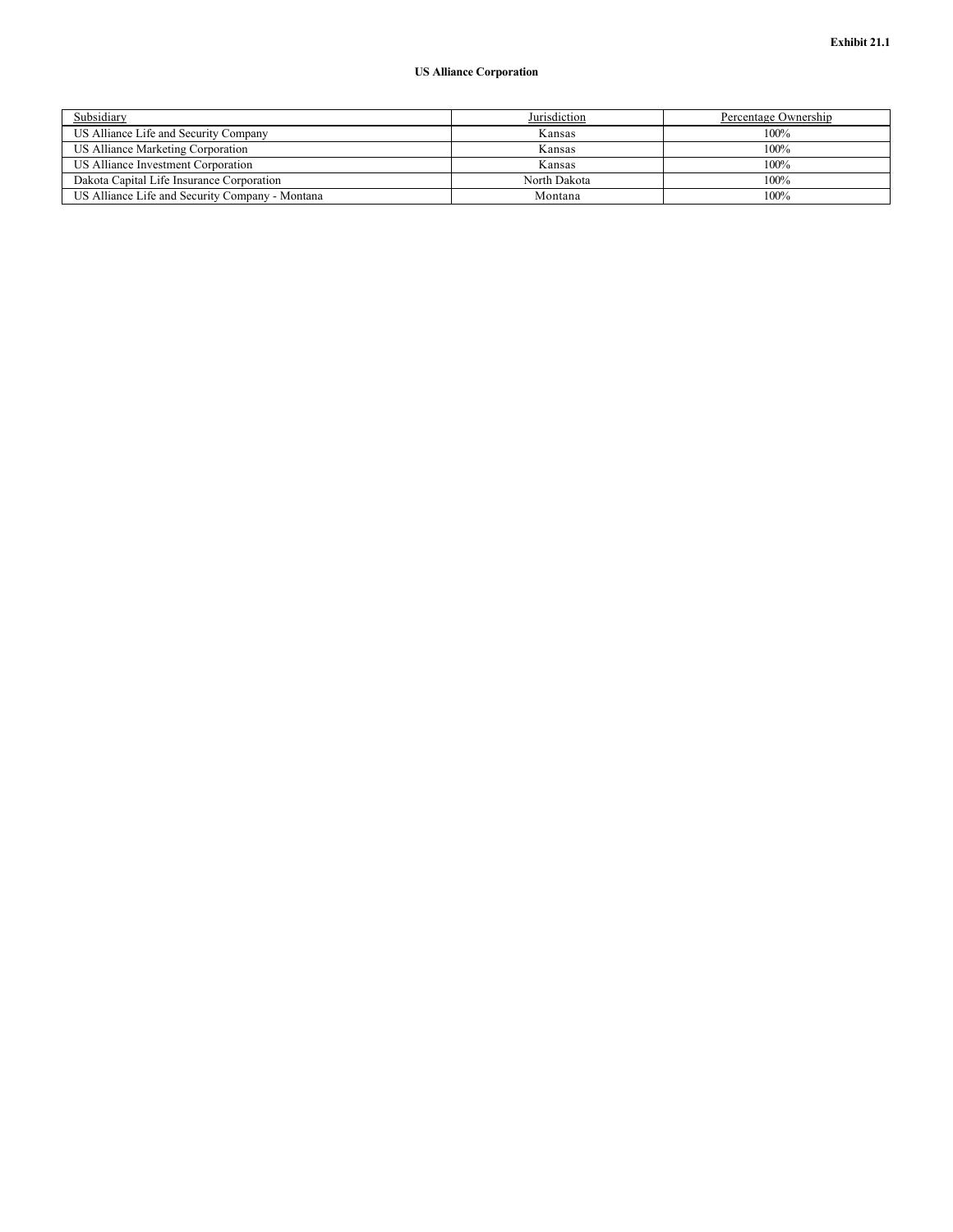| Subsidiary                                      | Jurisdiction | Percentage Ownership |
|-------------------------------------------------|--------------|----------------------|
| US Alliance Life and Security Company           | Kansas       | 100%                 |
| US Alliance Marketing Corporation               | Kansas       | 100%                 |
| US Alliance Investment Corporation              | Kansas       | 100%                 |
| Dakota Capital Life Insurance Corporation       | North Dakota | $100\%$              |
| US Alliance Life and Security Company - Montana | Montana      | 100%                 |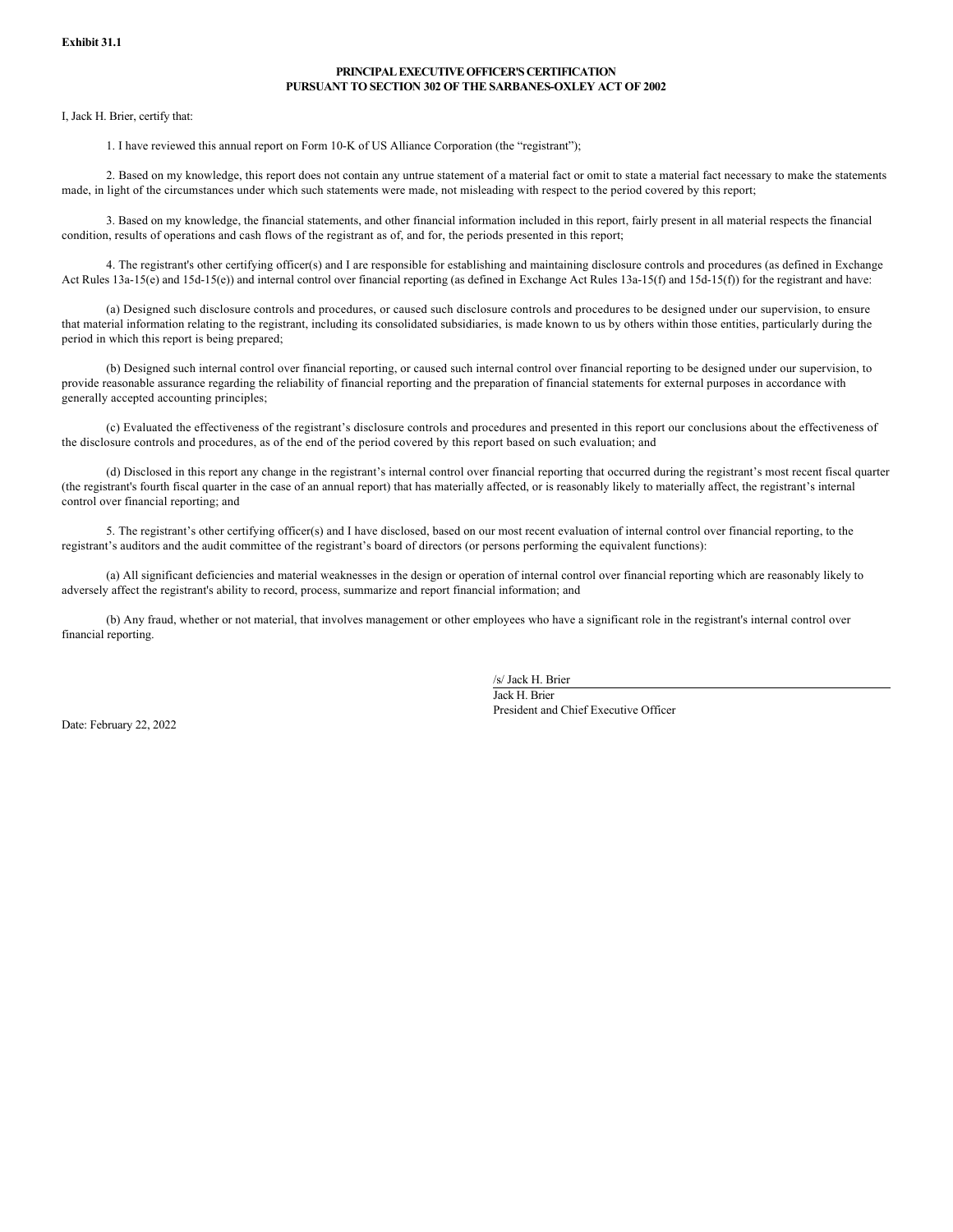## **PRINCIPAL EXECUTIVE OFFICER'S CERTIFICATION PURSUANT TO SECTION 302 OF THE SARBANES-OXLEY ACT OF 2002**

I, Jack H. Brier, certify that:

1. I have reviewed this annual report on Form 10-K of US Alliance Corporation (the "registrant");

2. Based on my knowledge, this report does not contain any untrue statement of a material fact or omit to state a material fact necessary to make the statements made, in light of the circumstances under which such statements were made, not misleading with respect to the period covered by this report;

3. Based on my knowledge, the financial statements, and other financial information included in this report, fairly present in all material respects the financial condition, results of operations and cash flows of the registrant as of, and for, the periods presented in this report;

4. The registrant's other certifying officer(s) and I are responsible for establishing and maintaining disclosure controls and procedures (as defined in Exchange Act Rules 13a-15(e) and 15d-15(e)) and internal control over financial reporting (as defined in Exchange Act Rules 13a-15(f) and 15d-15(f)) for the registrant and have:

(a) Designed such disclosure controls and procedures, or caused such disclosure controls and procedures to be designed under our supervision, to ensure that material information relating to the registrant, including its consolidated subsidiaries, is made known to us by others within those entities, particularly during the period in which this report is being prepared;

(b) Designed such internal control over financial reporting, or caused such internal control over financial reporting to be designed under our supervision, to provide reasonable assurance regarding the reliability of financial reporting and the preparation of financial statements for external purposes in accordance with generally accepted accounting principles;

(c) Evaluated the effectiveness of the registrant's disclosure controls and procedures and presented in this report our conclusions about the effectiveness of the disclosure controls and procedures, as of the end of the period covered by this report based on such evaluation; and

(d) Disclosed in this report any change in the registrant's internal control over financial reporting that occurred during the registrant's most recent fiscal quarter (the registrant's fourth fiscal quarter in the case of an annual report) that has materially affected, or is reasonably likely to materially affect, the registrant's internal control over financial reporting; and

5. The registrant's other certifying officer(s) and I have disclosed, based on our most recent evaluation of internal control over financial reporting, to the registrant's auditors and the audit committee of the registrant's board of directors (or persons performing the equivalent functions):

(a) All significant deficiencies and material weaknesses in the design or operation of internal control over financial reporting which are reasonably likely to adversely affect the registrant's ability to record, process, summarize and report financial information; and

(b) Any fraud, whether or not material, that involves management or other employees who have a significant role in the registrant's internal control over financial reporting.

/s/ Jack H. Brier

Jack H. Brier President and Chief Executive Officer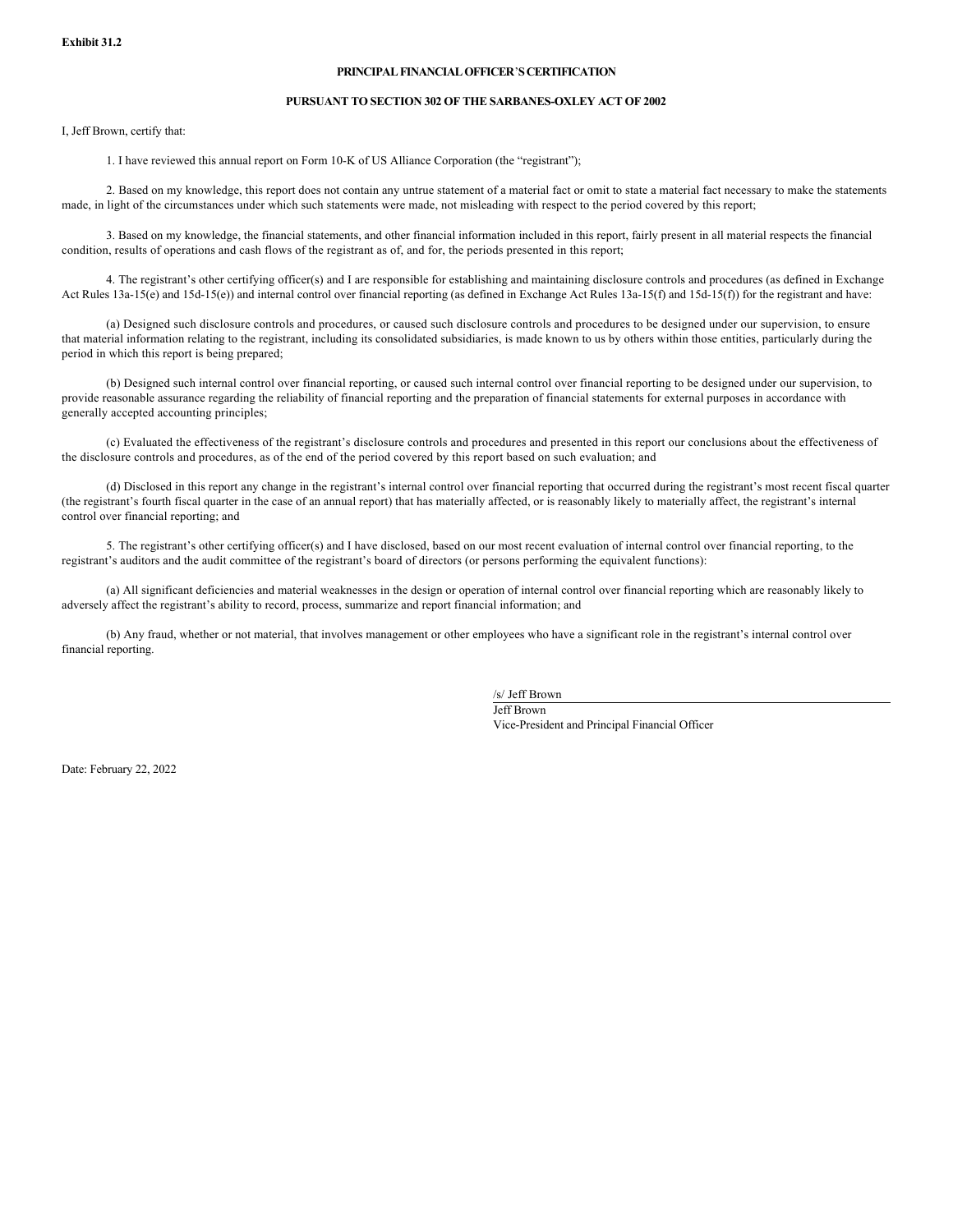### **PRINCIPAL FINANCIAL OFFICER**'**S CERTIFICATION**

### **PURSUANT TO SECTION 302 OF THE SARBANES-OXLEY ACT OF 2002**

I, Jeff Brown, certify that:

1. I have reviewed this annual report on Form 10-K of US Alliance Corporation (the "registrant");

2. Based on my knowledge, this report does not contain any untrue statement of a material fact or omit to state a material fact necessary to make the statements made, in light of the circumstances under which such statements were made, not misleading with respect to the period covered by this report;

3. Based on my knowledge, the financial statements, and other financial information included in this report, fairly present in all material respects the financial condition, results of operations and cash flows of the registrant as of, and for, the periods presented in this report;

4. The registrant's other certifying officer(s) and I are responsible for establishing and maintaining disclosure controls and procedures (as defined in Exchange Act Rules 13a-15(e) and 15d-15(e)) and internal control over financial reporting (as defined in Exchange Act Rules 13a-15(f) and 15d-15(f)) for the registrant and have:

(a) Designed such disclosure controls and procedures, or caused such disclosure controls and procedures to be designed under our supervision, to ensure that material information relating to the registrant, including its consolidated subsidiaries, is made known to us by others within those entities, particularly during the period in which this report is being prepared;

(b) Designed such internal control over financial reporting, or caused such internal control over financial reporting to be designed under our supervision, to provide reasonable assurance regarding the reliability of financial reporting and the preparation of financial statements for external purposes in accordance with generally accepted accounting principles;

(c) Evaluated the effectiveness of the registrant's disclosure controls and procedures and presented in this report our conclusions about the effectiveness of the disclosure controls and procedures, as of the end of the period covered by this report based on such evaluation; and

(d) Disclosed in this report any change in the registrant's internal control over financial reporting that occurred during the registrant's most recent fiscal quarter (the registrant's fourth fiscal quarter in the case of an annual report) that has materially affected, or is reasonably likely to materially affect, the registrant's internal control over financial reporting; and

5. The registrant's other certifying officer(s) and I have disclosed, based on our most recent evaluation of internal control over financial reporting, to the registrant's auditors and the audit committee of the registrant's board of directors (or persons performing the equivalent functions):

(a) All significant deficiencies and material weaknesses in the design or operation of internal control over financial reporting which are reasonably likely to adversely affect the registrant's ability to record, process, summarize and report financial information; and

(b) Any fraud, whether or not material, that involves management or other employees who have a significant role in the registrant's internal control over financial reporting.

/s/ Jeff Brown

Jeff Brown Vice-President and Principal Financial Officer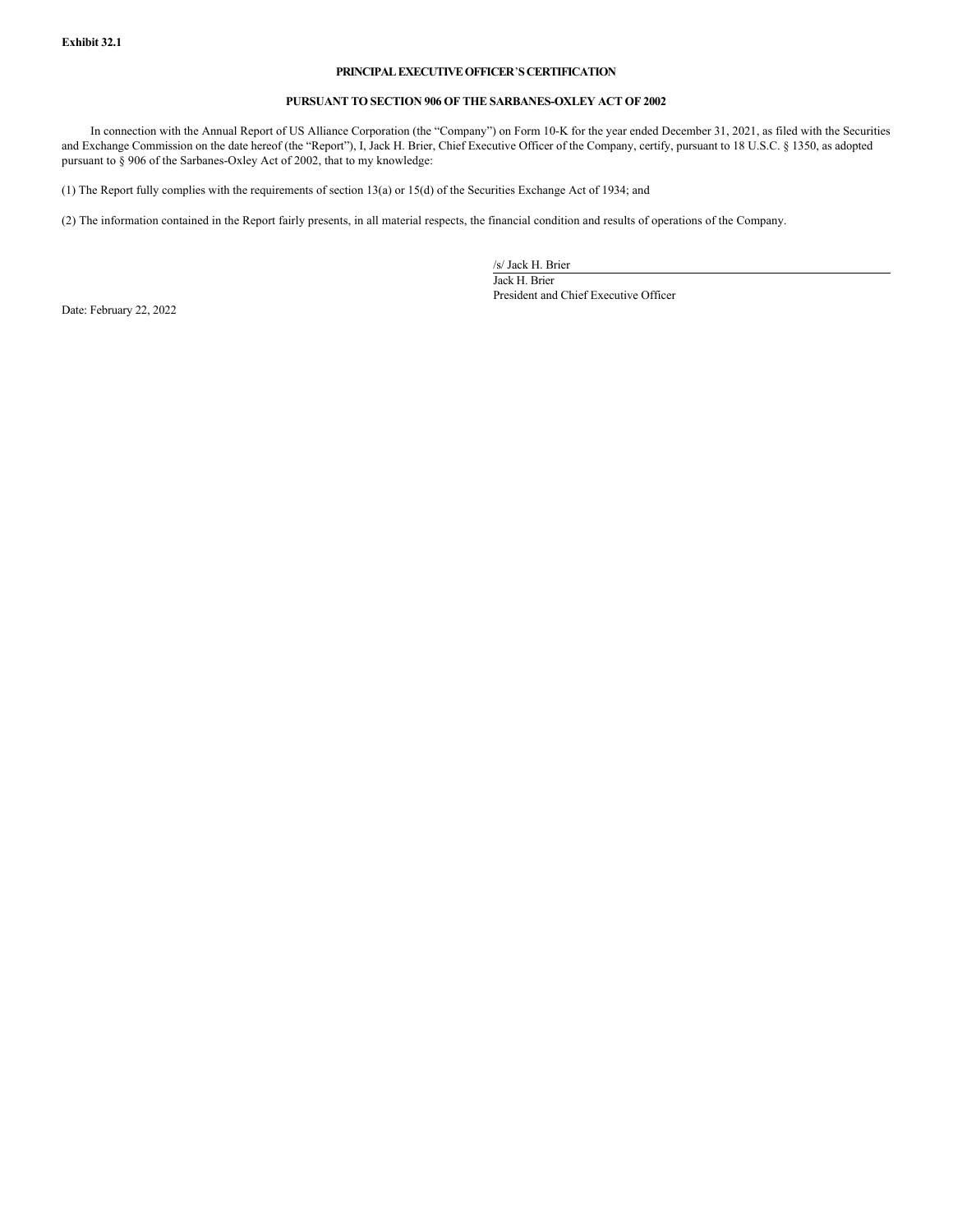## **PRINCIPAL EXECUTIVE OFFICER**'**S CERTIFICATION**

## **PURSUANT TO SECTION 906 OF THE SARBANES-OXLEY ACT OF 2002**

In connection with the Annual Report of US Alliance Corporation (the "Company") on Form 10-K for the year ended December 31, 2021, as filed with the Securities and Exchange Commission on the date hereof (the "Report"), I, Jack H. Brier, Chief Executive Officer of the Company, certify, pursuant to 18 U.S.C. § 1350, as adopted pursuant to § 906 of the Sarbanes-Oxley Act of 2002, that to my knowledge:

(1) The Report fully complies with the requirements of section 13(a) or 15(d) of the Securities Exchange Act of 1934; and

(2) The information contained in the Report fairly presents, in all material respects, the financial condition and results of operations of the Company.

/s/ Jack H. Brier

Jack H. Brier President and Chief Executive Officer